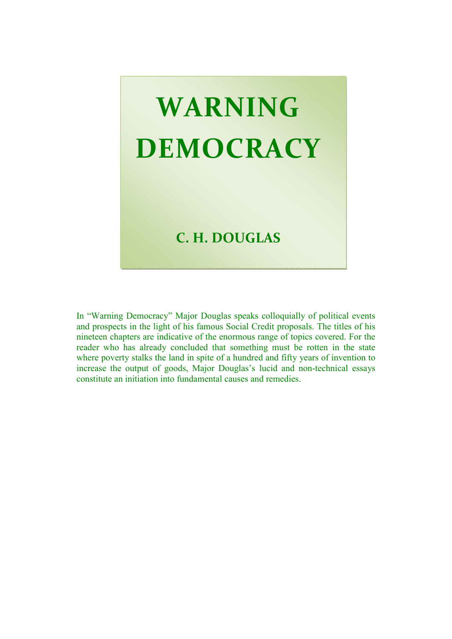# **WARNING DEMOCRACY**

## **C. H. DOUGLAS**

In "Warning Democracy" Major Douglas speaks colloquially of political events and prospects in the light of his famous Social Credit proposals. The titles of his nineteen chapters are indicative of the enormous range of topics covered. For the reader who has already concluded that something must be rotten in the state where poverty stalks the land in spite of a hundred and fifty years of invention to increase the output of goods, Major Douglas's lucid and non-technical essays constitute an initiation into fundamental causes and remedies.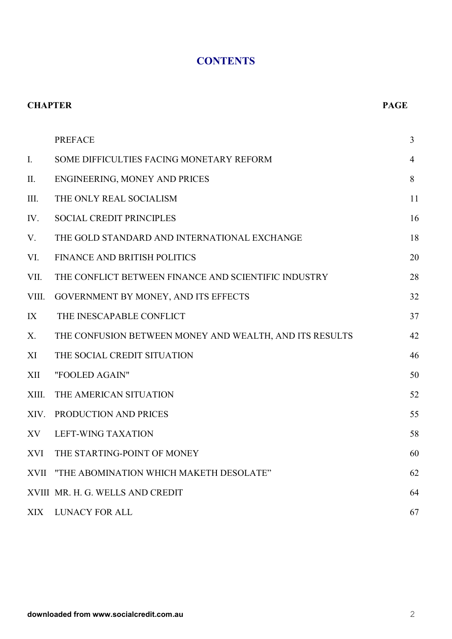#### **CONTENTS**

| <b>CHAPTER</b> |                                                         | <b>PAGE</b>    |
|----------------|---------------------------------------------------------|----------------|
|                | <b>PREFACE</b>                                          | $\overline{3}$ |
| $I_{\cdot}$    | SOME DIFFICULTIES FACING MONETARY REFORM                | $\overline{4}$ |
| II.            | ENGINEERING, MONEY AND PRICES                           | 8              |
| III.           | THE ONLY REAL SOCIALISM                                 | 11             |
| IV.            | <b>SOCIAL CREDIT PRINCIPLES</b>                         | 16             |
| V.             | THE GOLD STANDARD AND INTERNATIONAL EXCHANGE            | 18             |
| VI.            | <b>FINANCE AND BRITISH POLITICS</b>                     | 20             |
| VII.           | THE CONFLICT BETWEEN FINANCE AND SCIENTIFIC INDUSTRY    | 28             |
| VIII.          | GOVERNMENT BY MONEY, AND ITS EFFECTS                    | 32             |
| IX             | THE INESCAPABLE CONFLICT                                | 37             |
| X.             | THE CONFUSION BETWEEN MONEY AND WEALTH, AND ITS RESULTS | 42             |
| XI             | THE SOCIAL CREDIT SITUATION                             | 46             |
| XII            | "FOOLED AGAIN"                                          | 50             |
| XIII.          | THE AMERICAN SITUATION                                  | 52             |
| XIV.           | PRODUCTION AND PRICES                                   | 55             |
| XV             | <b>LEFT-WING TAXATION</b>                               | 58             |
| XVI            | THE STARTING-POINT OF MONEY                             | 60             |
| <b>XVII</b>    | "THE ABOMINATION WHICH MAKETH DESOLATE"                 | 62             |
|                | XVIII MR. H. G. WELLS AND CREDIT                        | 64             |
| XIX            | LUNACY FOR ALL                                          | 67             |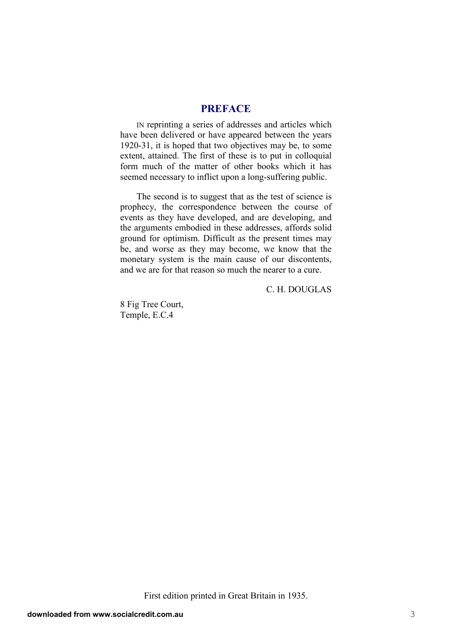#### **PREFACE**

IN reprinting a series of addresses and articles which have been delivered or have appeared between the years 1920-31, it is hoped that two objectives may be, to some extent, attained. The first of these is to put in colloquial form much of the matter of other books which it has seemed necessary to inflict upon a long-suffering public.

The second is to suggest that as the test of science is prophecy, the correspondence between the course of events as they have developed, and are developing, and the arguments embodied in these addresses, affords solid ground for optimism. Difficult as the present times may be, and worse as they may become, we know that the monetary system is the main cause of our discontents, and we are for that reason so much the nearer to a cure.

C. H. DOUGLAS

8 Fig Tree Court, Temple, E.C.4

First edition printed in Great Britain in 1935.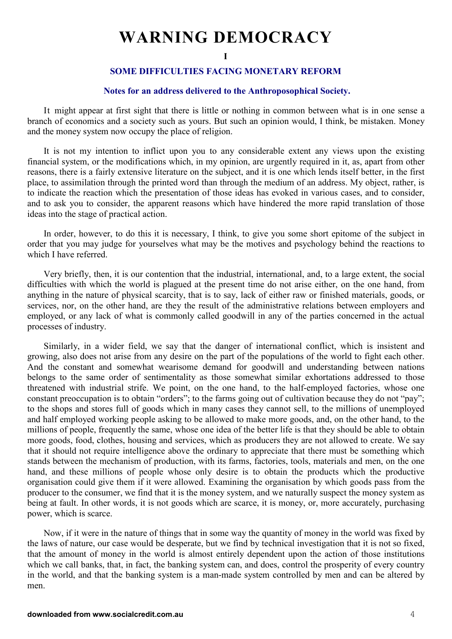# **WARNING DEMOCRACY**

**I** 

#### **SOME DIFFICULTIES FACING MONETARY REFORM**

#### **Notes for an address delivered to the Anthroposophical Society.**

It might appear at first sight that there is little or nothing in common between what is in one sense a branch of economics and a society such as yours. But such an opinion would, I think, be mistaken. Money and the money system now occupy the place of religion.

It is not my intention to inflict upon you to any considerable extent any views upon the existing financial system, or the modifications which, in my opinion, are urgently required in it, as, apart from other reasons, there is a fairly extensive literature on the subject, and it is one which lends itself better, in the first place, to assimilation through the printed word than through the medium of an address. My object, rather, is to indicate the reaction which the presentation of those ideas has evoked in various cases, and to consider, and to ask you to consider, the apparent reasons which have hindered the more rapid translation of those ideas into the stage of practical action.

In order, however, to do this it is necessary, I think, to give you some short epitome of the subject in order that you may judge for yourselves what may be the motives and psychology behind the reactions to which I have referred.

Very briefly, then, it is our contention that the industrial, international, and, to a large extent, the social difficulties with which the world is plagued at the present time do not arise either, on the one hand, from anything in the nature of physical scarcity, that is to say, lack of either raw or finished materials, goods, or services, nor, on the other hand, are they the result of the administrative relations between employers and employed, or any lack of what is commonly called goodwill in any of the parties concerned in the actual processes of industry.

Similarly, in a wider field, we say that the danger of international conflict, which is insistent and growing, also does not arise from any desire on the part of the populations of the world to fight each other. And the constant and somewhat wearisome demand for goodwill and understanding between nations belongs to the same order of sentimentality as those somewhat similar exhortations addressed to those threatened with industrial strife. We point, on the one hand, to the half-employed factories, whose one constant preoccupation is to obtain "orders"; to the farms going out of cultivation because they do not "pay"; to the shops and stores full of goods which in many cases they cannot sell, to the millions of unemployed and half employed working people asking to be allowed to make more goods, and, on the other hand, to the millions of people, frequently the same, whose one idea of the better life is that they should be able to obtain more goods, food, clothes, housing and services, which as producers they are not allowed to create. We say that it should not require intelligence above the ordinary to appreciate that there must be something which stands between the mechanism of production, with its farms, factories, tools, materials and men, on the one hand, and these millions of people whose only desire is to obtain the products which the productive organisation could give them if it were allowed. Examining the organisation by which goods pass from the producer to the consumer, we find that it is the money system, and we naturally suspect the money system as being at fault. In other words, it is not goods which are scarce, it is money, or, more accurately, purchasing power, which is scarce.

Now, if it were in the nature of things that in some way the quantity of money in the world was fixed by the laws of nature, our case would be desperate, but we find by technical investigation that it is not so fixed, that the amount of money in the world is almost entirely dependent upon the action of those institutions which we call banks, that, in fact, the banking system can, and does, control the prosperity of every country in the world, and that the banking system is a man-made system controlled by men and can be altered by men.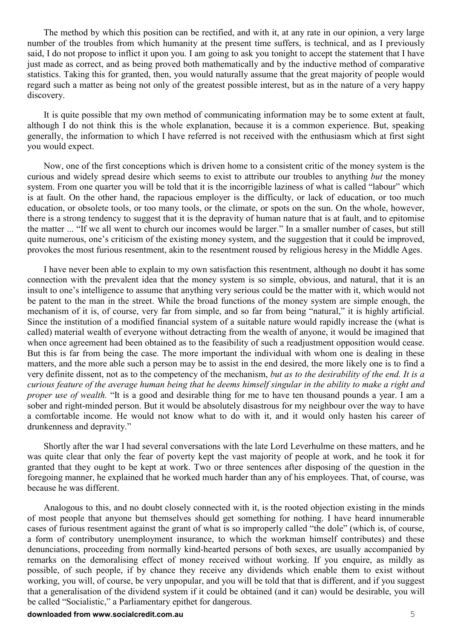The method by which this position can be rectified, and with it, at any rate in our opinion, a very large number of the troubles from which humanity at the present time suffers, is technical, and as I previously said, I do not propose to inflict it upon you. I am going to ask you tonight to accept the statement that I have just made as correct, and as being proved both mathematically and by the inductive method of comparative statistics. Taking this for granted, then, you would naturally assume that the great majority of people would regard such a matter as being not only of the greatest possible interest, but as in the nature of a very happy discovery.

It is quite possible that my own method of communicating information may be to some extent at fault, although I do not think this is the whole explanation, because it is a common experience. But, speaking generally, the information to which I have referred is not received with the enthusiasm which at first sight you would expect.

Now, one of the first conceptions which is driven home to a consistent critic of the money system is the curious and widely spread desire which seems to exist to attribute our troubles to anything *but* the money system. From one quarter you will be told that it is the incorrigible laziness of what is called "labour" which is at fault. On the other hand, the rapacious employer is the difficulty, or lack of education, or too much education, or obsolete tools, or too many tools, or the climate, or spots on the sun. On the whole, however, there is a strong tendency to suggest that it is the depravity of human nature that is at fault, and to epitomise the matter ... "If we all went to church our incomes would be larger." In a smaller number of cases, but still quite numerous, one's criticism of the existing money system, and the suggestion that it could be improved, provokes the most furious resentment, akin to the resentment roused by religious heresy in the Middle Ages.

I have never been able to explain to my own satisfaction this resentment, although no doubt it has some connection with the prevalent idea that the money system is so simple, obvious, and natural, that it is an insult to one's intelligence to assume that anything very serious could be the matter with it, which would not be patent to the man in the street. While the broad functions of the money system are simple enough, the mechanism of it is, of course, very far from simple, and so far from being "natural," it is highly artificial. Since the institution of a modified financial system of a suitable nature would rapidly increase the (what is called) material wealth of everyone without detracting from the wealth of anyone, it would be imagined that when once agreement had been obtained as to the feasibility of such a readjustment opposition would cease. But this is far from being the case. The more important the individual with whom one is dealing in these matters, and the more able such a person may be to assist in the end desired, the more likely one is to find a very definite dissent, not as to the competency of the mechanism, *but as to the desirability of the end. It is a curious feature of the average human being that he deems himself singular in the ability to make a right and proper use of wealth.* "It is a good and desirable thing for me to have ten thousand pounds a vear. I am a sober and right-minded person. But it would be absolutely disastrous for my neighbour over the way to have a comfortable income. He would not know what to do with it, and it would only hasten his career of drunkenness and depravity."

Shortly after the war I had several conversations with the late Lord Leverhulme on these matters, and he was quite clear that only the fear of poverty kept the vast majority of people at work, and he took it for granted that they ought to be kept at work. Two or three sentences after disposing of the question in the foregoing manner, he explained that he worked much harder than any of his employees. That, of course, was because he was different.

Analogous to this, and no doubt closely connected with it, is the rooted objection existing in the minds of most people that anyone but themselves should get something for nothing. I have heard innumerable cases of furious resentment against the grant of what is so improperly called "the dole" (which is, of course, a form of contributory unemployment insurance, to which the workman himself contributes) and these denunciations, proceeding from normally kind-hearted persons of both sexes, are usually accompanied by remarks on the demoralising effect of money received without working. If you enquire, as mildly as possible, of such people, if by chance they receive any dividends which enable them to exist without working, you will, of course, be very unpopular, and you will be told that that is different, and if you suggest that a generalisation of the dividend system if it could be obtained (and it can) would be desirable, you will be called "Socialistic," a Parliamentary epithet for dangerous.

#### **downloaded from www.socialcredit.com.au** 5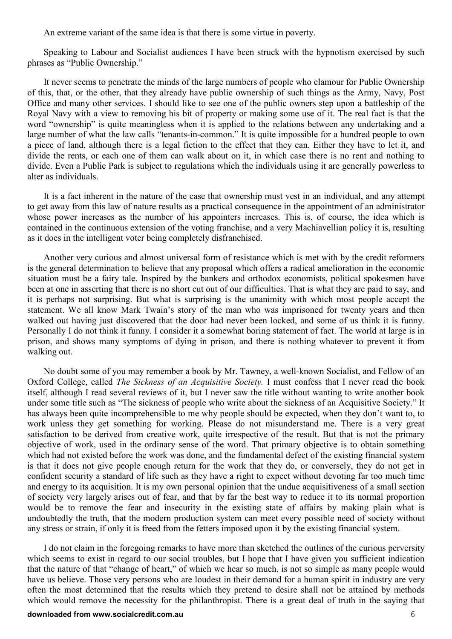An extreme variant of the same idea is that there is some virtue in poverty.

Speaking to Labour and Socialist audiences I have been struck with the hypnotism exercised by such phrases as "Public Ownership."

It never seems to penetrate the minds of the large numbers of people who clamour for Public Ownership of this, that, or the other, that they already have public ownership of such things as the Army, Navy, Post Office and many other services. I should like to see one of the public owners step upon a battleship of the Royal Navy with a view to removing his bit of property or making some use of it. The real fact is that the word "ownership" is quite meaningless when it is applied to the relations between any undertaking and a large number of what the law calls "tenants-in-common." It is quite impossible for a hundred people to own a piece of land, although there is a legal fiction to the effect that they can. Either they have to let it, and divide the rents, or each one of them can walk about on it, in which case there is no rent and nothing to divide. Even a Public Park is subject to regulations which the individuals using it are generally powerless to alter as individuals.

It is a fact inherent in the nature of the case that ownership must vest in an individual, and any attempt to get away from this law of nature results as a practical consequence in the appointment of an administrator whose power increases as the number of his appointers increases. This is, of course, the idea which is contained in the continuous extension of the voting franchise, and a very Machiavellian policy it is, resulting as it does in the intelligent voter being completely disfranchised.

Another very curious and almost universal form of resistance which is met with by the credit reformers is the general determination to believe that any proposal which offers a radical amelioration in the economic situation must be a fairy tale. Inspired by the bankers and orthodox economists, political spokesmen have been at one in asserting that there is no short cut out of our difficulties. That is what they are paid to say, and it is perhaps not surprising. But what is surprising is the unanimity with which most people accept the statement. We all know Mark Twain's story of the man who was imprisoned for twenty years and then walked out having just discovered that the door had never been locked, and some of us think it is funny. Personally I do not think it funny. I consider it a somewhat boring statement of fact. The world at large is in prison, and shows many symptoms of dying in prison, and there is nothing whatever to prevent it from walking out.

No doubt some of you may remember a book by Mr. Tawney, a well-known Socialist, and Fellow of an Oxford College, called *The Sickness of an Acquisitive Society.* I must confess that I never read the book itself, although I read several reviews of it, but I never saw the title without wanting to write another book under some title such as "The sickness of people who write about the sickness of an Acquisitive Society." It has always been quite incomprehensible to me why people should be expected, when they don't want to, to work unless they get something for working. Please do not misunderstand me. There is a very great satisfaction to be derived from creative work, quite irrespective of the result. But that is not the primary objective of work, used in the ordinary sense of the word. That primary objective is to obtain something which had not existed before the work was done, and the fundamental defect of the existing financial system is that it does not give people enough return for the work that they do, or conversely, they do not get in confident security a standard of life such as they have a right to expect without devoting far too much time and energy to its acquisition. It is my own personal opinion that the undue acquisitiveness of a small section of society very largely arises out of fear, and that by far the best way to reduce it to its normal proportion would be to remove the fear and insecurity in the existing state of affairs by making plain what is undoubtedly the truth, that the modern production system can meet every possible need of society without any stress or strain, if only it is freed from the fetters imposed upon it by the existing financial system.

I do not claim in the foregoing remarks to have more than sketched the outlines of the curious perversity which seems to exist in regard to our social troubles, but I hope that I have given you sufficient indication that the nature of that "change of heart," of which we hear so much, is not so simple as many people would have us believe. Those very persons who are loudest in their demand for a human spirit in industry are very often the most determined that the results which they pretend to desire shall not be attained by methods which would remove the necessity for the philanthropist. There is a great deal of truth in the saying that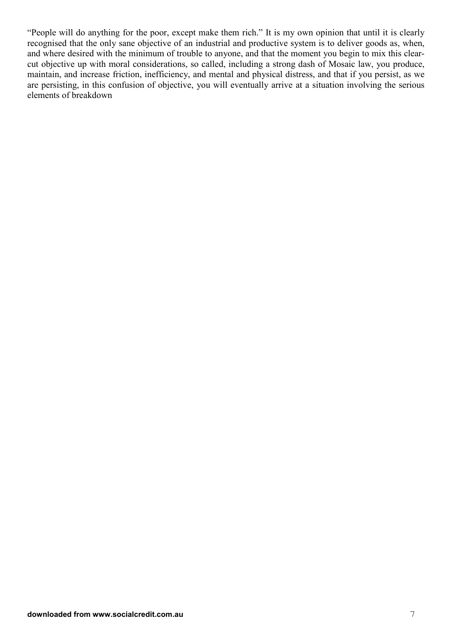"People will do anything for the poor, except make them rich." It is my own opinion that until it is clearly recognised that the only sane objective of an industrial and productive system is to deliver goods as, when, and where desired with the minimum of trouble to anyone, and that the moment you begin to mix this clearcut objective up with moral considerations, so called, including a strong dash of Mosaic law, you produce, maintain, and increase friction, inefficiency, and mental and physical distress, and that if you persist, as we are persisting, in this confusion of objective, you will eventually arrive at a situation involving the serious elements of breakdown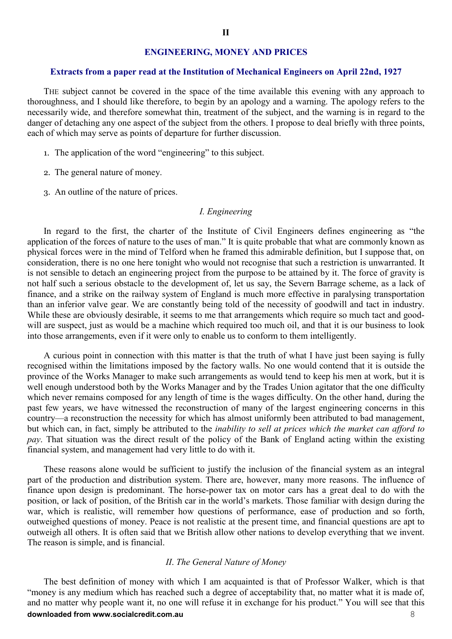#### **ENGINEERING, MONEY AND PRICES**

#### **Extracts from a paper read at the Institution of Mechanical Engineers on April 22nd, 1927**

THE subject cannot be covered in the space of the time available this evening with any approach to thoroughness, and I should like therefore, to begin by an apology and a warning. The apology refers to the necessarily wide, and therefore somewhat thin, treatment of the subject, and the warning is in regard to the danger of detaching any one aspect of the subject from the others. I propose to deal briefly with three points, each of which may serve as points of departure for further discussion.

- 1. The application of the word "engineering" to this subject.
- 2. The general nature of money.
- 3. An outline of the nature of prices.

#### *I. Engineering*

In regard to the first, the charter of the Institute of Civil Engineers defines engineering as "the application of the forces of nature to the uses of man." It is quite probable that what are commonly known as physical forces were in the mind of Telford when he framed this admirable definition, but I suppose that, on consideration, there is no one here tonight who would not recognise that such a restriction is unwarranted. It is not sensible to detach an engineering project from the purpose to be attained by it. The force of gravity is not half such a serious obstacle to the development of, let us say, the Severn Barrage scheme, as a lack of finance, and a strike on the railway system of England is much more effective in paralysing transportation than an inferior valve gear. We are constantly being told of the necessity of goodwill and tact in industry. While these are obviously desirable, it seems to me that arrangements which require so much tact and goodwill are suspect, just as would be a machine which required too much oil, and that it is our business to look into those arrangements, even if it were only to enable us to conform to them intelligently.

A curious point in connection with this matter is that the truth of what I have just been saying is fully recognised within the limitations imposed by the factory walls. No one would contend that it is outside the province of the Works Manager to make such arrangements as would tend to keep his men at work, but it is well enough understood both by the Works Manager and by the Trades Union agitator that the one difficulty which never remains composed for any length of time is the wages difficulty. On the other hand, during the past few years, we have witnessed the reconstruction of many of the largest engineering concerns in this country—a reconstruction the necessity for which has almost uniformly been attributed to bad management, but which can, in fact, simply be attributed to the *inability to sell at prices which the market can afford to pay*. That situation was the direct result of the policy of the Bank of England acting within the existing financial system, and management had very little to do with it.

These reasons alone would be sufficient to justify the inclusion of the financial system as an integral part of the production and distribution system. There are, however, many more reasons. The influence of finance upon design is predominant. The horse-power tax on motor cars has a great deal to do with the position, or lack of position, of the British car in the world's markets. Those familiar with design during the war, which is realistic, will remember how questions of performance, ease of production and so forth, outweighed questions of money. Peace is not realistic at the present time, and financial questions are apt to outweigh all others. It is often said that we British allow other nations to develop everything that we invent. The reason is simple, and is financial.

#### *II*. *The General Nature of Money*

**downloaded from www.socialcredit.com.au** 8 The best definition of money with which I am acquainted is that of Professor Walker, which is that "money is any medium which has reached such a degree of acceptability that, no matter what it is made of, and no matter why people want it, no one will refuse it in exchange for his product." You will see that this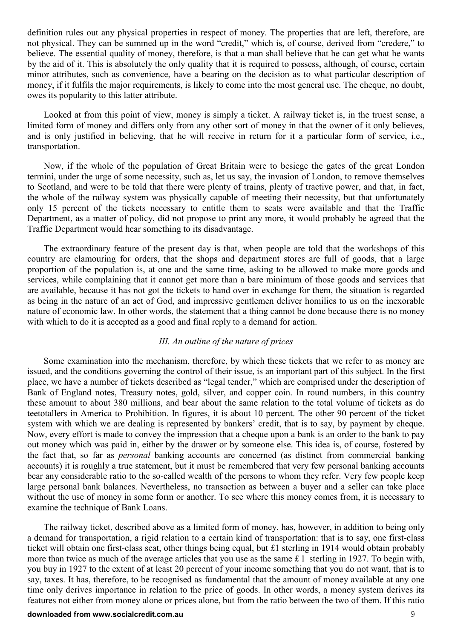definition rules out any physical properties in respect of money. The properties that are left, therefore, are not physical. They can be summed up in the word "credit," which is, of course, derived from "credere," to believe. The essential quality of money, therefore, is that a man shall believe that he can get what he wants by the aid of it. This is absolutely the only quality that it is required to possess, although, of course, certain minor attributes, such as convenience, have a bearing on the decision as to what particular description of money, if it fulfils the major requirements, is likely to come into the most general use. The cheque, no doubt, owes its popularity to this latter attribute.

Looked at from this point of view, money is simply a ticket. A railway ticket is, in the truest sense, a limited form of money and differs only from any other sort of money in that the owner of it only believes, and is only justified in believing, that he will receive in return for it a particular form of service, i.e., transportation.

Now, if the whole of the population of Great Britain were to besiege the gates of the great London termini, under the urge of some necessity, such as, let us say, the invasion of London, to remove themselves to Scotland, and were to be told that there were plenty of trains, plenty of tractive power, and that, in fact, the whole of the railway system was physically capable of meeting their necessity, but that unfortunately only 15 percent of the tickets necessary to entitle them to seats were available and that the Traffic Department, as a matter of policy, did not propose to print any more, it would probably be agreed that the Traffic Department would hear something to its disadvantage.

The extraordinary feature of the present day is that, when people are told that the workshops of this country are clamouring for orders, that the shops and department stores are full of goods, that a large proportion of the population is, at one and the same time, asking to be allowed to make more goods and services, while complaining that it cannot get more than a bare minimum of those goods and services that are available, because it has not got the tickets to hand over in exchange for them, the situation is regarded as being in the nature of an act of God, and impressive gentlemen deliver homilies to us on the inexorable nature of economic law. In other words, the statement that a thing cannot be done because there is no money with which to do it is accepted as a good and final reply to a demand for action.

#### *III. An outline of the nature of prices*

Some examination into the mechanism, therefore, by which these tickets that we refer to as money are issued, and the conditions governing the control of their issue, is an important part of this subject. In the first place, we have a number of tickets described as "legal tender," which are comprised under the description of Bank of England notes, Treasury notes, gold, silver, and copper coin. In round numbers, in this country these amount to about 380 millions, and bear about the same relation to the total volume of tickets as do teetotallers in America to Prohibition. In figures, it is about 10 percent. The other 90 percent of the ticket system with which we are dealing is represented by bankers' credit, that is to say, by payment by cheque. Now, every effort is made to convey the impression that a cheque upon a bank is an order to the bank to pay out money which was paid in, either by the drawer or by someone else. This idea is, of course, fostered by the fact that, so far as *personal* banking accounts are concerned (as distinct from commercial banking accounts) it is roughly a true statement, but it must be remembered that very few personal banking accounts bear any considerable ratio to the so-called wealth of the persons to whom they refer. Very few people keep large personal bank balances. Nevertheless, no transaction as between a buyer and a seller can take place without the use of money in some form or another. To see where this money comes from, it is necessary to examine the technique of Bank Loans.

The railway ticket, described above as a limited form of money, has, however, in addition to being only a demand for transportation, a rigid relation to a certain kind of transportation: that is to say, one first-class ticket will obtain one first-class seat, other things being equal, but £1 sterling in 1914 would obtain probably more than twice as much of the average articles that you use as the same £ 1 sterling in 1927. To begin with, you buy in 1927 to the extent of at least 20 percent of your income something that you do not want, that is to say, taxes. It has, therefore, to be recognised as fundamental that the amount of money available at any one time only derives importance in relation to the price of goods. In other words, a money system derives its features not either from money alone or prices alone, but from the ratio between the two of them. If this ratio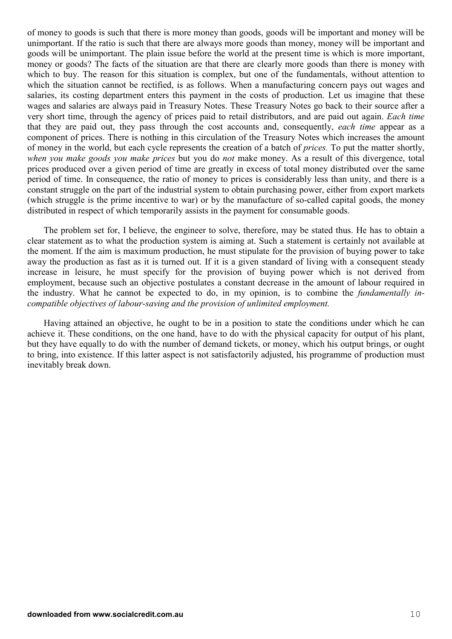of money to goods is such that there is more money than goods, goods will be important and money will be unimportant. If the ratio is such that there are always more goods than money, money will be important and goods will be unimportant. The plain issue before the world at the present time is which is more important, money or goods? The facts of the situation are that there are clearly more goods than there is money with which to buy. The reason for this situation is complex, but one of the fundamentals, without attention to which the situation cannot be rectified, is as follows. When a manufacturing concern pays out wages and salaries, its costing department enters this payment in the costs of production. Let us imagine that these wages and salaries are always paid in Treasury Notes. These Treasury Notes go back to their source after a very short time, through the agency of prices paid to retail distributors, and are paid out again. *Each time* that they are paid out, they pass through the cost accounts and, consequently, *each time* appear as a component of prices. There is nothing in this circulation of the Treasury Notes which increases the amount of money in the world, but each cycle represents the creation of a batch of *prices.* To put the matter shortly, *when you make goods you make prices* but you do *not* make money. As a result of this divergence, total prices produced over a given period of time are greatly in excess of total money distributed over the same period of time. In consequence, the ratio of money to prices is considerably less than unity, and there is a constant struggle on the part of the industrial system to obtain purchasing power, either from export markets (which struggle is the prime incentive to war) or by the manufacture of so-called capital goods, the money distributed in respect of which temporarily assists in the payment for consumable goods.

The problem set for, I believe, the engineer to solve, therefore, may be stated thus. He has to obtain a clear statement as to what the production system is aiming at. Such a statement is certainly not available at the moment. If the aim is maximum production, he must stipulate for the provision of buying power to take away the production as fast as it is turned out. If it is a given standard of living with a consequent steady increase in leisure, he must specify for the provision of buying power which is not derived from employment, because such an objective postulates a constant decrease in the amount of labour required in the industry. What he cannot be expected to do, in my opinion, is to combine the *fundamentally incompatible objectives of labour-saving and the provision of unlimited employment.*

Having attained an objective, he ought to be in a position to state the conditions under which he can achieve it. These conditions, on the one hand, have to do with the physical capacity for output of his plant, but they have equally to do with the number of demand tickets, or money, which his output brings, or ought to bring, into existence. If this latter aspect is not satisfactorily adjusted, his programme of production must inevitably break down.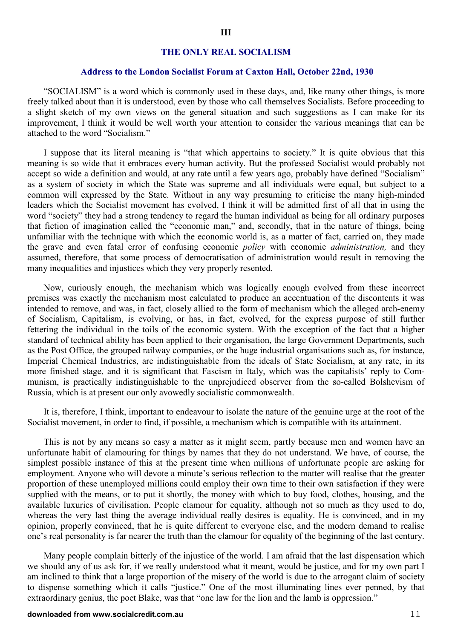#### **THE ONLY REAL SOCIALISM**

#### **Address to the London Socialist Forum at Caxton Hall, October 22nd, 1930**

"SOCIALISM" is a word which is commonly used in these days, and, like many other things, is more freely talked about than it is understood, even by those who call themselves Socialists. Before proceeding to a slight sketch of my own views on the general situation and such suggestions as I can make for its improvement, I think it would be well worth your attention to consider the various meanings that can be attached to the word "Socialism."

I suppose that its literal meaning is "that which appertains to society." It is quite obvious that this meaning is so wide that it embraces every human activity. But the professed Socialist would probably not accept so wide a definition and would, at any rate until a few years ago, probably have defined "Socialism" as a system of society in which the State was supreme and all individuals were equal, but subject to a common will expressed by the State. Without in any way presuming to criticise the many high-minded leaders which the Socialist movement has evolved, I think it will be admitted first of all that in using the word "society" they had a strong tendency to regard the human individual as being for all ordinary purposes that fiction of imagination called the "economic man," and, secondly, that in the nature of things, being unfamiliar with the technique with which the economic world is, as a matter of fact, carried on, they made the grave and even fatal error of confusing economic *policy* with economic *administration,* and they assumed, therefore, that some process of democratisation of administration would result in removing the many inequalities and injustices which they very properly resented.

Now, curiously enough, the mechanism which was logically enough evolved from these incorrect premises was exactly the mechanism most calculated to produce an accentuation of the discontents it was intended to remove, and was, in fact, closely allied to the form of mechanism which the alleged arch-enemy of Socialism, Capitalism, is evolving, or has, in fact, evolved, for the express purpose of still further fettering the individual in the toils of the economic system. With the exception of the fact that a higher standard of technical ability has been applied to their organisation, the large Government Departments, such as the Post Office, the grouped railway companies, or the huge industrial organisations such as, for instance, Imperial Chemical Industries, are indistinguishable from the ideals of State Socialism, at any rate, in its more finished stage, and it is significant that Fascism in Italy, which was the capitalists' reply to Communism, is practically indistinguishable to the unprejudiced observer from the so-called Bolshevism of Russia, which is at present our only avowedly socialistic commonwealth.

It is, therefore, I think, important to endeavour to isolate the nature of the genuine urge at the root of the Socialist movement, in order to find, if possible, a mechanism which is compatible with its attainment.

This is not by any means so easy a matter as it might seem, partly because men and women have an unfortunate habit of clamouring for things by names that they do not understand. We have, of course, the simplest possible instance of this at the present time when millions of unfortunate people are asking for employment. Anyone who will devote a minute's serious reflection to the matter will realise that the greater proportion of these unemployed millions could employ their own time to their own satisfaction if they were supplied with the means, or to put it shortly, the money with which to buy food, clothes, housing, and the available luxuries of civilisation. People clamour for equality, although not so much as they used to do, whereas the very last thing the average individual really desires is equality. He is convinced, and in my opinion, properly convinced, that he is quite different to everyone else, and the modern demand to realise one's real personality is far nearer the truth than the clamour for equality of the beginning of the last century.

Many people complain bitterly of the injustice of the world. I am afraid that the last dispensation which we should any of us ask for, if we really understood what it meant, would be justice, and for my own part I am inclined to think that a large proportion of the misery of the world is due to the arrogant claim of society to dispense something which it calls "justice." One of the most illuminating lines ever penned, by that extraordinary genius, the poet Blake, was that "one law for the lion and the lamb is oppression."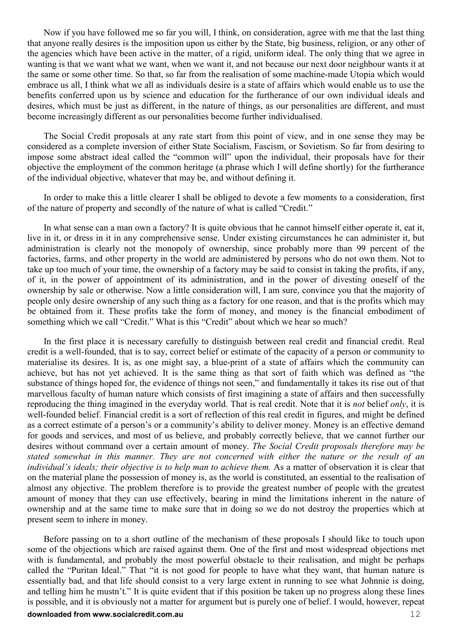Now if you have followed me so far you will, I think, on consideration, agree with me that the last thing that anyone really desires is the imposition upon us either by the State, big business, religion, or any other of the agencies which have been active in the matter, of a rigid, uniform ideal. The only thing that we agree in wanting is that we want what we want, when we want it, and not because our next door neighbour wants it at the same or some other time. So that, so far from the realisation of some machine-made Utopia which would embrace us all, I think what we all as individuals desire is a state of affairs which would enable us to use the benefits conferred upon us by science and education for the furtherance of our own individual ideals and desires, which must be just as different, in the nature of things, as our personalities are different, and must become increasingly different as our personalities become further individualised.

The Social Credit proposals at any rate start from this point of view, and in one sense they may be considered as a complete inversion of either State Socialism, Fascism, or Sovietism. So far from desiring to impose some abstract ideal called the "common will" upon the individual, their proposals have for their objective the employment of the common heritage (a phrase which I will define shortly) for the furtherance of the individual objective, whatever that may be, and without defining it.

In order to make this a little clearer I shall be obliged to devote a few moments to a consideration, first of the nature of property and secondly of the nature of what is called "Credit."

In what sense can a man own a factory? It is quite obvious that he cannot himself either operate it, eat it, live in it, or dress in it in any comprehensive sense. Under existing circumstances he can administer it, but administration is clearly not the monopoly of ownership, since probably more than 99 percent of the factories, farms, and other property in the world are administered by persons who do not own them. Not to take up too much of your time, the ownership of a factory may be said to consist in taking the profits, if any, of it, in the power of appointment of its administration, and in the power of divesting oneself of the ownership by sale or otherwise. Now a little consideration will, I am sure, convince you that the majority of people only desire ownership of any such thing as a factory for one reason, and that is the profits which may be obtained from it. These profits take the form of money, and money is the financial embodiment of something which we call "Credit." What is this "Credit" about which we hear so much?

In the first place it is necessary carefully to distinguish between real credit and financial credit. Real credit is a well-founded, that is to say, correct belief or estimate of the capacity of a person or community to materialise its desires. It is, as one might say, a blue-print of a state of affairs which the community can achieve, but has not yet achieved. It is the same thing as that sort of faith which was defined as "the substance of things hoped for, the evidence of things not seen," and fundamentally it takes its rise out of that marvellous faculty of human nature which consists of first imagining a state of affairs and then successfully reproducing the thing imagined in the everyday world. That is real credit. Note that it is *not* belief *only*, it is well-founded belief. Financial credit is a sort of reflection of this real credit in figures, and might be defined as a correct estimate of a person's or a community's ability to deliver money. Money is an effective demand for goods and services, and most of us believe, and probably correctly believe, that we cannot further our desires without command over a certain amount of money. *The Social Credit proposals therefore may be stated somewhat in this manner. They are not concerned with either the nature or the result of an individual's ideals; their objective is to help man to achieve them.* As a matter of observation it is clear that on the material plane the possession of money is, as the world is constituted, an essential to the realisation of almost any objective. The problem therefore is to provide the greatest number of people with the greatest amount of money that they can use effectively, bearing in mind the limitations inherent in the nature of ownership and at the same time to make sure that in doing so we do not destroy the properties which at present seem to inhere in money.

Before passing on to a short outline of the mechanism of these proposals I should like to touch upon some of the objections which are raised against them. One of the first and most widespread objections met with is fundamental, and probably the most powerful obstacle to their realisation, and might be perhaps called the "Puritan Ideal." That "it is not good for people to have what they want, that human nature is essentially bad, and that life should consist to a very large extent in running to see what Johnnie is doing, and telling him he mustn't." It is quite evident that if this position be taken up no progress along these lines is possible, and it is obviously not a matter for argument but is purely one of belief. I would, however, repeat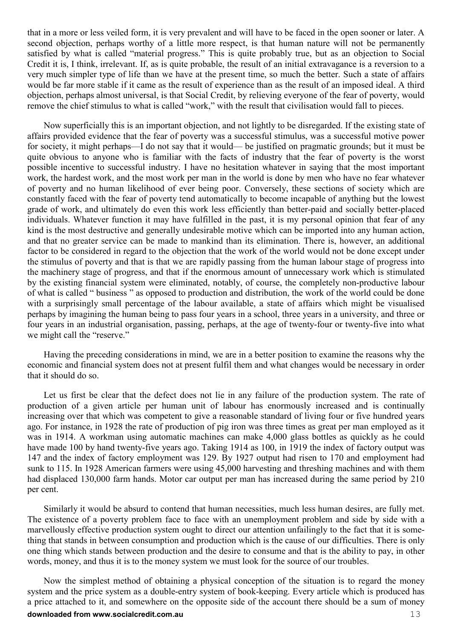that in a more or less veiled form, it is very prevalent and will have to be faced in the open sooner or later. A second objection, perhaps worthy of a little more respect, is that human nature will not be permanently satisfied by what is called "material progress." This is quite probably true, but as an objection to Social Credit it is, I think, irrelevant. If, as is quite probable, the result of an initial extravagance is a reversion to a very much simpler type of life than we have at the present time, so much the better. Such a state of affairs would be far more stable if it came as the result of experience than as the result of an imposed ideal. A third objection, perhaps almost universal, is that Social Credit, by relieving everyone of the fear of poverty, would remove the chief stimulus to what is called "work," with the result that civilisation would fall to pieces.

Now superficially this is an important objection, and not lightly to be disregarded. If the existing state of affairs provided evidence that the fear of poverty was a successful stimulus, was a successful motive power for society, it might perhaps—I do not say that it would— be justified on pragmatic grounds; but it must be quite obvious to anyone who is familiar with the facts of industry that the fear of poverty is the worst possible incentive to successful industry. I have no hesitation whatever in saying that the most important work, the hardest work, and the most work per man in the world is done by men who have no fear whatever of poverty and no human likelihood of ever being poor. Conversely, these sections of society which are constantly faced with the fear of poverty tend automatically to become incapable of anything but the lowest grade of work, and ultimately do even this work less efficiently than better-paid and socially better-placed individuals. Whatever function it may have fulfilled in the past, it is my personal opinion that fear of any kind is the most destructive and generally undesirable motive which can be imported into any human action, and that no greater service can be made to mankind than its elimination. There is, however, an additional factor to be considered in regard to the objection that the work of the world would not be done except under the stimulus of poverty and that is that we are rapidly passing from the human labour stage of progress into the machinery stage of progress, and that if the enormous amount of unnecessary work which is stimulated by the existing financial system were eliminated, notably, of course, the completely non-productive labour of what is called " business " as opposed to production and distribution, the work of the world could be done with a surprisingly small percentage of the labour available, a state of affairs which might be visualised perhaps by imagining the human being to pass four years in a school, three years in a university, and three or four years in an industrial organisation, passing, perhaps, at the age of twenty-four or twenty-five into what we might call the "reserve."

Having the preceding considerations in mind, we are in a better position to examine the reasons why the economic and financial system does not at present fulfil them and what changes would be necessary in order that it should do so.

Let us first be clear that the defect does not lie in any failure of the production system. The rate of production of a given article per human unit of labour has enormously increased and is continually increasing over that which was competent to give a reasonable standard of living four or five hundred years ago. For instance, in 1928 the rate of production of pig iron was three times as great per man employed as it was in 1914. A workman using automatic machines can make 4,000 glass bottles as quickly as he could have made 100 by hand twenty-five years ago. Taking 1914 as 100, in 1919 the index of factory output was 147 and the index of factory employment was 129. By 1927 output had risen to 170 and employment had sunk to 115. In 1928 American farmers were using 45,000 harvesting and threshing machines and with them had displaced 130,000 farm hands. Motor car output per man has increased during the same period by 210 per cent.

Similarly it would be absurd to contend that human necessities, much less human desires, are fully met. The existence of a poverty problem face to face with an unemployment problem and side by side with a marvellously effective production system ought to direct our attention unfailingly to the fact that it is something that stands in between consumption and production which is the cause of our difficulties. There is only one thing which stands between production and the desire to consume and that is the ability to pay, in other words, money, and thus it is to the money system we must look for the source of our troubles.

**downloaded from www.socialcredit.com.au** 13 Now the simplest method of obtaining a physical conception of the situation is to regard the money system and the price system as a double-entry system of book-keeping. Every article which is produced has a price attached to it, and somewhere on the opposite side of the account there should be a sum of money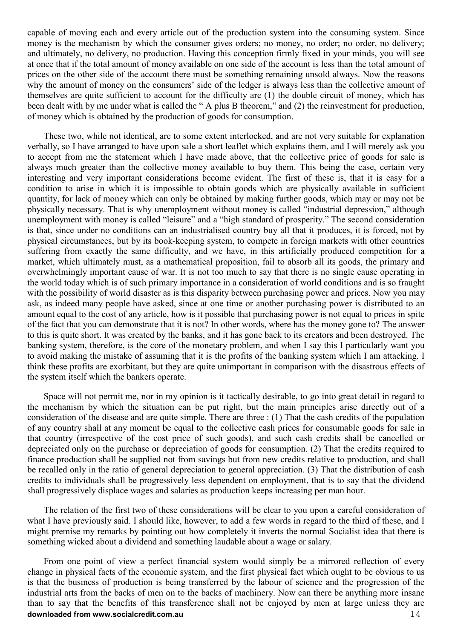capable of moving each and every article out of the production system into the consuming system. Since money is the mechanism by which the consumer gives orders; no money, no order; no order, no delivery; and ultimately, no delivery, no production. Having this conception firmly fixed in your minds, you will see at once that if the total amount of money available on one side of the account is less than the total amount of prices on the other side of the account there must be something remaining unsold always. Now the reasons why the amount of money on the consumers' side of the ledger is always less than the collective amount of themselves are quite sufficient to account for the difficulty are (1) the double circuit of money, which has been dealt with by me under what is called the " A plus B theorem," and (2) the reinvestment for production, of money which is obtained by the production of goods for consumption.

These two, while not identical, are to some extent interlocked, and are not very suitable for explanation verbally, so I have arranged to have upon sale a short leaflet which explains them, and I will merely ask you to accept from me the statement which I have made above, that the collective price of goods for sale is always much greater than the collective money available to buy them. This being the case, certain very interesting and very important considerations become evident. The first of these is, that it is easy for a condition to arise in which it is impossible to obtain goods which are physically available in sufficient quantity, for lack of money which can only be obtained by making further goods, which may or may not be physically necessary. That is why unemployment without money is called "industrial depression," although unemployment with money is called "leisure" and a "high standard of prosperity." The second consideration is that, since under no conditions can an industrialised country buy all that it produces, it is forced, not by physical circumstances, but by its book-keeping system, to compete in foreign markets with other countries suffering from exactly the same difficulty, and we have, in this artificially produced competition for a market, which ultimately must, as a mathematical proposition, fail to absorb all its goods, the primary and overwhelmingly important cause of war. It is not too much to say that there is no single cause operating in the world today which is of such primary importance in a consideration of world conditions and is so fraught with the possibility of world disaster as is this disparity between purchasing power and prices. Now you may ask, as indeed many people have asked, since at one time or another purchasing power is distributed to an amount equal to the cost of any article, how is it possible that purchasing power is not equal to prices in spite of the fact that you can demonstrate that it is not? In other words, where has the money gone to? The answer to this is quite short. It was created by the banks, and it has gone back to its creators and been destroyed. The banking system, therefore, is the core of the monetary problem, and when I say this I particularly want you to avoid making the mistake of assuming that it is the profits of the banking system which I am attacking. I think these profits are exorbitant, but they are quite unimportant in comparison with the disastrous effects of the system itself which the bankers operate.

Space will not permit me, nor in my opinion is it tactically desirable, to go into great detail in regard to the mechanism by which the situation can be put right, but the main principles arise directly out of a consideration of the disease and are quite simple. There are three : (1) That the cash credits of the population of any country shall at any moment be equal to the collective cash prices for consumable goods for sale in that country (irrespective of the cost price of such goods), and such cash credits shall be cancelled or depreciated only on the purchase or depreciation of goods for consumption. (2) That the credits required to finance production shall be supplied not from savings but from new credits relative to production, and shall be recalled only in the ratio of general depreciation to general appreciation. (3) That the distribution of cash credits to individuals shall be progressively less dependent on employment, that is to say that the dividend shall progressively displace wages and salaries as production keeps increasing per man hour.

The relation of the first two of these considerations will be clear to you upon a careful consideration of what I have previously said. I should like, however, to add a few words in regard to the third of these, and I might premise my remarks by pointing out how completely it inverts the normal Socialist idea that there is something wicked about a dividend and something laudable about a wage or salary.

**downloaded from www.socialcredit.com.au** 14 From one point of view a perfect financial system would simply be a mirrored reflection of every change in physical facts of the economic system, and the first physical fact which ought to be obvious to us is that the business of production is being transferred by the labour of science and the progression of the industrial arts from the backs of men on to the backs of machinery. Now can there be anything more insane than to say that the benefits of this transference shall not be enjoyed by men at large unless they are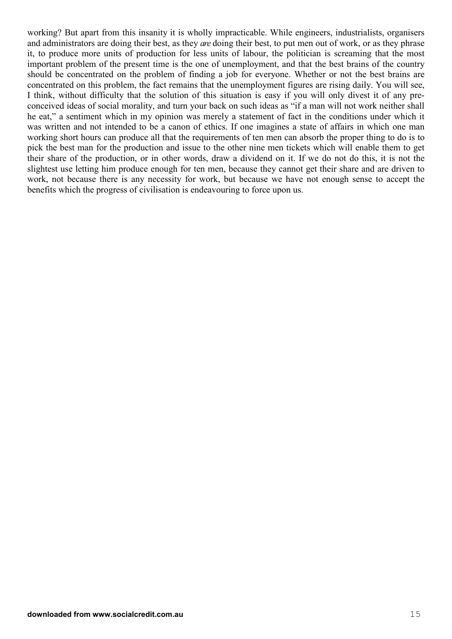working? But apart from this insanity it is wholly impracticable. While engineers, industrialists, organisers and administrators are doing their best, as they *are* doing their best, to put men out of work, or as they phrase it, to produce more units of production for less units of labour, the politician is screaming that the most important problem of the present time is the one of unemployment, and that the best brains of the country should be concentrated on the problem of finding a job for everyone. Whether or not the best brains are concentrated on this problem, the fact remains that the unemployment figures are rising daily. You will see, I think, without difficulty that the solution of this situation is easy if you will only divest it of any preconceived ideas of social morality, and turn your back on such ideas as "if a man will not work neither shall he eat," a sentiment which in my opinion was merely a statement of fact in the conditions under which it was written and not intended to be a canon of ethics. If one imagines a state of affairs in which one man working short hours can produce all that the requirements of ten men can absorb the proper thing to do is to pick the best man for the production and issue to the other nine men tickets which will enable them to get their share of the production, or in other words, draw a dividend on it. If we do not do this, it is not the slightest use letting him produce enough for ten men, because they cannot get their share and are driven to work, not because there is any necessity for work, but because we have not enough sense to accept the benefits which the progress of civilisation is endeavouring to force upon us.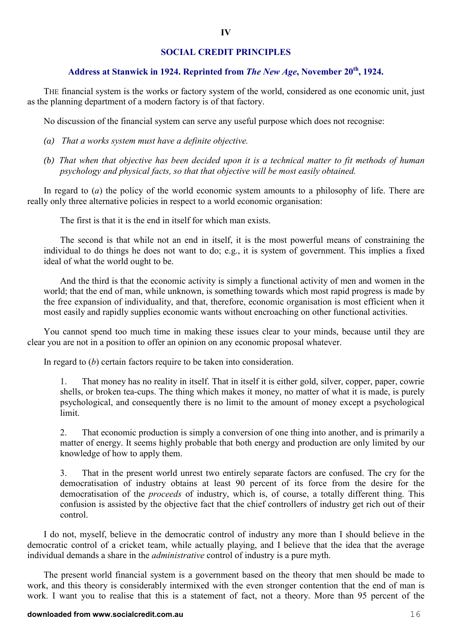#### **SOCIAL CREDIT PRINCIPLES**

#### **Address at Stanwick in 1924. Reprinted from** *The New Age***, November 20th, 1924.**

THE financial system is the works or factory system of the world, considered as one economic unit, just as the planning department of a modern factory is of that factory.

No discussion of the financial system can serve any useful purpose which does not recognise:

- *(a) That a works system must have a definite objective.*
- *(b) That when that objective has been decided upon it is a technical matter to fit methods of human psychology and physical facts, so that that objective will be most easily obtained.*

In regard to (*a*) the policy of the world economic system amounts to a philosophy of life. There are really only three alternative policies in respect to a world economic organisation:

The first is that it is the end in itself for which man exists.

The second is that while not an end in itself, it is the most powerful means of constraining the individual to do things he does not want to do; e.g., it is system of government. This implies a fixed ideal of what the world ought to be.

And the third is that the economic activity is simply a functional activity of men and women in the world; that the end of man, while unknown, is something towards which most rapid progress is made by the free expansion of individuality, and that, therefore, economic organisation is most efficient when it most easily and rapidly supplies economic wants without encroaching on other functional activities.

You cannot spend too much time in making these issues clear to your minds, because until they are clear you are not in a position to offer an opinion on any economic proposal whatever.

In regard to (*b*) certain factors require to be taken into consideration.

1. That money has no reality in itself. That in itself it is either gold, silver, copper, paper, cowrie shells, or broken tea-cups. The thing which makes it money, no matter of what it is made, is purely psychological, and consequently there is no limit to the amount of money except a psychological limit.

2. That economic production is simply a conversion of one thing into another, and is primarily a matter of energy. It seems highly probable that both energy and production are only limited by our knowledge of how to apply them.

3. That in the present world unrest two entirely separate factors are confused. The cry for the democratisation of industry obtains at least 90 percent of its force from the desire for the democratisation of the *proceeds* of industry, which is, of course, a totally different thing. This confusion is assisted by the objective fact that the chief controllers of industry get rich out of their control.

I do not, myself, believe in the democratic control of industry any more than I should believe in the democratic control of a cricket team, while actually playing, and I believe that the idea that the average individual demands a share in the *administrative* control of industry is a pure myth.

The present world financial system is a government based on the theory that men should be made to work, and this theory is considerably intermixed with the even stronger contention that the end of man is work. I want you to realise that this is a statement of fact, not a theory. More than 95 percent of the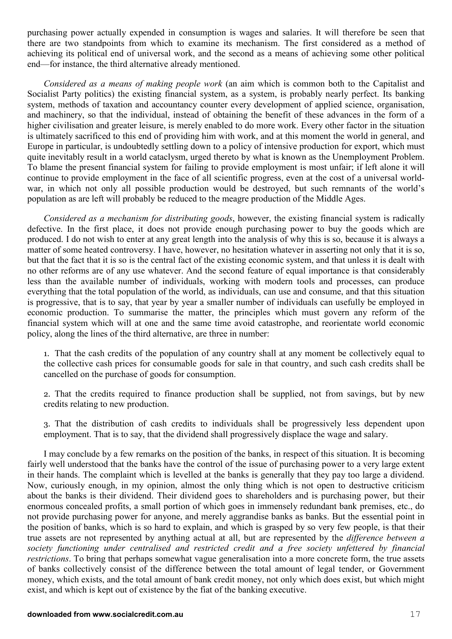purchasing power actually expended in consumption is wages and salaries. It will therefore be seen that there are two standpoints from which to examine its mechanism. The first considered as a method of achieving its political end of universal work, and the second as a means of achieving some other political end—for instance, the third alternative already mentioned.

*Considered as a means of making people work* (an aim which is common both to the Capitalist and Socialist Party politics) the existing financial system, as a system, is probably nearly perfect. Its banking system, methods of taxation and accountancy counter every development of applied science, organisation, and machinery, so that the individual, instead of obtaining the benefit of these advances in the form of a higher civilisation and greater leisure, is merely enabled to do more work. Every other factor in the situation is ultimately sacrificed to this end of providing him with work, and at this moment the world in general, and Europe in particular, is undoubtedly settling down to a policy of intensive production for export, which must quite inevitably result in a world cataclysm, urged thereto by what is known as the Unemployment Problem. To blame the present financial system for failing to provide employment is most unfair; if left alone it will continue to provide employment in the face of all scientific progress, even at the cost of a universal worldwar, in which not only all possible production would be destroyed, but such remnants of the world's population as are left will probably be reduced to the meagre production of the Middle Ages.

*Considered as a mechanism for distributing goods*, however, the existing financial system is radically defective. In the first place, it does not provide enough purchasing power to buy the goods which are produced. I do not wish to enter at any great length into the analysis of why this is so, because it is always a matter of some heated controversy. I have, however, no hesitation whatever in asserting not only that it is so, but that the fact that it is so is the central fact of the existing economic system, and that unless it is dealt with no other reforms are of any use whatever. And the second feature of equal importance is that considerably less than the available number of individuals, working with modern tools and processes, can produce everything that the total population of the world, as individuals, can use and consume, and that this situation is progressive, that is to say, that year by year a smaller number of individuals can usefully be employed in economic production. To summarise the matter, the principles which must govern any reform of the financial system which will at one and the same time avoid catastrophe, and reorientate world economic policy, along the lines of the third alternative, are three in number:

1. That the cash credits of the population of any country shall at any moment be collectively equal to the collective cash prices for consumable goods for sale in that country, and such cash credits shall be cancelled on the purchase of goods for consumption.

2. That the credits required to finance production shall be supplied, not from savings, but by new credits relating to new production.

3. That the distribution of cash credits to individuals shall be progressively less dependent upon employment. That is to say, that the dividend shall progressively displace the wage and salary.

I may conclude by a few remarks on the position of the banks, in respect of this situation. It is becoming fairly well understood that the banks have the control of the issue of purchasing power to a very large extent in their hands. The complaint which is levelled at the banks is generally that they pay too large a dividend. Now, curiously enough, in my opinion, almost the only thing which is not open to destructive criticism about the banks is their dividend. Their dividend goes to shareholders and is purchasing power, but their enormous concealed profits, a small portion of which goes in immensely redundant bank premises, etc., do not provide purchasing power for anyone, and merely aggrandise banks as banks. But the essential point in the position of banks, which is so hard to explain, and which is grasped by so very few people, is that their true assets are not represented by anything actual at all, but are represented by the *difference between a society functioning under centralised and restricted credit and a free society unfettered by financial restrictions*. To bring that perhaps somewhat vague generalisation into a more concrete form, the true assets of banks collectively consist of the difference between the total amount of legal tender, or Government money, which exists, and the total amount of bank credit money, not only which does exist, but which might exist, and which is kept out of existence by the fiat of the banking executive.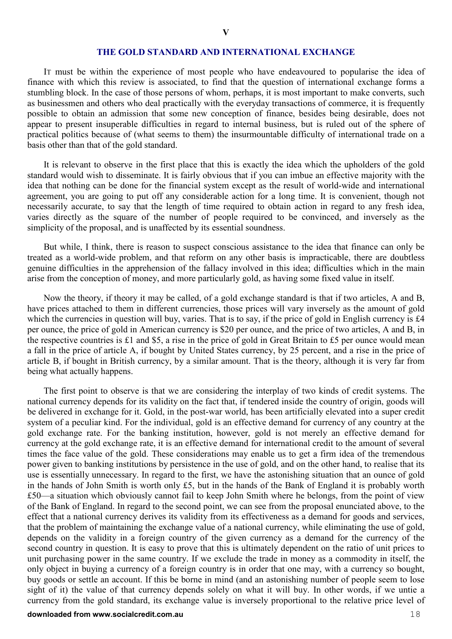#### **THE GOLD STANDARD AND INTERNATIONAL EXCHANGE**

IT must be within the experience of most people who have endeavoured to popularise the idea of finance with which this review is associated, to find that the question of international exchange forms a stumbling block. In the case of those persons of whom, perhaps, it is most important to make converts, such as businessmen and others who deal practically with the everyday transactions of commerce, it is frequently possible to obtain an admission that some new conception of finance, besides being desirable, does not appear to present insuperable difficulties in regard to internal business, but is ruled out of the sphere of practical politics because of (what seems to them) the insurmountable difficulty of international trade on a basis other than that of the gold standard.

It is relevant to observe in the first place that this is exactly the idea which the upholders of the gold standard would wish to disseminate. It is fairly obvious that if you can imbue an effective majority with the idea that nothing can be done for the financial system except as the result of world-wide and international agreement, you are going to put off any considerable action for a long time. It is convenient, though not necessarily accurate, to say that the length of time required to obtain action in regard to any fresh idea, varies directly as the square of the number of people required to be convinced, and inversely as the simplicity of the proposal, and is unaffected by its essential soundness.

But while, I think, there is reason to suspect conscious assistance to the idea that finance can only be treated as a world-wide problem, and that reform on any other basis is impracticable, there are doubtless genuine difficulties in the apprehension of the fallacy involved in this idea; difficulties which in the main arise from the conception of money, and more particularly gold, as having some fixed value in itself.

Now the theory, if theory it may be called, of a gold exchange standard is that if two articles, A and B, have prices attached to them in different currencies, those prices will vary inversely as the amount of gold which the currencies in question will buy, varies. That is to say, if the price of gold in English currency is £4 per ounce, the price of gold in American currency is \$20 per ounce, and the price of two articles, A and B, in the respective countries is £1 and \$5, a rise in the price of gold in Great Britain to £5 per ounce would mean a fall in the price of article A, if bought by United States currency, by 25 percent, and a rise in the price of article B, if bought in British currency, by a similar amount. That is the theory, although it is very far from being what actually happens.

The first point to observe is that we are considering the interplay of two kinds of credit systems. The national currency depends for its validity on the fact that, if tendered inside the country of origin, goods will be delivered in exchange for it. Gold, in the post-war world, has been artificially elevated into a super credit system of a peculiar kind. For the individual, gold is an effective demand for currency of any country at the gold exchange rate. For the banking institution, however, gold is not merely an effective demand for currency at the gold exchange rate, it is an effective demand for international credit to the amount of several times the face value of the gold. These considerations may enable us to get a firm idea of the tremendous power given to banking institutions by persistence in the use of gold, and on the other hand, to realise that its use is essentially unnecessary. In regard to the first, we have the astonishing situation that an ounce of gold in the hands of John Smith is worth only £5, but in the hands of the Bank of England it is probably worth £50—a situation which obviously cannot fail to keep John Smith where he belongs, from the point of view of the Bank of England. In regard to the second point, we can see from the proposal enunciated above, to the effect that a national currency derives its validity from its effectiveness as a demand for goods and services, that the problem of maintaining the exchange value of a national currency, while eliminating the use of gold, depends on the validity in a foreign country of the given currency as a demand for the currency of the second country in question. It is easy to prove that this is ultimately dependent on the ratio of unit prices to unit purchasing power in the same country. If we exclude the trade in money as a commodity in itself, the only object in buying a currency of a foreign country is in order that one may, with a currency so bought, buy goods or settle an account. If this be borne in mind (and an astonishing number of people seem to lose sight of it) the value of that currency depends solely on what it will buy. In other words, if we untie a currency from the gold standard, its exchange value is inversely proportional to the relative price level of

#### **downloaded from www.socialcredit.com.au** 18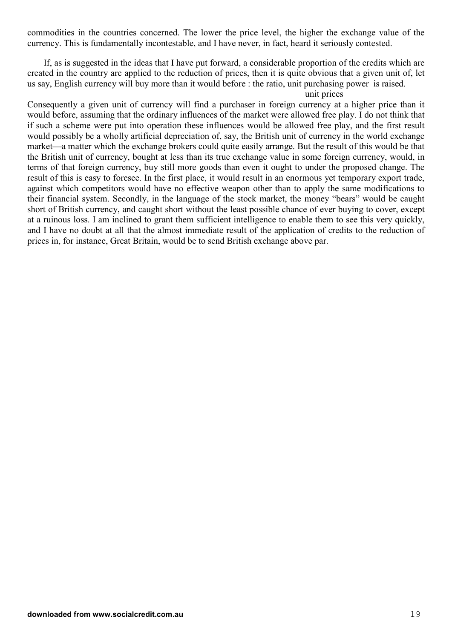commodities in the countries concerned. The lower the price level, the higher the exchange value of the currency. This is fundamentally incontestable, and I have never, in fact, heard it seriously contested.

If, as is suggested in the ideas that I have put forward, a considerable proportion of the credits which are created in the country are applied to the reduction of prices, then it is quite obvious that a given unit of, let us say, English currency will buy more than it would before : the ratio, unit purchasing power is raised.

#### unit prices

Consequently a given unit of currency will find a purchaser in foreign currency at a higher price than it would before, assuming that the ordinary influences of the market were allowed free play. I do not think that if such a scheme were put into operation these influences would be allowed free play, and the first result would possibly be a wholly artificial depreciation of, say, the British unit of currency in the world exchange market—a matter which the exchange brokers could quite easily arrange. But the result of this would be that the British unit of currency, bought at less than its true exchange value in some foreign currency, would, in terms of that foreign currency, buy still more goods than even it ought to under the proposed change. The result of this is easy to foresee. In the first place, it would result in an enormous yet temporary export trade, against which competitors would have no effective weapon other than to apply the same modifications to their financial system. Secondly, in the language of the stock market, the money "bears" would be caught short of British currency, and caught short without the least possible chance of ever buying to cover, except at a ruinous loss. I am inclined to grant them sufficient intelligence to enable them to see this very quickly, and I have no doubt at all that the almost immediate result of the application of credits to the reduction of prices in, for instance, Great Britain, would be to send British exchange above par.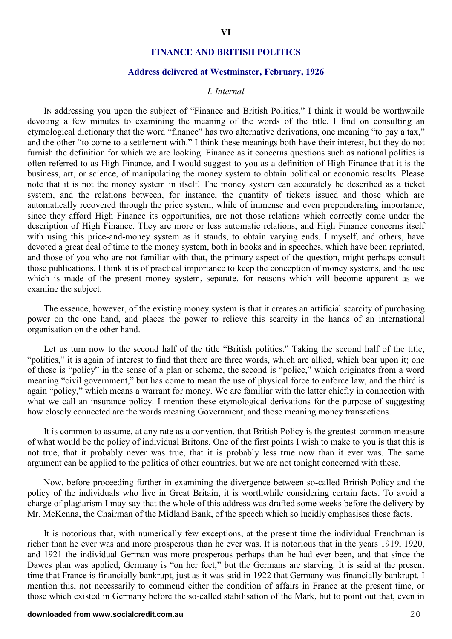#### **FINANCE AND BRITISH POLITICS**

#### **Address delivered at Westminster, February, 1926**

#### *I. Internal*

IN addressing you upon the subject of "Finance and British Politics," I think it would be worthwhile devoting a few minutes to examining the meaning of the words of the title. I find on consulting an etymological dictionary that the word "finance" has two alternative derivations, one meaning "to pay a tax," and the other "to come to a settlement with." I think these meanings both have their interest, but they do not furnish the definition for which we are looking. Finance as it concerns questions such as national politics is often referred to as High Finance, and I would suggest to you as a definition of High Finance that it is the business, art, or science, of manipulating the money system to obtain political or economic results. Please note that it is not the money system in itself. The money system can accurately be described as a ticket system, and the relations between, for instance, the quantity of tickets issued and those which are automatically recovered through the price system, while of immense and even preponderating importance, since they afford High Finance its opportunities, are not those relations which correctly come under the description of High Finance. They are more or less automatic relations, and High Finance concerns itself with using this price-and-money system as it stands, to obtain varying ends. I myself, and others, have devoted a great deal of time to the money system, both in books and in speeches, which have been reprinted, and those of you who are not familiar with that, the primary aspect of the question, might perhaps consult those publications. I think it is of practical importance to keep the conception of money systems, and the use which is made of the present money system, separate, for reasons which will become apparent as we examine the subject.

The essence, however, of the existing money system is that it creates an artificial scarcity of purchasing power on the one hand, and places the power to relieve this scarcity in the hands of an international organisation on the other hand.

Let us turn now to the second half of the title "British politics." Taking the second half of the title, "politics," it is again of interest to find that there are three words, which are allied, which bear upon it; one of these is "policy" in the sense of a plan or scheme, the second is "police," which originates from a word meaning "civil government," but has come to mean the use of physical force to enforce law, and the third is again "policy," which means a warrant for money. We are familiar with the latter chiefly in connection with what we call an insurance policy. I mention these etymological derivations for the purpose of suggesting how closely connected are the words meaning Government, and those meaning money transactions.

It is common to assume, at any rate as a convention, that British Policy is the greatest-common-measure of what would be the policy of individual Britons. One of the first points I wish to make to you is that this is not true, that it probably never was true, that it is probably less true now than it ever was. The same argument can be applied to the politics of other countries, but we are not tonight concerned with these.

Now, before proceeding further in examining the divergence between so-called British Policy and the policy of the individuals who live in Great Britain, it is worthwhile considering certain facts. To avoid a charge of plagiarism I may say that the whole of this address was drafted some weeks before the delivery by Mr. McKenna, the Chairman of the Midland Bank, of the speech which so lucidly emphasises these facts.

It is notorious that, with numerically few exceptions, at the present time the individual Frenchman is richer than he ever was and more prosperous than he ever was. It is notorious that in the years 1919, 1920, and 1921 the individual German was more prosperous perhaps than he had ever been, and that since the Dawes plan was applied, Germany is "on her feet," but the Germans are starving. It is said at the present time that France is financially bankrupt, just as it was said in 1922 that Germany was financially bankrupt. I mention this, not necessarily to commend either the condition of affairs in France at the present time, or those which existed in Germany before the so-called stabilisation of the Mark, but to point out that, even in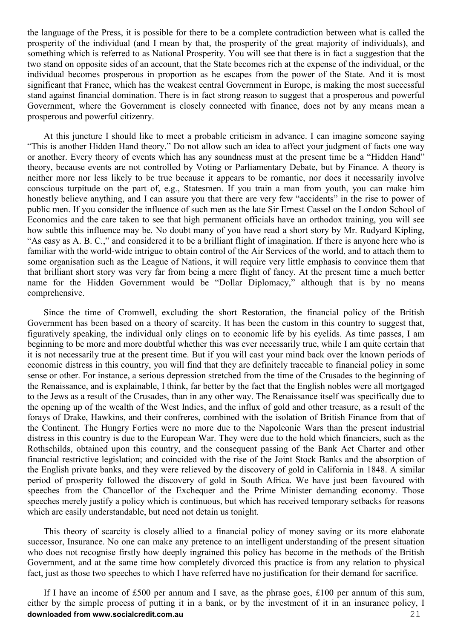the language of the Press, it is possible for there to be a complete contradiction between what is called the prosperity of the individual (and I mean by that, the prosperity of the great majority of individuals), and something which is referred to as National Prosperity. You will see that there is in fact a suggestion that the two stand on opposite sides of an account, that the State becomes rich at the expense of the individual, or the individual becomes prosperous in proportion as he escapes from the power of the State. And it is most significant that France, which has the weakest central Government in Europe, is making the most successful stand against financial domination. There is in fact strong reason to suggest that a prosperous and powerful Government, where the Government is closely connected with finance, does not by any means mean a prosperous and powerful citizenry.

At this juncture I should like to meet a probable criticism in advance. I can imagine someone saying "This is another Hidden Hand theory." Do not allow such an idea to affect your judgment of facts one way or another. Every theory of events which has any soundness must at the present time be a "Hidden Hand" theory, because events are not controlled by Voting or Parliamentary Debate, but by Finance. A theory is neither more nor less likely to be true because it appears to be romantic, nor does it necessarily involve conscious turpitude on the part of, e.g., Statesmen. If you train a man from youth, you can make him honestly believe anything, and I can assure you that there are very few "accidents" in the rise to power of public men. If you consider the influence of such men as the late Sir Ernest Cassel on the London School of Economics and the care taken to see that high permanent officials have an orthodox training, you will see how subtle this influence may be. No doubt many of you have read a short story by Mr. Rudyard Kipling, "As easy as A. B. C.," and considered it to be a brilliant flight of imagination. If there is anyone here who is familiar with the world-wide intrigue to obtain control of the Air Services of the world, and to attach them to some organisation such as the League of Nations, it will require very little emphasis to convince them that that brilliant short story was very far from being a mere flight of fancy. At the present time a much better name for the Hidden Government would be "Dollar Diplomacy," although that is by no means comprehensive.

Since the time of Cromwell, excluding the short Restoration, the financial policy of the British Government has been based on a theory of scarcity. It has been the custom in this country to suggest that, figuratively speaking, the individual only clings on to economic life by his eyelids. As time passes, I am beginning to be more and more doubtful whether this was ever necessarily true, while I am quite certain that it is not necessarily true at the present time. But if you will cast your mind back over the known periods of economic distress in this country, you will find that they are definitely traceable to financial policy in some sense or other. For instance, a serious depression stretched from the time of the Crusades to the beginning of the Renaissance, and is explainable, I think, far better by the fact that the English nobles were all mortgaged to the Jews as a result of the Crusades, than in any other way. The Renaissance itself was specifically due to the opening up of the wealth of the West Indies, and the influx of gold and other treasure, as a result of the forays of Drake, Hawkins, and their confreres, combined with the isolation of British Finance from that of the Continent. The Hungry Forties were no more due to the Napoleonic Wars than the present industrial distress in this country is due to the European War. They were due to the hold which financiers, such as the Rothschilds, obtained upon this country, and the consequent passing of the Bank Act Charter and other financial restrictive legislation; and coincided with the rise of the Joint Stock Banks and the absorption of the English private banks, and they were relieved by the discovery of gold in California in 1848. A similar period of prosperity followed the discovery of gold in South Africa. We have just been favoured with speeches from the Chancellor of the Exchequer and the Prime Minister demanding economy. Those speeches merely justify a policy which is continuous, but which has received temporary setbacks for reasons which are easily understandable, but need not detain us tonight.

This theory of scarcity is closely allied to a financial policy of money saving or its more elaborate successor, Insurance. No one can make any pretence to an intelligent understanding of the present situation who does not recognise firstly how deeply ingrained this policy has become in the methods of the British Government, and at the same time how completely divorced this practice is from any relation to physical fact, just as those two speeches to which I have referred have no justification for their demand for sacrifice.

**downloaded from www.socialcredit.com.au** 21 If I have an income of £500 per annum and I save, as the phrase goes, £100 per annum of this sum, either by the simple process of putting it in a bank, or by the investment of it in an insurance policy, I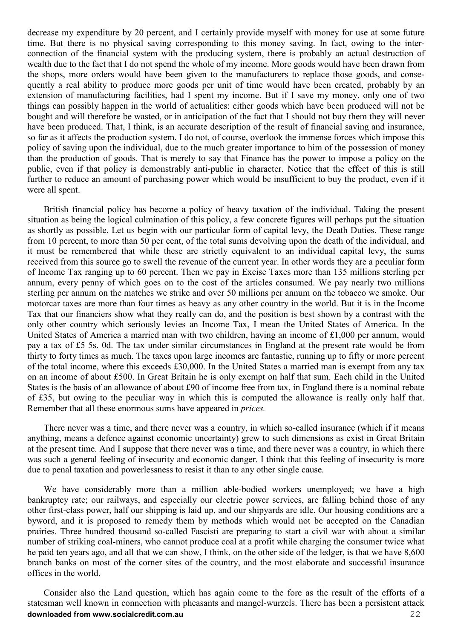decrease my expenditure by 20 percent, and I certainly provide myself with money for use at some future time. But there is no physical saving corresponding to this money saving. In fact, owing to the interconnection of the financial system with the producing system, there is probably an actual destruction of wealth due to the fact that I do not spend the whole of my income. More goods would have been drawn from the shops, more orders would have been given to the manufacturers to replace those goods, and consequently a real ability to produce more goods per unit of time would have been created, probably by an extension of manufacturing facilities, had I spent my income. But if I save my money, only one of two things can possibly happen in the world of actualities: either goods which have been produced will not be bought and will therefore be wasted, or in anticipation of the fact that I should not buy them they will never have been produced. That, I think, is an accurate description of the result of financial saving and insurance, so far as it affects the production system. I do not, of course, overlook the immense forces which impose this policy of saving upon the individual, due to the much greater importance to him of the possession of money than the production of goods. That is merely to say that Finance has the power to impose a policy on the public, even if that policy is demonstrably anti-public in character. Notice that the effect of this is still further to reduce an amount of purchasing power which would be insufficient to buy the product, even if it were all spent.

British financial policy has become a policy of heavy taxation of the individual. Taking the present situation as being the logical culmination of this policy, a few concrete figures will perhaps put the situation as shortly as possible. Let us begin with our particular form of capital levy, the Death Duties. These range from 10 percent, to more than 50 per cent, of the total sums devolving upon the death of the individual, and it must be remembered that while these are strictly equivalent to an individual capital levy, the sums received from this source go to swell the revenue of the current year. In other words they are a peculiar form of Income Tax ranging up to 60 percent. Then we pay in Excise Taxes more than 135 millions sterling per annum, every penny of which goes on to the cost of the articles consumed. We pay nearly two millions sterling per annum on the matches we strike and over 50 millions per annum on the tobacco we smoke. Our motorcar taxes are more than four times as heavy as any other country in the world. But it is in the Income Tax that our financiers show what they really can do, and the position is best shown by a contrast with the only other country which seriously levies an Income Tax, I mean the United States of America. In the United States of America a married man with two children, having an income of £1,000 per annum, would pay a tax of £5 5s. 0d. The tax under similar circumstances in England at the present rate would be from thirty to forty times as much. The taxes upon large incomes are fantastic, running up to fifty or more percent of the total income, where this exceeds £30,000. In the United States a married man is exempt from any tax on an income of about £500. In Great Britain he is only exempt on half that sum. Each child in the United States is the basis of an allowance of about £90 of income free from tax, in England there is a nominal rebate of £35, but owing to the peculiar way in which this is computed the allowance is really only half that. Remember that all these enormous sums have appeared in *prices.*

There never was a time, and there never was a country, in which so-called insurance (which if it means anything, means a defence against economic uncertainty) grew to such dimensions as exist in Great Britain at the present time. And I suppose that there never was a time, and there never was a country, in which there was such a general feeling of insecurity and economic danger. I think that this feeling of insecurity is more due to penal taxation and powerlessness to resist it than to any other single cause.

We have considerably more than a million able-bodied workers unemployed; we have a high bankruptcy rate; our railways, and especially our electric power services, are falling behind those of any other first-class power, half our shipping is laid up, and our shipyards are idle. Our housing conditions are a byword, and it is proposed to remedy them by methods which would not be accepted on the Canadian prairies. Three hundred thousand so-called Fascisti are preparing to start a civil war with about a similar number of striking coal-miners, who cannot produce coal at a profit while charging the consumer twice what he paid ten years ago, and all that we can show, I think, on the other side of the ledger, is that we have 8,600 branch banks on most of the corner sites of the country, and the most elaborate and successful insurance offices in the world.

**downloaded from www.socialcredit.com.au** 22 Consider also the Land question, which has again come to the fore as the result of the efforts of a statesman well known in connection with pheasants and mangel-wurzels. There has been a persistent attack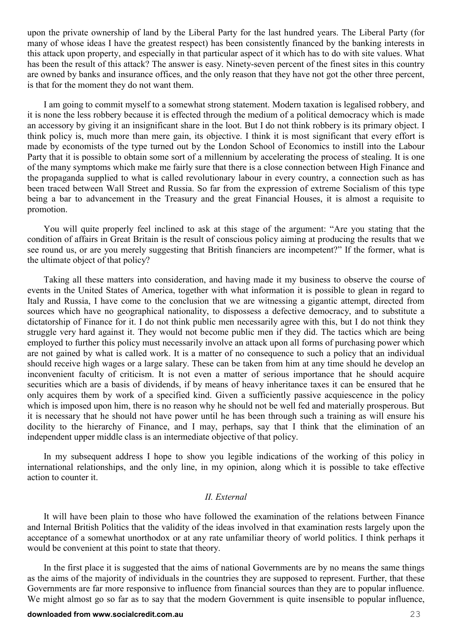upon the private ownership of land by the Liberal Party for the last hundred years. The Liberal Party (for many of whose ideas I have the greatest respect) has been consistently financed by the banking interests in this attack upon property, and especially in that particular aspect of it which has to do with site values. What has been the result of this attack? The answer is easy. Ninety-seven percent of the finest sites in this country are owned by banks and insurance offices, and the only reason that they have not got the other three percent, is that for the moment they do not want them.

I am going to commit myself to a somewhat strong statement. Modern taxation is legalised robbery, and it is none the less robbery because it is effected through the medium of a political democracy which is made an accessory by giving it an insignificant share in the loot. But I do not think robbery is its primary object. I think policy is, much more than mere gain, its objective. I think it is most significant that every effort is made by economists of the type turned out by the London School of Economics to instill into the Labour Party that it is possible to obtain some sort of a millennium by accelerating the process of stealing. It is one of the many symptoms which make me fairly sure that there is a close connection between High Finance and the propaganda supplied to what is called revolutionary labour in every country, a connection such as has been traced between Wall Street and Russia. So far from the expression of extreme Socialism of this type being a bar to advancement in the Treasury and the great Financial Houses, it is almost a requisite to promotion.

You will quite properly feel inclined to ask at this stage of the argument: "Are you stating that the condition of affairs in Great Britain is the result of conscious policy aiming at producing the results that we see round us, or are you merely suggesting that British financiers are incompetent?" If the former, what is the ultimate object of that policy?

Taking all these matters into consideration, and having made it my business to observe the course of events in the United States of America, together with what information it is possible to glean in regard to Italy and Russia, I have come to the conclusion that we are witnessing a gigantic attempt, directed from sources which have no geographical nationality, to dispossess a defective democracy, and to substitute a dictatorship of Finance for it. I do not think public men necessarily agree with this, but I do not think they struggle very hard against it. They would not become public men if they did. The tactics which are being employed to further this policy must necessarily involve an attack upon all forms of purchasing power which are not gained by what is called work. It is a matter of no consequence to such a policy that an individual should receive high wages or a large salary. These can be taken from him at any time should he develop an inconvenient faculty of criticism. It is not even a matter of serious importance that he should acquire securities which are a basis of dividends, if by means of heavy inheritance taxes it can be ensured that he only acquires them by work of a specified kind. Given a sufficiently passive acquiescence in the policy which is imposed upon him, there is no reason why he should not be well fed and materially prosperous. But it is necessary that he should not have power until he has been through such a training as will ensure his docility to the hierarchy of Finance, and I may, perhaps, say that I think that the elimination of an independent upper middle class is an intermediate objective of that policy.

In my subsequent address I hope to show you legible indications of the working of this policy in international relationships, and the only line, in my opinion, along which it is possible to take effective action to counter it.

#### *II. External*

It will have been plain to those who have followed the examination of the relations between Finance and Internal British Politics that the validity of the ideas involved in that examination rests largely upon the acceptance of a somewhat unorthodox or at any rate unfamiliar theory of world politics. I think perhaps it would be convenient at this point to state that theory.

In the first place it is suggested that the aims of national Governments are by no means the same things as the aims of the majority of individuals in the countries they are supposed to represent. Further, that these Governments are far more responsive to influence from financial sources than they are to popular influence. We might almost go so far as to say that the modern Government is quite insensible to popular influence,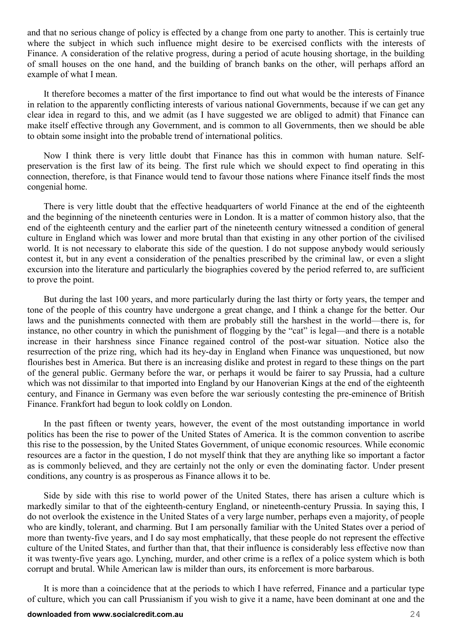and that no serious change of policy is effected by a change from one party to another. This is certainly true where the subject in which such influence might desire to be exercised conflicts with the interests of Finance. A consideration of the relative progress, during a period of acute housing shortage, in the building of small houses on the one hand, and the building of branch banks on the other, will perhaps afford an example of what I mean.

It therefore becomes a matter of the first importance to find out what would be the interests of Finance in relation to the apparently conflicting interests of various national Governments, because if we can get any clear idea in regard to this, and we admit (as I have suggested we are obliged to admit) that Finance can make itself effective through any Government, and is common to all Governments, then we should be able to obtain some insight into the probable trend of international politics.

Now I think there is very little doubt that Finance has this in common with human nature. Selfpreservation is the first law of its being. The first rule which we should expect to find operating in this connection, therefore, is that Finance would tend to favour those nations where Finance itself finds the most congenial home.

There is very little doubt that the effective headquarters of world Finance at the end of the eighteenth and the beginning of the nineteenth centuries were in London. It is a matter of common history also, that the end of the eighteenth century and the earlier part of the nineteenth century witnessed a condition of general culture in England which was lower and more brutal than that existing in any other portion of the civilised world. It is not necessary to elaborate this side of the question. I do not suppose anybody would seriously contest it, but in any event a consideration of the penalties prescribed by the criminal law, or even a slight excursion into the literature and particularly the biographies covered by the period referred to, are sufficient to prove the point.

But during the last 100 years, and more particularly during the last thirty or forty years, the temper and tone of the people of this country have undergone a great change, and I think a change for the better. Our laws and the punishments connected with them are probably still the harshest in the world—there is, for instance, no other country in which the punishment of flogging by the "cat" is legal—and there is a notable increase in their harshness since Finance regained control of the post-war situation. Notice also the resurrection of the prize ring, which had its hey-day in England when Finance was unquestioned, but now flourishes best in America. But there is an increasing dislike and protest in regard to these things on the part of the general public. Germany before the war, or perhaps it would be fairer to say Prussia, had a culture which was not dissimilar to that imported into England by our Hanoverian Kings at the end of the eighteenth century, and Finance in Germany was even before the war seriously contesting the pre-eminence of British Finance. Frankfort had begun to look coldly on London.

In the past fifteen or twenty years, however, the event of the most outstanding importance in world politics has been the rise to power of the United States of America. It is the common convention to ascribe this rise to the possession, by the United States Government, of unique economic resources. While economic resources are a factor in the question, I do not myself think that they are anything like so important a factor as is commonly believed, and they are certainly not the only or even the dominating factor. Under present conditions, any country is as prosperous as Finance allows it to be.

Side by side with this rise to world power of the United States, there has arisen a culture which is markedly similar to that of the eighteenth-century England, or nineteenth-century Prussia. In saying this, I do not overlook the existence in the United States of a very large number, perhaps even a majority, of people who are kindly, tolerant, and charming. But I am personally familiar with the United States over a period of more than twenty-five years, and I do say most emphatically, that these people do not represent the effective culture of the United States, and further than that, that their influence is considerably less effective now than it was twenty-five years ago. Lynching, murder, and other crime is a reflex of a police system which is both corrupt and brutal. While American law is milder than ours, its enforcement is more barbarous.

It is more than a coincidence that at the periods to which I have referred, Finance and a particular type of culture, which you can call Prussianism if you wish to give it a name, have been dominant at one and the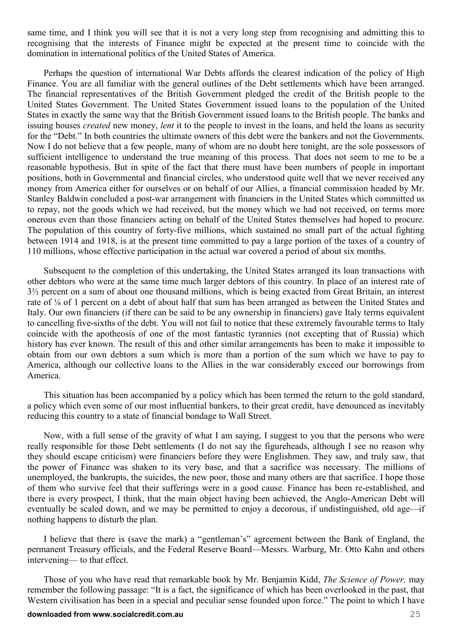same time, and I think you will see that it is not a very long step from recognising and admitting this to recognising that the interests of Finance might be expected at the present time to coincide with the domination in international politics of the United States of America.

Perhaps the question of international War Debts affords the clearest indication of the policy of High Finance. You are all familiar with the general outlines of the Debt settlements which have been arranged. The financial representatives of the British Government pledged the credit of the British people to the United States Government. The United States Government issued loans to the population of the United States in exactly the same way that the British Government issued loans to the British people. The banks and issuing houses *created* new money, *lent* it to the people to invest in the loans, and held the loans as security for the "Debt." In both countries the ultimate owners of this debt were the bankers and not the Governments. Now I do not believe that a few people, many of whom are no doubt here tonight, are the sole possessors of sufficient intelligence to understand the true meaning of this process. That does not seem to me to be a reasonable hypothesis. But in spite of the fact that there must have been numbers of people in important positions, both in Governmental and financial circles, who understood quite well that we never received any money from America either for ourselves or on behalf of our Allies, a financial commission headed by Mr. Stanley Baldwin concluded a post-war arrangement with financiers in the United States which committed us to repay, not the goods which we had received, but the money which we had not received, on terms more onerous even than those financiers acting on behalf of the United States themselves had hoped to procure. The population of this country of forty-five millions, which sustained no small part of the actual fighting between 1914 and 1918, is at the present time committed to pay a large portion of the taxes of a country of 110 millions, whose effective participation in the actual war covered a period of about six months.

Subsequent to the completion of this undertaking, the United States arranged its loan transactions with other debtors who were at the same time much larger debtors of this country. In place of an interest rate of 3½ percent on a sum of about one thousand millions, which is being exacted from Great Britain, an interest rate of ⅛ of 1 percent on a debt of about half that sum has been arranged as between the United States and Italy. Our own financiers (if there can be said to be any ownership in financiers) gave Italy terms equivalent to cancelling five-sixths of the debt. You will not fail to notice that these extremely favourable terms to Italy coincide with the apotheosis of one of the most fantastic tyrannies (not excepting that of Russia) which history has ever known. The result of this and other similar arrangements has been to make it impossible to obtain from our own debtors a sum which is more than a portion of the sum which we have to pay to America, although our collective loans to the Allies in the war considerably exceed our borrowings from America.

This situation has been accompanied by a policy which has been termed the return to the gold standard, a policy which even some of our most influential bankers, to their great credit, have denounced as inevitably reducing this country to a state of financial bondage to Wall Street.

Now, with a full sense of the gravity of what I am saying, I suggest to you that the persons who were really responsible for those Debt settlements (I do not say the figureheads, although I see no reason why they should escape criticism) were financiers before they were Englishmen. They saw, and truly saw, that the power of Finance was shaken to its very base, and that a sacrifice was necessary. The millions of unemployed, the bankrupts, the suicides, the new poor, those and many others are that sacrifice. I hope those of them who survive feel that their sufferings were in a good cause. Finance has been re-established, and there is every prospect, I think, that the main object having been achieved, the Anglo-American Debt will eventually be scaled down, and we may be permitted to enjoy a decorous, if undistinguished, old age—if nothing happens to disturb the plan.

I believe that there is (save the mark) a "gentleman's" agreement between the Bank of England, the permanent Treasury officials, and the Federal Reserve Board—Messrs. Warburg, Mr. Otto Kahn and others intervening— to that effect.

Those of you who have read that remarkable book by Mr. Benjamin Kidd, *The Science of Power,* may remember the following passage: "It is a fact, the significance of which has been overlooked in the past, that Western civilisation has been in a special and peculiar sense founded upon force." The point to which I have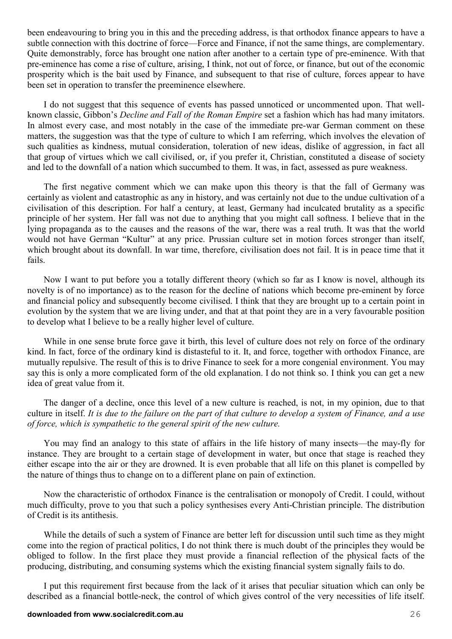been endeavouring to bring you in this and the preceding address, is that orthodox finance appears to have a subtle connection with this doctrine of force—Force and Finance, if not the same things, are complementary. Quite demonstrably, force has brought one nation after another to a certain type of pre-eminence. With that pre-eminence has come a rise of culture, arising, I think, not out of force, or finance, but out of the economic prosperity which is the bait used by Finance, and subsequent to that rise of culture, forces appear to have been set in operation to transfer the preeminence elsewhere.

I do not suggest that this sequence of events has passed unnoticed or uncommented upon. That wellknown classic, Gibbon's *Decline and Fall of the Roman Empire* set a fashion which has had many imitators. In almost every case, and most notably in the case of the immediate pre-war German comment on these matters, the suggestion was that the type of culture to which I am referring, which involves the elevation of such qualities as kindness, mutual consideration, toleration of new ideas, dislike of aggression, in fact all that group of virtues which we call civilised, or, if you prefer it, Christian, constituted a disease of society and led to the downfall of a nation which succumbed to them. It was, in fact, assessed as pure weakness.

The first negative comment which we can make upon this theory is that the fall of Germany was certainly as violent and catastrophic as any in history, and was certainly not due to the undue cultivation of a civilisation of this description. For half a century, at least, Germany had inculcated brutality as a specific principle of her system. Her fall was not due to anything that you might call softness. I believe that in the lying propaganda as to the causes and the reasons of the war, there was a real truth. It was that the world would not have German "Kultur" at any price. Prussian culture set in motion forces stronger than itself, which brought about its downfall. In war time, therefore, civilisation does not fail. It is in peace time that it fails.

Now I want to put before you a totally different theory (which so far as I know is novel, although its novelty is of no importance) as to the reason for the decline of nations which become pre-eminent by force and financial policy and subsequently become civilised. I think that they are brought up to a certain point in evolution by the system that we are living under, and that at that point they are in a very favourable position to develop what I believe to be a really higher level of culture.

While in one sense brute force gave it birth, this level of culture does not rely on force of the ordinary kind. In fact, force of the ordinary kind is distasteful to it. It, and force, together with orthodox Finance, are mutually repulsive. The result of this is to drive Finance to seek for a more congenial environment. You may say this is only a more complicated form of the old explanation. I do not think so. I think you can get a new idea of great value from it.

The danger of a decline, once this level of a new culture is reached, is not, in my opinion, due to that culture in itself. *It is due to the failure on the part of that culture to develop a system of Finance, and a use of force, which is sympathetic to the general spirit of the new culture.* 

You may find an analogy to this state of affairs in the life history of many insects—the may-fly for instance. They are brought to a certain stage of development in water, but once that stage is reached they either escape into the air or they are drowned. It is even probable that all life on this planet is compelled by the nature of things thus to change on to a different plane on pain of extinction.

Now the characteristic of orthodox Finance is the centralisation or monopoly of Credit. I could, without much difficulty, prove to you that such a policy synthesises every Anti-Christian principle. The distribution of Credit is its antithesis.

While the details of such a system of Finance are better left for discussion until such time as they might come into the region of practical politics, I do not think there is much doubt of the principles they would be obliged to follow. In the first place they must provide a financial reflection of the physical facts of the producing, distributing, and consuming systems which the existing financial system signally fails to do.

I put this requirement first because from the lack of it arises that peculiar situation which can only be described as a financial bottle-neck, the control of which gives control of the very necessities of life itself.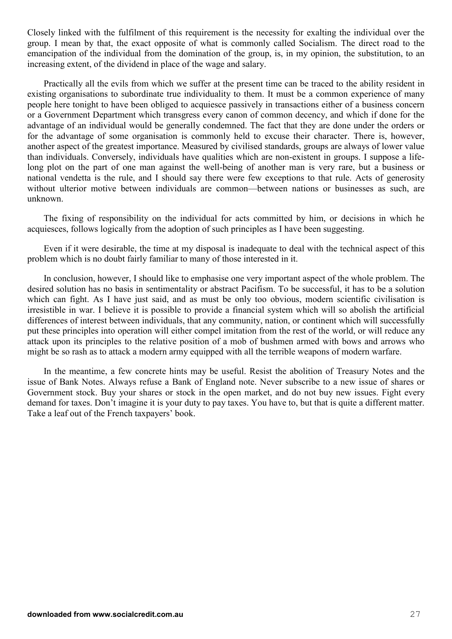Closely linked with the fulfilment of this requirement is the necessity for exalting the individual over the group. I mean by that, the exact opposite of what is commonly called Socialism. The direct road to the emancipation of the individual from the domination of the group, is, in my opinion, the substitution, to an increasing extent, of the dividend in place of the wage and salary.

Practically all the evils from which we suffer at the present time can be traced to the ability resident in existing organisations to subordinate true individuality to them. It must be a common experience of many people here tonight to have been obliged to acquiesce passively in transactions either of a business concern or a Government Department which transgress every canon of common decency, and which if done for the advantage of an individual would be generally condemned. The fact that they are done under the orders or for the advantage of some organisation is commonly held to excuse their character. There is, however, another aspect of the greatest importance. Measured by civilised standards, groups are always of lower value than individuals. Conversely, individuals have qualities which are non-existent in groups. I suppose a lifelong plot on the part of one man against the well-being of another man is very rare, but a business or national vendetta is the rule, and I should say there were few exceptions to that rule. Acts of generosity without ulterior motive between individuals are common—between nations or businesses as such, are unknown.

The fixing of responsibility on the individual for acts committed by him, or decisions in which he acquiesces, follows logically from the adoption of such principles as I have been suggesting.

Even if it were desirable, the time at my disposal is inadequate to deal with the technical aspect of this problem which is no doubt fairly familiar to many of those interested in it.

In conclusion, however, I should like to emphasise one very important aspect of the whole problem. The desired solution has no basis in sentimentality or abstract Pacifism. To be successful, it has to be a solution which can fight. As I have just said, and as must be only too obvious, modern scientific civilisation is irresistible in war. I believe it is possible to provide a financial system which will so abolish the artificial differences of interest between individuals, that any community, nation, or continent which will successfully put these principles into operation will either compel imitation from the rest of the world, or will reduce any attack upon its principles to the relative position of a mob of bushmen armed with bows and arrows who might be so rash as to attack a modern army equipped with all the terrible weapons of modern warfare.

In the meantime, a few concrete hints may be useful. Resist the abolition of Treasury Notes and the issue of Bank Notes. Always refuse a Bank of England note. Never subscribe to a new issue of shares or Government stock. Buy your shares or stock in the open market, and do not buy new issues. Fight every demand for taxes. Don't imagine it is your duty to pay taxes. You have to, but that is quite a different matter. Take a leaf out of the French taxpayers' book.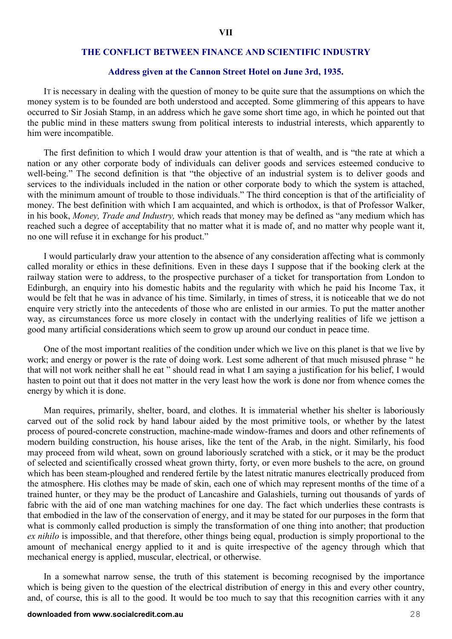#### **THE CONFLICT BETWEEN FINANCE AND SCIENTIFIC INDUSTRY**

#### **Address given at the Cannon Street Hotel on June 3rd, 1935.**

IT is necessary in dealing with the question of money to be quite sure that the assumptions on which the money system is to be founded are both understood and accepted. Some glimmering of this appears to have occurred to Sir Josiah Stamp, in an address which he gave some short time ago, in which he pointed out that the public mind in these matters swung from political interests to industrial interests, which apparently to him were incompatible.

The first definition to which I would draw your attention is that of wealth, and is "the rate at which a nation or any other corporate body of individuals can deliver goods and services esteemed conducive to well-being." The second definition is that "the objective of an industrial system is to deliver goods and services to the individuals included in the nation or other corporate body to which the system is attached, with the minimum amount of trouble to those individuals." The third conception is that of the artificiality of money. The best definition with which I am acquainted, and which is orthodox, is that of Professor Walker, in his book, *Money, Trade and Industry,* which reads that money may be defined as "any medium which has reached such a degree of acceptability that no matter what it is made of, and no matter why people want it, no one will refuse it in exchange for his product."

I would particularly draw your attention to the absence of any consideration affecting what is commonly called morality or ethics in these definitions. Even in these days I suppose that if the booking clerk at the railway station were to address, to the prospective purchaser of a ticket for transportation from London to Edinburgh, an enquiry into his domestic habits and the regularity with which he paid his Income Tax, it would be felt that he was in advance of his time. Similarly, in times of stress, it is noticeable that we do not enquire very strictly into the antecedents of those who are enlisted in our armies. To put the matter another way, as circumstances force us more closely in contact with the underlying realities of life we jettison a good many artificial considerations which seem to grow up around our conduct in peace time.

One of the most important realities of the condition under which we live on this planet is that we live by work; and energy or power is the rate of doing work. Lest some adherent of that much misused phrase " he that will not work neither shall he eat " should read in what I am saying a justification for his belief, I would hasten to point out that it does not matter in the very least how the work is done nor from whence comes the energy by which it is done.

Man requires, primarily, shelter, board, and clothes. It is immaterial whether his shelter is laboriously carved out of the solid rock by hand labour aided by the most primitive tools, or whether by the latest process of poured-concrete construction, machine-made window-frames and doors and other refinements of modern building construction, his house arises, like the tent of the Arab, in the night. Similarly, his food may proceed from wild wheat, sown on ground laboriously scratched with a stick, or it may be the product of selected and scientifically crossed wheat grown thirty, forty, or even more bushels to the acre, on ground which has been steam-ploughed and rendered fertile by the latest nitratic manures electrically produced from the atmosphere. His clothes may be made of skin, each one of which may represent months of the time of a trained hunter, or they may be the product of Lancashire and Galashiels, turning out thousands of yards of fabric with the aid of one man watching machines for one day. The fact which underlies these contrasts is that embodied in the law of the conservation of energy, and it may be stated for our purposes in the form that what is commonly called production is simply the transformation of one thing into another; that production *ex nihilo* is impossible, and that therefore, other things being equal, production is simply proportional to the amount of mechanical energy applied to it and is quite irrespective of the agency through which that mechanical energy is applied, muscular, electrical, or otherwise.

In a somewhat narrow sense, the truth of this statement is becoming recognised by the importance which is being given to the question of the electrical distribution of energy in this and every other country, and, of course, this is all to the good. It would be too much to say that this recognition carries with it any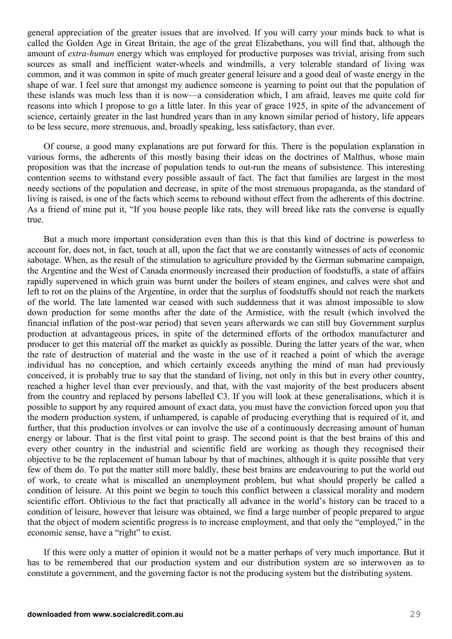general appreciation of the greater issues that are involved. If you will carry your minds back to what is called the Golden Age in Great Britain, the age of the great Elizabethans, you will find that, although the amount of *extra-human* energy which was employed for productive purposes was trivial, arising from such sources as small and inefficient water-wheels and windmills, a very tolerable standard of living was common, and it was common in spite of much greater general leisure and a good deal of waste energy in the shape of war. I feel sure that amongst my audience someone is yearning to point out that the population of these islands was much less than it is now—a consideration which, I am afraid, leaves me quite cold for reasons into which I propose to go a little later. In this year of grace 1925, in spite of the advancement of science, certainly greater in the last hundred years than in any known similar period of history, life appears to be less secure, more strenuous, and, broadly speaking, less satisfactory, than ever.

Of course, a good many explanations are put forward for this. There is the population explanation in various forms, the adherents of this mostly basing their ideas on the doctrines of Malthus, whose main proposition was that the increase of population tends to out-run the means of subsistence. This interesting contention seems to withstand every possible assault of fact. The fact that families are largest in the most needy sections of the population and decrease, in spite of the most strenuous propaganda, as the standard of living is raised, is one of the facts which seems to rebound without effect from the adherents of this doctrine. As a friend of mine put it, "If you house people like rats, they will breed like rats the converse is equally true.

But a much more important consideration even than this is that this kind of doctrine is powerless to account for, does not, in fact, touch at all, upon the fact that we are constantly witnesses of acts of economic sabotage. When, as the result of the stimulation to agriculture provided by the German submarine campaign, the Argentine and the West of Canada enormously increased their production of foodstuffs, a state of affairs rapidly supervened in which grain was burnt under the boilers of steam engines, and calves were shot and left to rot on the plains of the Argentine, in order that the surplus of foodstuffs should not reach the markets of the world. The late lamented war ceased with such suddenness that it was almost impossible to slow down production for some months after the date of the Armistice, with the result (which involved the financial inflation of the post-war period) that seven years afterwards we can still buy Government surplus production at advantageous prices, in spite of the determined efforts of the orthodox manufacturer and producer to get this material off the market as quickly as possible. During the latter years of the war, when the rate of destruction of material and the waste in the use of it reached a point of which the average individual has no conception, and which certainly exceeds anything the mind of man had previously conceived, it is probably true to say that the standard of living, not only in this but in every other country, reached a higher level than ever previously, and that, with the vast majority of the best producers absent from the country and replaced by persons labelled C3. If you will look at these generalisations, which it is possible to support by any required amount of exact data, you must have the conviction forced upon you that the modern production system, if unhampered, is capable of producing everything that is required of it, and further, that this production involves or can involve the use of a continuously decreasing amount of human energy or labour. That is the first vital point to grasp. The second point is that the best brains of this and every other country in the industrial and scientific field are working as though they recognised their objective to be the replacement of human labour by that of machines, although it is quite possible that very few of them do. To put the matter still more baldly, these best brains are endeavouring to put the world out of work, to create what is miscalled an unemployment problem, but what should properly be called a condition of leisure. At this point we begin to touch this conflict between a classical morality and modern scientific effort. Oblivious to the fact that practically all advance in the world's history can be traced to a condition of leisure, however that leisure was obtained, we find a large number of people prepared to argue that the object of modern scientific progress is to increase employment, and that only the "employed," in the economic sense, have a "right" to exist.

If this were only a matter of opinion it would not be a matter perhaps of very much importance. But it has to be remembered that our production system and our distribution system are so interwoven as to constitute a government, and the governing factor is not the producing system but the distributing system.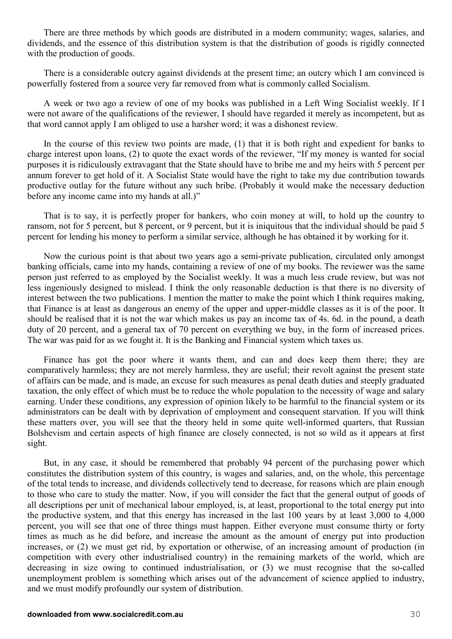There are three methods by which goods are distributed in a modern community; wages, salaries, and dividends, and the essence of this distribution system is that the distribution of goods is rigidly connected with the production of goods.

There is a considerable outcry against dividends at the present time; an outcry which I am convinced is powerfully fostered from a source very far removed from what is commonly called Socialism.

A week or two ago a review of one of my books was published in a Left Wing Socialist weekly. If I were not aware of the qualifications of the reviewer, I should have regarded it merely as incompetent, but as that word cannot apply I am obliged to use a harsher word; it was a dishonest review.

In the course of this review two points are made, (1) that it is both right and expedient for banks to charge interest upon loans, (2) to quote the exact words of the reviewer, "If my money is wanted for social purposes it is ridiculously extravagant that the State should have to bribe me and my heirs with 5 percent per annum forever to get hold of it. A Socialist State would have the right to take my due contribution towards productive outlay for the future without any such bribe. (Probably it would make the necessary deduction before any income came into my hands at all.)"

That is to say, it is perfectly proper for bankers, who coin money at will, to hold up the country to ransom, not for 5 percent, but 8 percent, or 9 percent, but it is iniquitous that the individual should be paid 5 percent for lending his money to perform a similar service, although he has obtained it by working for it.

Now the curious point is that about two years ago a semi-private publication, circulated only amongst banking officials, came into my hands, containing a review of one of my books. The reviewer was the same person just referred to as employed by the Socialist weekly. It was a much less crude review, but was not less ingeniously designed to mislead. I think the only reasonable deduction is that there is no diversity of interest between the two publications. I mention the matter to make the point which I think requires making, that Finance is at least as dangerous an enemy of the upper and upper-middle classes as it is of the poor. It should be realised that it is not the war which makes us pay an income tax of 4s. 6d. in the pound, a death duty of 20 percent, and a general tax of 70 percent on everything we buy, in the form of increased prices. The war was paid for as we fought it. It is the Banking and Financial system which taxes us.

Finance has got the poor where it wants them, and can and does keep them there; they are comparatively harmless; they are not merely harmless, they are useful; their revolt against the present state of affairs can be made, and is made, an excuse for such measures as penal death duties and steeply graduated taxation, the only effect of which must be to reduce the whole population to the necessity of wage and salary earning. Under these conditions, any expression of opinion likely to be harmful to the financial system or its administrators can be dealt with by deprivation of employment and consequent starvation. If you will think these matters over, you will see that the theory held in some quite well-informed quarters, that Russian Bolshevism and certain aspects of high finance are closely connected, is not so wild as it appears at first sight.

But, in any case, it should be remembered that probably 94 percent of the purchasing power which constitutes the distribution system of this country, is wages and salaries, and, on the whole, this percentage of the total tends to increase, and dividends collectively tend to decrease, for reasons which are plain enough to those who care to study the matter. Now, if you will consider the fact that the general output of goods of all descriptions per unit of mechanical labour employed, is, at least, proportional to the total energy put into the productive system, and that this energy has increased in the last 100 years by at least 3,000 to 4,000 percent, you will see that one of three things must happen. Either everyone must consume thirty or forty times as much as he did before, and increase the amount as the amount of energy put into production increases, or (2) we must get rid, by exportation or otherwise, of an increasing amount of production (in competition with every other industrialised country) in the remaining markets of the world, which are decreasing in size owing to continued industrialisation, or (3) we must recognise that the so-called unemployment problem is something which arises out of the advancement of science applied to industry, and we must modify profoundly our system of distribution.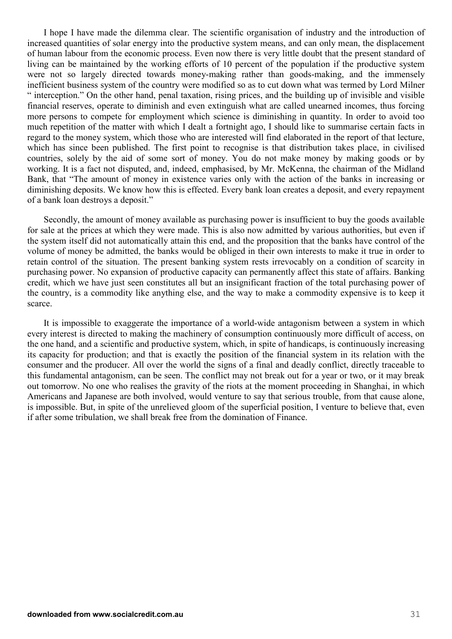I hope I have made the dilemma clear. The scientific organisation of industry and the introduction of increased quantities of solar energy into the productive system means, and can only mean, the displacement of human labour from the economic process. Even now there is very little doubt that the present standard of living can be maintained by the working efforts of 10 percent of the population if the productive system were not so largely directed towards money-making rather than goods-making, and the immensely inefficient business system of the country were modified so as to cut down what was termed by Lord Milner " interception." On the other hand, penal taxation, rising prices, and the building up of invisible and visible financial reserves, operate to diminish and even extinguish what are called unearned incomes, thus forcing more persons to compete for employment which science is diminishing in quantity. In order to avoid too much repetition of the matter with which I dealt a fortnight ago, I should like to summarise certain facts in regard to the money system, which those who are interested will find elaborated in the report of that lecture, which has since been published. The first point to recognise is that distribution takes place, in civilised countries, solely by the aid of some sort of money. You do not make money by making goods or by working. It is a fact not disputed, and, indeed, emphasised, by Mr. McKenna, the chairman of the Midland Bank, that "The amount of money in existence varies only with the action of the banks in increasing or diminishing deposits. We know how this is effected. Every bank loan creates a deposit, and every repayment of a bank loan destroys a deposit."

Secondly, the amount of money available as purchasing power is insufficient to buy the goods available for sale at the prices at which they were made. This is also now admitted by various authorities, but even if the system itself did not automatically attain this end, and the proposition that the banks have control of the volume of money be admitted, the banks would be obliged in their own interests to make it true in order to retain control of the situation. The present banking system rests irrevocably on a condition of scarcity in purchasing power. No expansion of productive capacity can permanently affect this state of affairs. Banking credit, which we have just seen constitutes all but an insignificant fraction of the total purchasing power of the country, is a commodity like anything else, and the way to make a commodity expensive is to keep it scarce.

It is impossible to exaggerate the importance of a world-wide antagonism between a system in which every interest is directed to making the machinery of consumption continuously more difficult of access, on the one hand, and a scientific and productive system, which, in spite of handicaps, is continuously increasing its capacity for production; and that is exactly the position of the financial system in its relation with the consumer and the producer. All over the world the signs of a final and deadly conflict, directly traceable to this fundamental antagonism, can be seen. The conflict may not break out for a year or two, or it may break out tomorrow. No one who realises the gravity of the riots at the moment proceeding in Shanghai, in which Americans and Japanese are both involved, would venture to say that serious trouble, from that cause alone, is impossible. But, in spite of the unrelieved gloom of the superficial position, I venture to believe that, even if after some tribulation, we shall break free from the domination of Finance.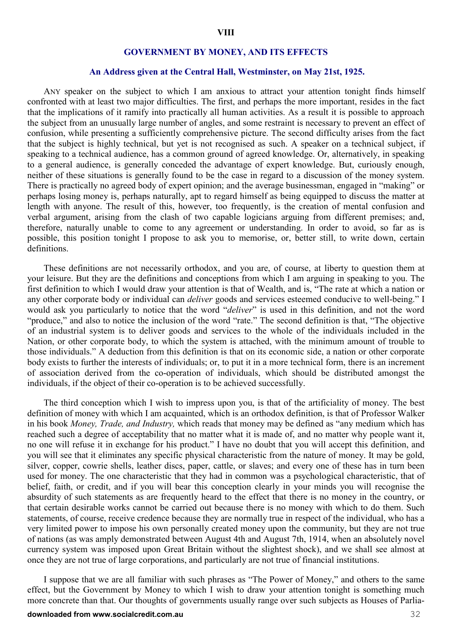#### **GOVERNMENT BY MONEY, AND ITS EFFECTS**

#### **An Address given at the Central Hall, Westminster, on May 21st, 1925.**

ANY speaker on the subject to which I am anxious to attract your attention tonight finds himself confronted with at least two major difficulties. The first, and perhaps the more important, resides in the fact that the implications of it ramify into practically all human activities. As a result it is possible to approach the subject from an unusually large number of angles, and some restraint is necessary to prevent an effect of confusion, while presenting a sufficiently comprehensive picture. The second difficulty arises from the fact that the subject is highly technical, but yet is not recognised as such. A speaker on a technical subject, if speaking to a technical audience, has a common ground of agreed knowledge. Or, alternatively, in speaking to a general audience, is generally conceded the advantage of expert knowledge. But, curiously enough, neither of these situations is generally found to be the case in regard to a discussion of the money system. There is practically no agreed body of expert opinion; and the average businessman, engaged in "making" or perhaps losing money is, perhaps naturally, apt to regard himself as being equipped to discuss the matter at length with anyone. The result of this, however, too frequently, is the creation of mental confusion and verbal argument, arising from the clash of two capable logicians arguing from different premises; and, therefore, naturally unable to come to any agreement or understanding. In order to avoid, so far as is possible, this position tonight I propose to ask you to memorise, or, better still, to write down, certain definitions.

These definitions are not necessarily orthodox, and you are, of course, at liberty to question them at your leisure. But they are the definitions and conceptions from which I am arguing in speaking to you. The first definition to which I would draw your attention is that of Wealth, and is, "The rate at which a nation or any other corporate body or individual can *deliver* goods and services esteemed conducive to well-being." I would ask you particularly to notice that the word "*deliver*" is used in this definition, and not the word "produce," and also to notice the inclusion of the word "rate." The second definition is that, "The objective of an industrial system is to deliver goods and services to the whole of the individuals included in the Nation, or other corporate body, to which the system is attached, with the minimum amount of trouble to those individuals." A deduction from this definition is that on its economic side, a nation or other corporate body exists to further the interests of individuals; or, to put it in a more technical form, there is an increment of association derived from the co-operation of individuals, which should be distributed amongst the individuals, if the object of their co-operation is to be achieved successfully.

The third conception which I wish to impress upon you, is that of the artificiality of money. The best definition of money with which I am acquainted, which is an orthodox definition, is that of Professor Walker in his book *Money, Trade, and Industry,* which reads that money may be defined as "any medium which has reached such a degree of acceptability that no matter what it is made of, and no matter why people want it, no one will refuse it in exchange for his product." I have no doubt that you will accept this definition, and you will see that it eliminates any specific physical characteristic from the nature of money. It may be gold, silver, copper, cowrie shells, leather discs, paper, cattle, or slaves; and every one of these has in turn been used for money. The one characteristic that they had in common was a psychological characteristic, that of belief, faith, or credit, and if you will bear this conception clearly in your minds you will recognise the absurdity of such statements as are frequently heard to the effect that there is no money in the country, or that certain desirable works cannot be carried out because there is no money with which to do them. Such statements, of course, receive credence because they are normally true in respect of the individual, who has a very limited power to impose his own personally created money upon the community, but they are not true of nations (as was amply demonstrated between August 4th and August 7th, 1914, when an absolutely novel currency system was imposed upon Great Britain without the slightest shock), and we shall see almost at once they are not true of large corporations, and particularly are not true of financial institutions.

I suppose that we are all familiar with such phrases as "The Power of Money," and others to the same effect, but the Government by Money to which I wish to draw your attention tonight is something much more concrete than that. Our thoughts of governments usually range over such subjects as Houses of Parlia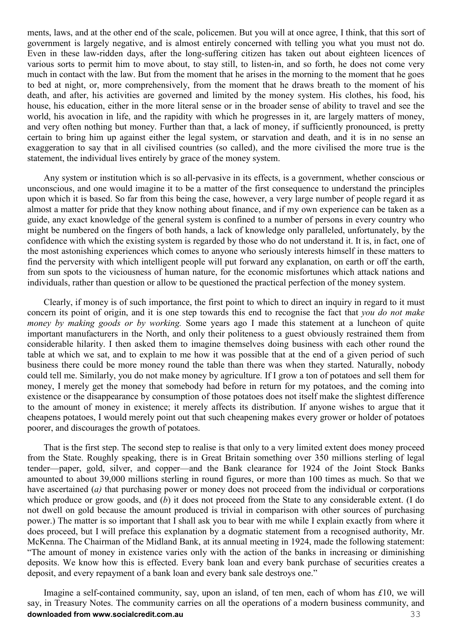ments, laws, and at the other end of the scale, policemen. But you will at once agree, I think, that this sort of government is largely negative, and is almost entirely concerned with telling you what you must not do. Even in these law-ridden days, after the long-suffering citizen has taken out about eighteen licences of various sorts to permit him to move about, to stay still, to listen-in, and so forth, he does not come very much in contact with the law. But from the moment that he arises in the morning to the moment that he goes to bed at night, or, more comprehensively, from the moment that he draws breath to the moment of his death, and after, his activities are governed and limited by the money system. His clothes, his food, his house, his education, either in the more literal sense or in the broader sense of ability to travel and see the world, his avocation in life, and the rapidity with which he progresses in it, are largely matters of money, and very often nothing but money. Further than that, a lack of money, if sufficiently pronounced, is pretty certain to bring him up against either the legal system, or starvation and death, and it is in no sense an exaggeration to say that in all civilised countries (so called), and the more civilised the more true is the statement, the individual lives entirely by grace of the money system.

Any system or institution which is so all-pervasive in its effects, is a government, whether conscious or unconscious, and one would imagine it to be a matter of the first consequence to understand the principles upon which it is based. So far from this being the case, however, a very large number of people regard it as almost a matter for pride that they know nothing about finance, and if my own experience can be taken as a guide, any exact knowledge of the general system is confined to a number of persons in every country who might be numbered on the fingers of both hands, a lack of knowledge only paralleled, unfortunately, by the confidence with which the existing system is regarded by those who do not understand it. It is, in fact, one of the most astonishing experiences which comes to anyone who seriously interests himself in these matters to find the perversity with which intelligent people will put forward any explanation, on earth or off the earth, from sun spots to the viciousness of human nature, for the economic misfortunes which attack nations and individuals, rather than question or allow to be questioned the practical perfection of the money system.

Clearly, if money is of such importance, the first point to which to direct an inquiry in regard to it must concern its point of origin, and it is one step towards this end to recognise the fact that *you do not make money by making goods or by working.* Some years ago I made this statement at a luncheon of quite important manufacturers in the North, and only their politeness to a guest obviously restrained them from considerable hilarity. I then asked them to imagine themselves doing business with each other round the table at which we sat, and to explain to me how it was possible that at the end of a given period of such business there could be more money round the table than there was when they started. Naturally, nobody could tell me. Similarly, you do not make money by agriculture. If I grow a ton of potatoes and sell them for money, I merely get the money that somebody had before in return for my potatoes, and the coming into existence or the disappearance by consumption of those potatoes does not itself make the slightest difference to the amount of money in existence; it merely affects its distribution. If anyone wishes to argue that it cheapens potatoes, I would merely point out that such cheapening makes every grower or holder of potatoes poorer, and discourages the growth of potatoes.

That is the first step. The second step to realise is that only to a very limited extent does money proceed from the State. Roughly speaking, there is in Great Britain something over 350 millions sterling of legal tender—paper, gold, silver, and copper—and the Bank clearance for 1924 of the Joint Stock Banks amounted to about 39,000 millions sterling in round figures, or more than 100 times as much. So that we have ascertained (*a*) that purchasing power or money does not proceed from the individual or corporations which produce or grow goods, and (*b*) it does not proceed from the State to any considerable extent. (I do not dwell on gold because the amount produced is trivial in comparison with other sources of purchasing power.) The matter is so important that I shall ask you to bear with me while I explain exactly from where it does proceed, but I will preface this explanation by a dogmatic statement from a recognised authority, Mr. McKenna. The Chairman of the Midland Bank, at its annual meeting in 1924, made the following statement: "The amount of money in existence varies only with the action of the banks in increasing or diminishing deposits. We know how this is effected. Every bank loan and every bank purchase of securities creates a deposit, and every repayment of a bank loan and every bank sale destroys one."

**downloaded from www.socialcredit.com.au** 33 Imagine a self-contained community, say, upon an island, of ten men, each of whom has *£*10, we will say, in Treasury Notes. The community carries on all the operations of a modern business community, and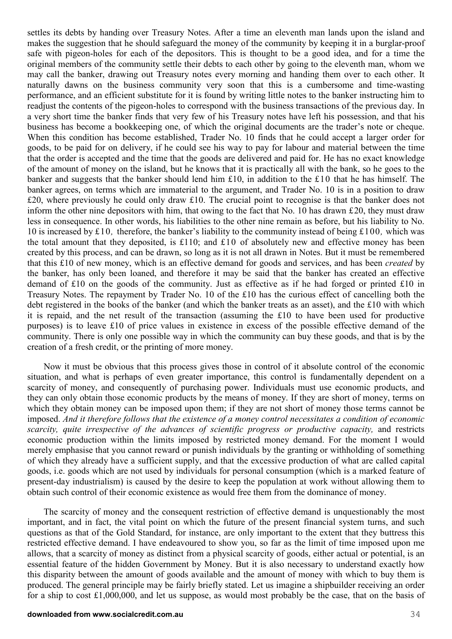settles its debts by handing over Treasury Notes. After a time an eleventh man lands upon the island and makes the suggestion that he should safeguard the money of the community by keeping it in a burglar-proof safe with pigeon-holes for each of the depositors. This is thought to be a good idea, and for a time the original members of the community settle their debts to each other by going to the eleventh man, whom we may call the banker, drawing out Treasury notes every morning and handing them over to each other. It naturally dawns on the business community very soon that this is a cumbersome and time-wasting performance, and an efficient substitute for it is found by writing little notes to the banker instructing him to readjust the contents of the pigeon-holes to correspond with the business transactions of the previous day. In a very short time the banker finds that very few of his Treasury notes have left his possession, and that his business has become a bookkeeping one, of which the original documents are the trader's note or cheque. When this condition has become established, Trader No. 10 finds that he could accept a larger order for goods, to be paid for on delivery, if he could see his way to pay for labour and material between the time that the order is accepted and the time that the goods are delivered and paid for. He has no exact knowledge of the amount of money on the island, but he knows that it is practically all with the bank, so he goes to the banker and suggests that the banker should lend him £10, in addition to the £10 that he has himself. The banker agrees, on terms which are immaterial to the argument, and Trader No. 10 is in a position to draw £20, where previously he could only draw £10. The crucial point to recognise is that the banker does not inform the other nine depositors with him, that owing to the fact that No. 10 has drawn £20, they must draw less in consequence. In other words, his liabilities to the other nine remain as before, but his liability to No. 10 is increased by £10*,* therefore, the banker's liability to the community instead of being £100*,* which was the total amount that they deposited, is £110; and £10 of absolutely new and effective money has been created by this process, and can be drawn, so long as it is not all drawn in Notes. But it must be remembered that this £10 of new money, which is an effective demand for goods and services, and has been *created* by the banker, has only been loaned, and therefore it may be said that the banker has created an effective demand of £10 on the goods of the community. Just as effective as if he had forged or printed £10 in Treasury Notes. The repayment by Trader No. 10 of the £10 has the curious effect of cancelling both the debt registered in the books of the banker (and which the banker treats as an asset), and the £10 with which it is repaid, and the net result of the transaction (assuming the £10 to have been used for productive purposes) is to leave £10 of price values in existence in excess of the possible effective demand of the community. There is only one possible way in which the community can buy these goods, and that is by the creation of a fresh credit, or the printing of more money.

Now it must be obvious that this process gives those in control of it absolute control of the economic situation, and what is perhaps of even greater importance, this control is fundamentally dependent on a scarcity of money, and consequently of purchasing power. Individuals must use economic products, and they can only obtain those economic products by the means of money. If they are short of money, terms on which they obtain money can be imposed upon them; if they are not short of money those terms cannot be imposed. *And it therefore follows that the existence of a money control necessitates a condition of economic scarcity, quite irrespective of the advances of scientific progress or productive capacity,* and restricts economic production within the limits imposed by restricted money demand. For the moment I would merely emphasise that you cannot reward or punish individuals by the granting or withholding of something of which they already have a sufficient supply, and that the excessive production of what are called capital goods, i.e. goods which are not used by individuals for personal consumption (which is a marked feature of present-day industrialism) is caused by the desire to keep the population at work without allowing them to obtain such control of their economic existence as would free them from the dominance of money.

The scarcity of money and the consequent restriction of effective demand is unquestionably the most important, and in fact, the vital point on which the future of the present financial system turns, and such questions as that of the Gold Standard, for instance, are only important to the extent that they buttress this restricted effective demand. I have endeavoured to show you, so far as the limit of time imposed upon me allows, that a scarcity of money as distinct from a physical scarcity of goods, either actual or potential, is an essential feature of the hidden Government by Money. But it is also necessary to understand exactly how this disparity between the amount of goods available and the amount of money with which to buy them is produced. The general principle may be fairly briefly stated. Let us imagine a shipbuilder receiving an order for a ship to cost £1,000,000, and let us suppose, as would most probably be the case, that on the basis of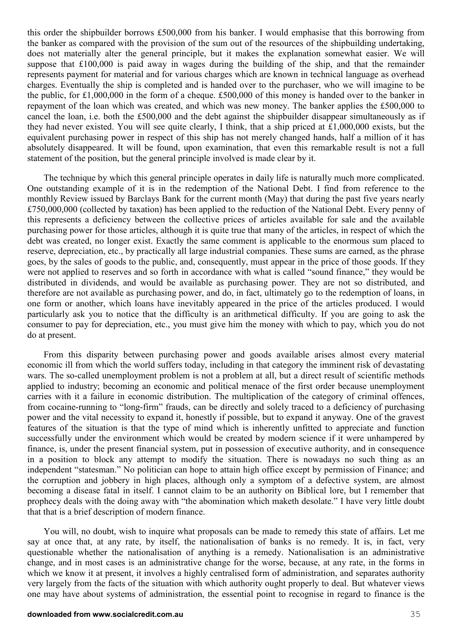this order the shipbuilder borrows £500,000 from his banker. I would emphasise that this borrowing from the banker as compared with the provision of the sum out of the resources of the shipbuilding undertaking, does not materially alter the general principle, but it makes the explanation somewhat easier. We will suppose that £100,000 is paid away in wages during the building of the ship, and that the remainder represents payment for material and for various charges which are known in technical language as overhead charges. Eventually the ship is completed and is handed over to the purchaser, who we will imagine to be the public, for £1,000,000 in the form of a cheque. £500,000 of this money is handed over to the banker in repayment of the loan which was created, and which was new money. The banker applies the £500,000 to cancel the loan, i.e. both the £500,000 and the debt against the shipbuilder disappear simultaneously as if they had never existed. You will see quite clearly, I think, that a ship priced at £1,000,000 exists, but the equivalent purchasing power in respect of this ship has not merely changed hands, half a million of it has absolutely disappeared. It will be found, upon examination, that even this remarkable result is not a full statement of the position, but the general principle involved is made clear by it.

The technique by which this general principle operates in daily life is naturally much more complicated. One outstanding example of it is in the redemption of the National Debt. I find from reference to the monthly Review issued by Barclays Bank for the current month (May) that during the past five years nearly £750,000,000 (collected by taxation) has been applied to the reduction of the National Debt. Every penny of this represents a deficiency between the collective prices of articles available for sale and the available purchasing power for those articles, although it is quite true that many of the articles, in respect of which the debt was created, no longer exist. Exactly the same comment is applicable to the enormous sum placed to reserve, depreciation, etc., by practically all large industrial companies. These sums are earned, as the phrase goes, by the sales of goods to the public, and, consequently, must appear in the price of those goods. If they were not applied to reserves and so forth in accordance with what is called "sound finance," they would be distributed in dividends, and would be available as purchasing power. They are not so distributed, and therefore are not available as purchasing power, and do, in fact, ultimately go to the redemption of loans, in one form or another, which loans have inevitably appeared in the price of the articles produced. I would particularly ask you to notice that the difficulty is an arithmetical difficulty. If you are going to ask the consumer to pay for depreciation, etc., you must give him the money with which to pay, which you do not do at present.

From this disparity between purchasing power and goods available arises almost every material economic ill from which the world suffers today, including in that category the imminent risk of devastating wars. The so-called unemployment problem is not a problem at all, but a direct result of scientific methods applied to industry; becoming an economic and political menace of the first order because unemployment carries with it a failure in economic distribution. The multiplication of the category of criminal offences, from cocaine-running to "long-firm" frauds, can be directly and solely traced to a deficiency of purchasing power and the vital necessity to expand it, honestly if possible, but to expand it anyway. One of the gravest features of the situation is that the type of mind which is inherently unfitted to appreciate and function successfully under the environment which would be created by modern science if it were unhampered by finance, is, under the present financial system, put in possession of executive authority, and in consequence in a position to block any attempt to modify the situation. There is nowadays no such thing as an independent "statesman." No politician can hope to attain high office except by permission of Finance; and the corruption and jobbery in high places, although only a symptom of a defective system, are almost becoming a disease fatal in itself. I cannot claim to be an authority on Biblical lore, but I remember that prophecy deals with the doing away with "the abomination which maketh desolate." I have very little doubt that that is a brief description of modern finance.

You will, no doubt, wish to inquire what proposals can be made to remedy this state of affairs. Let me say at once that, at any rate, by itself, the nationalisation of banks is no remedy. It is, in fact, very questionable whether the nationalisation of anything is a remedy. Nationalisation is an administrative change, and in most cases is an administrative change for the worse, because, at any rate, in the forms in which we know it at present, it involves a highly centralised form of administration, and separates authority very largely from the facts of the situation with which authority ought properly to deal. But whatever views one may have about systems of administration, the essential point to recognise in regard to finance is the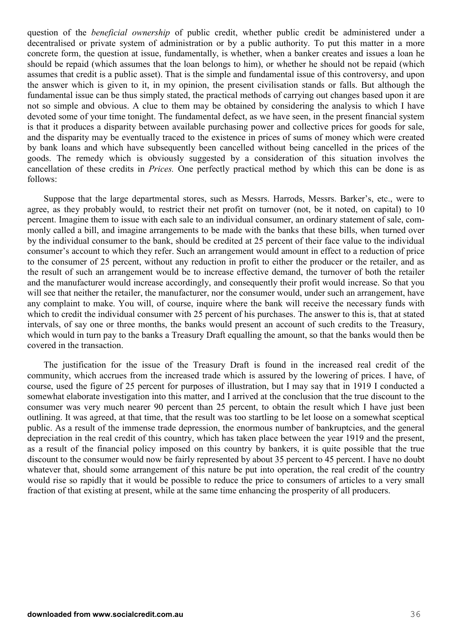question of the *beneficial ownership* of public credit, whether public credit be administered under a decentralised or private system of administration or by a public authority. To put this matter in a more concrete form, the question at issue, fundamentally, is whether, when a banker creates and issues a loan he should be repaid (which assumes that the loan belongs to him), or whether he should not be repaid (which assumes that credit is a public asset). That is the simple and fundamental issue of this controversy, and upon the answer which is given to it, in my opinion, the present civilisation stands or falls. But although the fundamental issue can be thus simply stated, the practical methods of carrying out changes based upon it are not so simple and obvious. A clue to them may be obtained by considering the analysis to which I have devoted some of your time tonight. The fundamental defect, as we have seen, in the present financial system is that it produces a disparity between available purchasing power and collective prices for goods for sale, and the disparity may be eventually traced to the existence in prices of sums of money which were created by bank loans and which have subsequently been cancelled without being cancelled in the prices of the goods. The remedy which is obviously suggested by a consideration of this situation involves the cancellation of these credits in *Prices.* One perfectly practical method by which this can be done is as follows:

Suppose that the large departmental stores, such as Messrs. Harrods, Messrs. Barker's, etc., were to agree, as they probably would, to restrict their net profit on turnover (not, be it noted, on capital) to 10 percent. Imagine them to issue with each sale to an individual consumer, an ordinary statement of sale, commonly called a bill, and imagine arrangements to be made with the banks that these bills, when turned over by the individual consumer to the bank, should be credited at 25 percent of their face value to the individual consumer's account to which they refer. Such an arrangement would amount in effect to a reduction of price to the consumer of 25 percent, without any reduction in profit to either the producer or the retailer, and as the result of such an arrangement would be to increase effective demand, the turnover of both the retailer and the manufacturer would increase accordingly, and consequently their profit would increase. So that you will see that neither the retailer, the manufacturer, nor the consumer would, under such an arrangement, have any complaint to make. You will, of course, inquire where the bank will receive the necessary funds with which to credit the individual consumer with 25 percent of his purchases. The answer to this is, that at stated intervals, of say one or three months, the banks would present an account of such credits to the Treasury, which would in turn pay to the banks a Treasury Draft equalling the amount, so that the banks would then be covered in the transaction.

The justification for the issue of the Treasury Draft is found in the increased real credit of the community, which accrues from the increased trade which is assured by the lowering of prices. I have, of course, used the figure of 25 percent for purposes of illustration, but I may say that in 1919 I conducted a somewhat elaborate investigation into this matter, and I arrived at the conclusion that the true discount to the consumer was very much nearer 90 percent than 25 percent, to obtain the result which I have just been outlining. It was agreed, at that time, that the result was too startling to be let loose on a somewhat sceptical public. As a result of the immense trade depression, the enormous number of bankruptcies, and the general depreciation in the real credit of this country, which has taken place between the year 1919 and the present, as a result of the financial policy imposed on this country by bankers, it is quite possible that the true discount to the consumer would now be fairly represented by about 35 percent to 45 percent. I have no doubt whatever that, should some arrangement of this nature be put into operation, the real credit of the country would rise so rapidly that it would be possible to reduce the price to consumers of articles to a very small fraction of that existing at present, while at the same time enhancing the prosperity of all producers.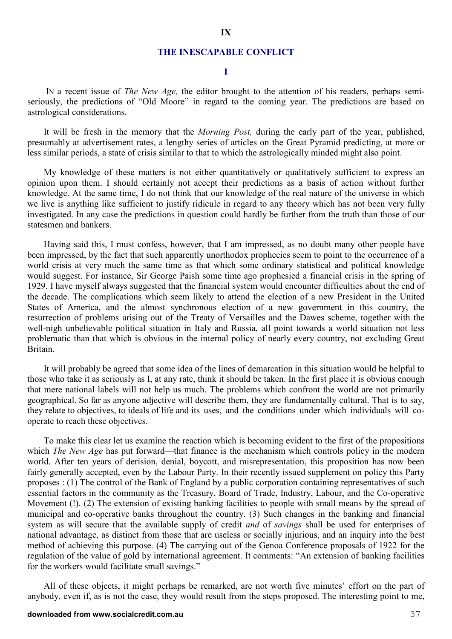#### **THE INESCAPABLE CONFLICT**

#### **I**

 IN a recent issue of *The New Age,* the editor brought to the attention of his readers, perhaps semiseriously, the predictions of "Old Moore" in regard to the coming year. The predictions are based on astrological considerations.

It will be fresh in the memory that the *Morning Post,* during the early part of the year, published, presumably at advertisement rates, a lengthy series of articles on the Great Pyramid predicting, at more or less similar periods, a state of crisis similar to that to which the astrologically minded might also point.

My knowledge of these matters is not either quantitatively or qualitatively sufficient to express an opinion upon them. I should certainly not accept their predictions as a basis of action without further knowledge. At the same time, I do not think that our knowledge of the real nature of the universe in which we live is anything like sufficient to justify ridicule in regard to any theory which has not been very fully investigated. In any case the predictions in question could hardly be further from the truth than those of our statesmen and bankers.

Having said this, I must confess, however, that I am impressed, as no doubt many other people have been impressed, by the fact that such apparently unorthodox prophecies seem to point to the occurrence of a world crisis at very much the same time as that which some ordinary statistical and political knowledge would suggest. For instance, Sir George Paish some time ago prophesied a financial crisis in the spring of 1929. I have myself always suggested that the financial system would encounter difficulties about the end of the decade. The complications which seem likely to attend the election of a new President in the United States of America, and the almost synchronous election of a new government in this country, the resurrection of problems arising out of the Treaty of Versailles and the Dawes scheme, together with the well-nigh unbelievable political situation in Italy and Russia, all point towards a world situation not less problematic than that which is obvious in the internal policy of nearly every country, not excluding Great Britain.

It will probably be agreed that some idea of the lines of demarcation in this situation would be helpful to those who take it as seriously as I, at any rate, think it should be taken. In the first place it is obvious enough that mere national labels will not help us much. The problems which confront the world are not primarily geographical. So far as any one adjective will describe them, they are fundamentally cultural. That is to say, they relate to objectives, to ideals of life and its uses, and the conditions under which individuals will cooperate to reach these objectives.

To make this clear let us examine the reaction which is becoming evident to the first of the propositions which *The New Age* has put forward—that finance is the mechanism which controls policy in the modern world. After ten years of derision, denial, boycott, and misrepresentation, this proposition has now been fairly generally accepted, even by the Labour Party. In their recently issued supplement on policy this Party proposes : (1) The control of the Bank of England by a public corporation containing representatives of such essential factors in the community as the Treasury, Board of Trade, Industry, Labour, and the Co-operative Movement (!). (2) The extension of existing banking facilities to people with small means by the spread of municipal and co-operative banks throughout the country. (3) Such changes in the banking and financial system as will secure that the available supply of credit *and* of *savings* shall be used for enterprises of national advantage, as distinct from those that are useless or socially injurious, and an inquiry into the best method of achieving this purpose. (4) The carrying out of the Genoa Conference proposals of 1922 for the regulation of the value of gold by international agreement. It comments: "An extension of banking facilities for the workers would facilitate small savings."

All of these objects, it might perhaps be remarked, are not worth five minutes' effort on the part of anybody, even if, as is not the case, they would result from the steps proposed. The interesting point to me,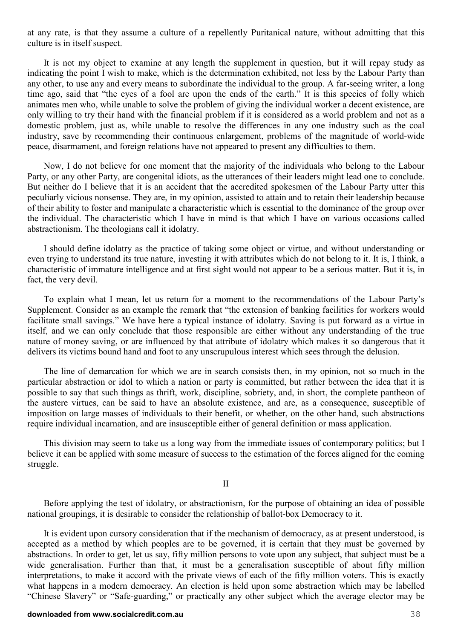at any rate, is that they assume a culture of a repellently Puritanical nature, without admitting that this culture is in itself suspect.

It is not my object to examine at any length the supplement in question, but it will repay study as indicating the point I wish to make, which is the determination exhibited, not less by the Labour Party than any other, to use any and every means to subordinate the individual to the group. A far-seeing writer, a long time ago, said that "the eyes of a fool are upon the ends of the earth." It is this species of folly which animates men who, while unable to solve the problem of giving the individual worker a decent existence, are only willing to try their hand with the financial problem if it is considered as a world problem and not as a domestic problem, just as, while unable to resolve the differences in any one industry such as the coal industry, save by recommending their continuous enlargement, problems of the magnitude of world-wide peace, disarmament, and foreign relations have not appeared to present any difficulties to them.

Now, I do not believe for one moment that the majority of the individuals who belong to the Labour Party, or any other Party, are congenital idiots, as the utterances of their leaders might lead one to conclude. But neither do I believe that it is an accident that the accredited spokesmen of the Labour Party utter this peculiarly vicious nonsense. They are, in my opinion, assisted to attain and to retain their leadership because of their ability to foster and manipulate a characteristic which is essential to the dominance of the group over the individual. The characteristic which I have in mind is that which I have on various occasions called abstractionism. The theologians call it idolatry.

I should define idolatry as the practice of taking some object or virtue, and without understanding or even trying to understand its true nature, investing it with attributes which do not belong to it. It is, I think, a characteristic of immature intelligence and at first sight would not appear to be a serious matter. But it is, in fact, the very devil.

To explain what I mean, let us return for a moment to the recommendations of the Labour Party's Supplement. Consider as an example the remark that "the extension of banking facilities for workers would facilitate small savings." We have here a typical instance of idolatry. Saving is put forward as a virtue in itself, and we can only conclude that those responsible are either without any understanding of the true nature of money saving, or are influenced by that attribute of idolatry which makes it so dangerous that it delivers its victims bound hand and foot to any unscrupulous interest which sees through the delusion.

The line of demarcation for which we are in search consists then, in my opinion, not so much in the particular abstraction or idol to which a nation or party is committed, but rather between the idea that it is possible to say that such things as thrift, work, discipline, sobriety, and, in short, the complete pantheon of the austere virtues, can be said to have an absolute existence, and are, as a consequence, susceptible of imposition on large masses of individuals to their benefit, or whether, on the other hand, such abstractions require individual incarnation, and are insusceptible either of general definition or mass application.

This division may seem to take us a long way from the immediate issues of contemporary politics; but I believe it can be applied with some measure of success to the estimation of the forces aligned for the coming struggle.

II

Before applying the test of idolatry, or abstractionism, for the purpose of obtaining an idea of possible national groupings, it is desirable to consider the relationship of ballot-box Democracy to it.

It is evident upon cursory consideration that if the mechanism of democracy, as at present understood, is accepted as a method by which peoples are to be governed, it is certain that they must be governed by abstractions. In order to get, let us say, fifty million persons to vote upon any subject, that subject must be a wide generalisation. Further than that, it must be a generalisation susceptible of about fifty million interpretations, to make it accord with the private views of each of the fifty million voters. This is exactly what happens in a modern democracy. An election is held upon some abstraction which may be labelled "Chinese Slavery" or "Safe-guarding," or practically any other subject which the average elector may be

#### **downloaded from www.socialcredit.com.au** 38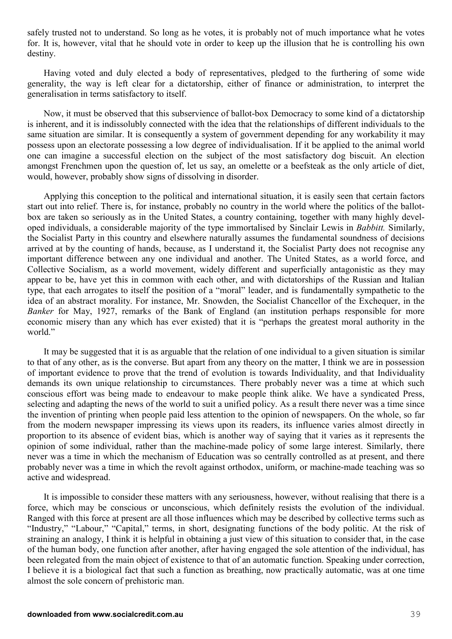safely trusted not to understand. So long as he votes, it is probably not of much importance what he votes for. It is, however, vital that he should vote in order to keep up the illusion that he is controlling his own destiny.

Having voted and duly elected a body of representatives, pledged to the furthering of some wide generality, the way is left clear for a dictatorship, either of finance or administration, to interpret the generalisation in terms satisfactory to itself.

Now, it must be observed that this subservience of ballot-box Democracy to some kind of a dictatorship is inherent, and it is indissolubly connected with the idea that the relationships of different individuals to the same situation are similar. It is consequently a system of government depending for any workability it may possess upon an electorate possessing a low degree of individualisation. If it be applied to the animal world one can imagine a successful election on the subject of the most satisfactory dog biscuit. An election amongst Frenchmen upon the question of, let us say, an omelette or a beefsteak as the only article of diet, would, however, probably show signs of dissolving in disorder.

Applying this conception to the political and international situation, it is easily seen that certain factors start out into relief. There is, for instance, probably no country in the world where the politics of the ballotbox are taken so seriously as in the United States, a country containing, together with many highly developed individuals, a considerable majority of the type immortalised by Sinclair Lewis in *Babbitt.* Similarly, the Socialist Party in this country and elsewhere naturally assumes the fundamental soundness of decisions arrived at by the counting of hands, because, as I understand it, the Socialist Party does not recognise any important difference between any one individual and another. The United States, as a world force, and Collective Socialism, as a world movement, widely different and superficially antagonistic as they may appear to be, have yet this in common with each other, and with dictatorships of the Russian and Italian type, that each arrogates to itself the position of a "moral" leader, and is fundamentally sympathetic to the idea of an abstract morality. For instance, Mr. Snowden, the Socialist Chancellor of the Exchequer, in the *Banker* for May, 1927, remarks of the Bank of England (an institution perhaps responsible for more economic misery than any which has ever existed) that it is "perhaps the greatest moral authority in the world."

It may be suggested that it is as arguable that the relation of one individual to a given situation is similar to that of any other, as is the converse. But apart from any theory on the matter, I think we are in possession of important evidence to prove that the trend of evolution is towards Individuality, and that Individuality demands its own unique relationship to circumstances. There probably never was a time at which such conscious effort was being made to endeavour to make people think alike. We have a syndicated Press, selecting and adapting the news of the world to suit a unified policy. As a result there never was a time since the invention of printing when people paid less attention to the opinion of newspapers. On the whole, so far from the modern newspaper impressing its views upon its readers, its influence varies almost directly in proportion to its absence of evident bias, which is another way of saying that it varies as it represents the opinion of some individual, rather than the machine-made policy of some large interest. Similarly, there never was a time in which the mechanism of Education was so centrally controlled as at present, and there probably never was a time in which the revolt against orthodox, uniform, or machine-made teaching was so active and widespread.

It is impossible to consider these matters with any seriousness, however, without realising that there is a force, which may be conscious or unconscious, which definitely resists the evolution of the individual. Ranged with this force at present are all those influences which may be described by collective terms such as "Industry," "Labour," "Capital," terms, in short, designating functions of the body politic. At the risk of straining an analogy, I think it is helpful in obtaining a just view of this situation to consider that, in the case of the human body, one function after another, after having engaged the sole attention of the individual, has been relegated from the main object of existence to that of an automatic function. Speaking under correction, I believe it is a biological fact that such a function as breathing, now practically automatic, was at one time almost the sole concern of prehistoric man.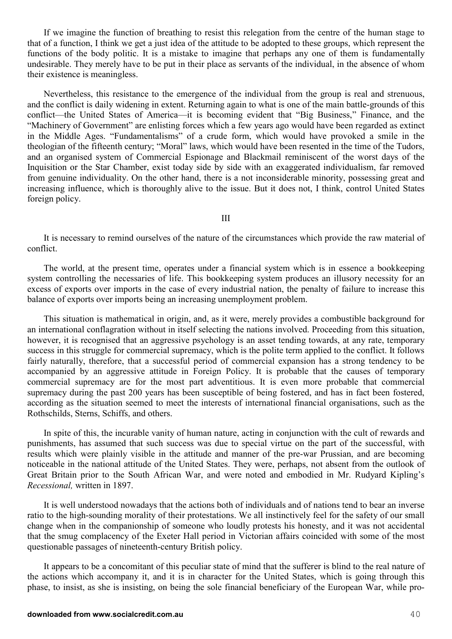If we imagine the function of breathing to resist this relegation from the centre of the human stage to that of a function, I think we get a just idea of the attitude to be adopted to these groups, which represent the functions of the body politic. It is a mistake to imagine that perhaps any one of them is fundamentally undesirable. They merely have to be put in their place as servants of the individual, in the absence of whom their existence is meaningless.

Nevertheless, this resistance to the emergence of the individual from the group is real and strenuous, and the conflict is daily widening in extent. Returning again to what is one of the main battle-grounds of this conflict—the United States of America—it is becoming evident that "Big Business," Finance, and the "Machinery of Government" are enlisting forces which a few years ago would have been regarded as extinct in the Middle Ages. "Fundamentalisms" of a crude form, which would have provoked a smile in the theologian of the fifteenth century; "Moral" laws, which would have been resented in the time of the Tudors, and an organised system of Commercial Espionage and Blackmail reminiscent of the worst days of the Inquisition or the Star Chamber, exist today side by side with an exaggerated individualism, far removed from genuine individuality. On the other hand, there is a not inconsiderable minority, possessing great and increasing influence, which is thoroughly alive to the issue. But it does not, I think, control United States foreign policy.

III

It is necessary to remind ourselves of the nature of the circumstances which provide the raw material of conflict.

The world, at the present time, operates under a financial system which is in essence a bookkeeping system controlling the necessaries of life. This bookkeeping system produces an illusory necessity for an excess of exports over imports in the case of every industrial nation, the penalty of failure to increase this balance of exports over imports being an increasing unemployment problem.

This situation is mathematical in origin, and, as it were, merely provides a combustible background for an international conflagration without in itself selecting the nations involved. Proceeding from this situation, however, it is recognised that an aggressive psychology is an asset tending towards, at any rate, temporary success in this struggle for commercial supremacy, which is the polite term applied to the conflict. It follows fairly naturally, therefore, that a successful period of commercial expansion has a strong tendency to be accompanied by an aggressive attitude in Foreign Policy. It is probable that the causes of temporary commercial supremacy are for the most part adventitious. It is even more probable that commercial supremacy during the past 200 years has been susceptible of being fostered, and has in fact been fostered, according as the situation seemed to meet the interests of international financial organisations, such as the Rothschilds, Sterns, Schiffs, and others.

In spite of this, the incurable vanity of human nature, acting in conjunction with the cult of rewards and punishments, has assumed that such success was due to special virtue on the part of the successful, with results which were plainly visible in the attitude and manner of the pre-war Prussian, and are becoming noticeable in the national attitude of the United States. They were, perhaps, not absent from the outlook of Great Britain prior to the South African War, and were noted and embodied in Mr. Rudyard Kipling's *Recessional,* written in 1897.

It is well understood nowadays that the actions both of individuals and of nations tend to bear an inverse ratio to the high-sounding morality of their protestations. We all instinctively feel for the safety of our small change when in the companionship of someone who loudly protests his honesty, and it was not accidental that the smug complacency of the Exeter Hall period in Victorian affairs coincided with some of the most questionable passages of nineteenth-century British policy.

It appears to be a concomitant of this peculiar state of mind that the sufferer is blind to the real nature of the actions which accompany it, and it is in character for the United States, which is going through this phase, to insist, as she is insisting, on being the sole financial beneficiary of the European War, while pro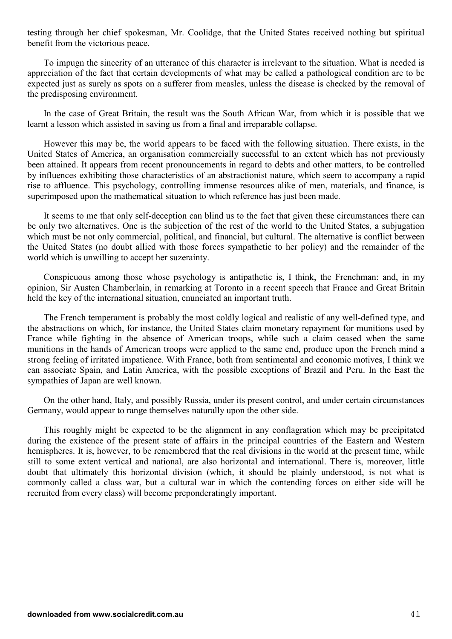testing through her chief spokesman, Mr. Coolidge, that the United States received nothing but spiritual benefit from the victorious peace.

To impugn the sincerity of an utterance of this character is irrelevant to the situation. What is needed is appreciation of the fact that certain developments of what may be called a pathological condition are to be expected just as surely as spots on a sufferer from measles, unless the disease is checked by the removal of the predisposing environment.

In the case of Great Britain, the result was the South African War, from which it is possible that we learnt a lesson which assisted in saving us from a final and irreparable collapse.

However this may be, the world appears to be faced with the following situation. There exists, in the United States of America, an organisation commercially successful to an extent which has not previously been attained. It appears from recent pronouncements in regard to debts and other matters, to be controlled by influences exhibiting those characteristics of an abstractionist nature, which seem to accompany a rapid rise to affluence. This psychology, controlling immense resources alike of men, materials, and finance, is superimposed upon the mathematical situation to which reference has just been made.

It seems to me that only self-deception can blind us to the fact that given these circumstances there can be only two alternatives. One is the subjection of the rest of the world to the United States, a subjugation which must be not only commercial, political, and financial, but cultural. The alternative is conflict between the United States (no doubt allied with those forces sympathetic to her policy) and the remainder of the world which is unwilling to accept her suzerainty.

Conspicuous among those whose psychology is antipathetic is, I think, the Frenchman: and, in my opinion, Sir Austen Chamberlain, in remarking at Toronto in a recent speech that France and Great Britain held the key of the international situation, enunciated an important truth.

The French temperament is probably the most coldly logical and realistic of any well-defined type, and the abstractions on which, for instance, the United States claim monetary repayment for munitions used by France while fighting in the absence of American troops, while such a claim ceased when the same munitions in the hands of American troops were applied to the same end, produce upon the French mind a strong feeling of irritated impatience. With France, both from sentimental and economic motives, I think we can associate Spain, and Latin America, with the possible exceptions of Brazil and Peru. In the East the sympathies of Japan are well known.

On the other hand, Italy, and possibly Russia, under its present control, and under certain circumstances Germany, would appear to range themselves naturally upon the other side.

This roughly might be expected to be the alignment in any conflagration which may be precipitated during the existence of the present state of affairs in the principal countries of the Eastern and Western hemispheres. It is, however, to be remembered that the real divisions in the world at the present time, while still to some extent vertical and national, are also horizontal and international. There is, moreover, little doubt that ultimately this horizontal division (which, it should be plainly understood, is not what is commonly called a class war, but a cultural war in which the contending forces on either side will be recruited from every class) will become preponderatingly important.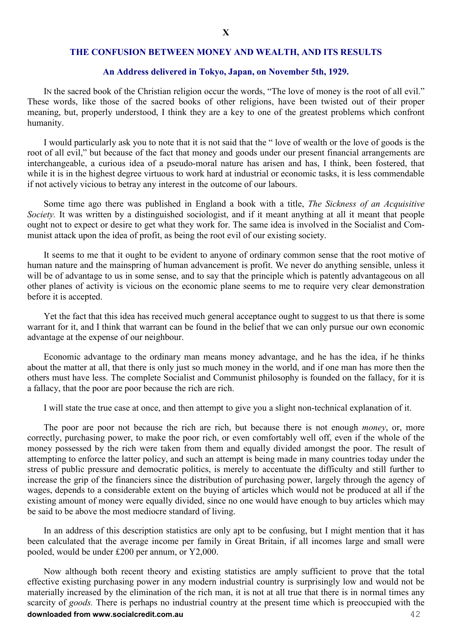#### **THE CONFUSION BETWEEN MONEY AND WEALTH, AND ITS RESULTS**

#### **An Address delivered in Tokyo, Japan, on November 5th, 1929.**

IN the sacred book of the Christian religion occur the words, "The love of money is the root of all evil." These words, like those of the sacred books of other religions, have been twisted out of their proper meaning, but, properly understood, I think they are a key to one of the greatest problems which confront humanity.

I would particularly ask you to note that it is not said that the " love of wealth or the love of goods is the root of all evil," but because of the fact that money and goods under our present financial arrangements are interchangeable, a curious idea of a pseudo-moral nature has arisen and has, I think, been fostered, that while it is in the highest degree virtuous to work hard at industrial or economic tasks, it is less commendable if not actively vicious to betray any interest in the outcome of our labours.

Some time ago there was published in England a book with a title, *The Sickness of an Acquisitive Society.* It was written by a distinguished sociologist, and if it meant anything at all it meant that people ought not to expect or desire to get what they work for. The same idea is involved in the Socialist and Communist attack upon the idea of profit, as being the root evil of our existing society.

It seems to me that it ought to be evident to anyone of ordinary common sense that the root motive of human nature and the mainspring of human advancement is profit. We never do anything sensible, unless it will be of advantage to us in some sense, and to say that the principle which is patently advantageous on all other planes of activity is vicious on the economic plane seems to me to require very clear demonstration before it is accepted.

Yet the fact that this idea has received much general acceptance ought to suggest to us that there is some warrant for it, and I think that warrant can be found in the belief that we can only pursue our own economic advantage at the expense of our neighbour.

Economic advantage to the ordinary man means money advantage, and he has the idea, if he thinks about the matter at all, that there is only just so much money in the world, and if one man has more then the others must have less. The complete Socialist and Communist philosophy is founded on the fallacy, for it is a fallacy, that the poor are poor because the rich are rich.

I will state the true case at once, and then attempt to give you a slight non-technical explanation of it.

The poor are poor not because the rich are rich, but because there is not enough *money*, or, more correctly, purchasing power, to make the poor rich, or even comfortably well off, even if the whole of the money possessed by the rich were taken from them and equally divided amongst the poor. The result of attempting to enforce the latter policy, and such an attempt is being made in many countries today under the stress of public pressure and democratic politics, is merely to accentuate the difficulty and still further to increase the grip of the financiers since the distribution of purchasing power, largely through the agency of wages, depends to a considerable extent on the buying of articles which would not be produced at all if the existing amount of money were equally divided, since no one would have enough to buy articles which may be said to be above the most mediocre standard of living.

In an address of this description statistics are only apt to be confusing, but I might mention that it has been calculated that the average income per family in Great Britain, if all incomes large and small were pooled, would be under £200 per annum, or Y2,000.

**downloaded from www.socialcredit.com.au** 42 Now although both recent theory and existing statistics are amply sufficient to prove that the total effective existing purchasing power in any modern industrial country is surprisingly low and would not be materially increased by the elimination of the rich man, it is not at all true that there is in normal times any scarcity of *goods.* There is perhaps no industrial country at the present time which is preoccupied with the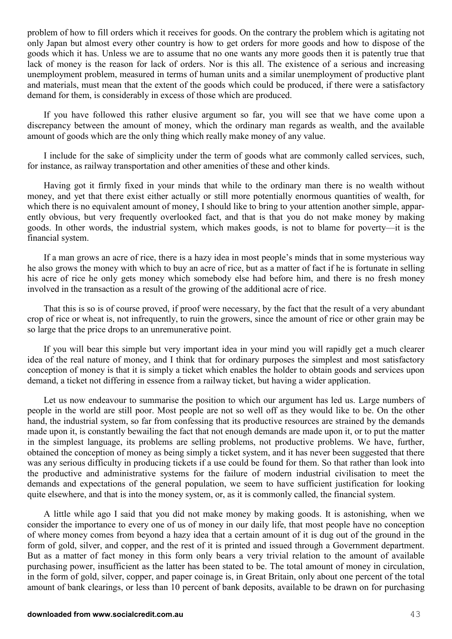problem of how to fill orders which it receives for goods. On the contrary the problem which is agitating not only Japan but almost every other country is how to get orders for more goods and how to dispose of the goods which it has. Unless we are to assume that no one wants any more goods then it is patently true that lack of money is the reason for lack of orders. Nor is this all. The existence of a serious and increasing unemployment problem, measured in terms of human units and a similar unemployment of productive plant and materials, must mean that the extent of the goods which could be produced, if there were a satisfactory demand for them, is considerably in excess of those which are produced.

If you have followed this rather elusive argument so far, you will see that we have come upon a discrepancy between the amount of money, which the ordinary man regards as wealth, and the available amount of goods which are the only thing which really make money of any value.

I include for the sake of simplicity under the term of goods what are commonly called services, such, for instance, as railway transportation and other amenities of these and other kinds.

Having got it firmly fixed in your minds that while to the ordinary man there is no wealth without money, and yet that there exist either actually or still more potentially enormous quantities of wealth, for which there is no equivalent amount of money, I should like to bring to your attention another simple, apparently obvious, but very frequently overlooked fact, and that is that you do not make money by making goods. In other words, the industrial system, which makes goods, is not to blame for poverty—it is the financial system.

If a man grows an acre of rice, there is a hazy idea in most people's minds that in some mysterious way he also grows the money with which to buy an acre of rice, but as a matter of fact if he is fortunate in selling his acre of rice he only gets money which somebody else had before him, and there is no fresh money involved in the transaction as a result of the growing of the additional acre of rice.

That this is so is of course proved, if proof were necessary, by the fact that the result of a very abundant crop of rice or wheat is, not infrequently, to ruin the growers, since the amount of rice or other grain may be so large that the price drops to an unremunerative point.

If you will bear this simple but very important idea in your mind you will rapidly get a much clearer idea of the real nature of money, and I think that for ordinary purposes the simplest and most satisfactory conception of money is that it is simply a ticket which enables the holder to obtain goods and services upon demand, a ticket not differing in essence from a railway ticket, but having a wider application.

Let us now endeavour to summarise the position to which our argument has led us. Large numbers of people in the world are still poor. Most people are not so well off as they would like to be. On the other hand, the industrial system, so far from confessing that its productive resources are strained by the demands made upon it, is constantly bewailing the fact that not enough demands are made upon it, or to put the matter in the simplest language, its problems are selling problems, not productive problems. We have, further, obtained the conception of money as being simply a ticket system, and it has never been suggested that there was any serious difficulty in producing tickets if a use could be found for them. So that rather than look into the productive and administrative systems for the failure of modern industrial civilisation to meet the demands and expectations of the general population, we seem to have sufficient justification for looking quite elsewhere, and that is into the money system, or, as it is commonly called, the financial system.

A little while ago I said that you did not make money by making goods. It is astonishing, when we consider the importance to every one of us of money in our daily life, that most people have no conception of where money comes from beyond a hazy idea that a certain amount of it is dug out of the ground in the form of gold, silver, and copper, and the rest of it is printed and issued through a Government department. But as a matter of fact money in this form only bears a very trivial relation to the amount of available purchasing power, insufficient as the latter has been stated to be. The total amount of money in circulation, in the form of gold, silver, copper, and paper coinage is, in Great Britain, only about one percent of the total amount of bank clearings, or less than 10 percent of bank deposits, available to be drawn on for purchasing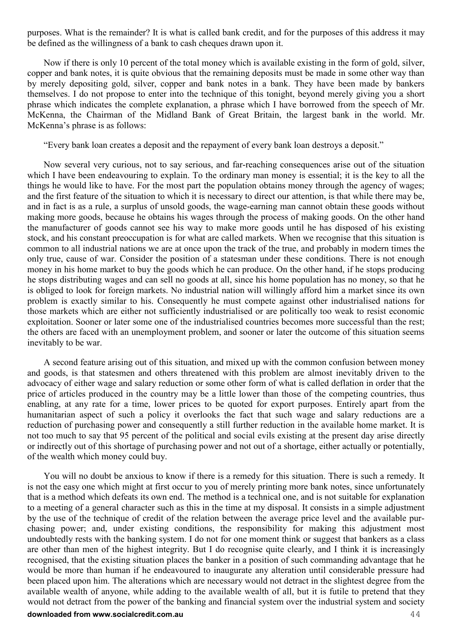purposes. What is the remainder? It is what is called bank credit, and for the purposes of this address it may be defined as the willingness of a bank to cash cheques drawn upon it.

Now if there is only 10 percent of the total money which is available existing in the form of gold, silver, copper and bank notes, it is quite obvious that the remaining deposits must be made in some other way than by merely depositing gold, silver, copper and bank notes in a bank. They have been made by bankers themselves. I do not propose to enter into the technique of this tonight, beyond merely giving you a short phrase which indicates the complete explanation, a phrase which I have borrowed from the speech of Mr. McKenna, the Chairman of the Midland Bank of Great Britain, the largest bank in the world. Mr. McKenna's phrase is as follows:

"Every bank loan creates a deposit and the repayment of every bank loan destroys a deposit."

Now several very curious, not to say serious, and far-reaching consequences arise out of the situation which I have been endeavouring to explain. To the ordinary man money is essential; it is the key to all the things he would like to have. For the most part the population obtains money through the agency of wages; and the first feature of the situation to which it is necessary to direct our attention, is that while there may be, and in fact is as a rule, a surplus of unsold goods, the wage-earning man cannot obtain these goods without making more goods, because he obtains his wages through the process of making goods. On the other hand the manufacturer of goods cannot see his way to make more goods until he has disposed of his existing stock, and his constant preoccupation is for what are called markets. When we recognise that this situation is common to all industrial nations we are at once upon the track of the true, and probably in modern times the only true, cause of war. Consider the position of a statesman under these conditions. There is not enough money in his home market to buy the goods which he can produce. On the other hand, if he stops producing he stops distributing wages and can sell no goods at all, since his home population has no money, so that he is obliged to look for foreign markets. No industrial nation will willingly afford him a market since its own problem is exactly similar to his. Consequently he must compete against other industrialised nations for those markets which are either not sufficiently industrialised or are politically too weak to resist economic exploitation. Sooner or later some one of the industrialised countries becomes more successful than the rest; the others are faced with an unemployment problem, and sooner or later the outcome of this situation seems inevitably to be war.

A second feature arising out of this situation, and mixed up with the common confusion between money and goods, is that statesmen and others threatened with this problem are almost inevitably driven to the advocacy of either wage and salary reduction or some other form of what is called deflation in order that the price of articles produced in the country may be a little lower than those of the competing countries, thus enabling, at any rate for a time, lower prices to be quoted for export purposes. Entirely apart from the humanitarian aspect of such a policy it overlooks the fact that such wage and salary reductions are a reduction of purchasing power and consequently a still further reduction in the available home market. It is not too much to say that 95 percent of the political and social evils existing at the present day arise directly or indirectly out of this shortage of purchasing power and not out of a shortage, either actually or potentially, of the wealth which money could buy.

You will no doubt be anxious to know if there is a remedy for this situation. There is such a remedy. It is not the easy one which might at first occur to you of merely printing more bank notes, since unfortunately that is a method which defeats its own end. The method is a technical one, and is not suitable for explanation to a meeting of a general character such as this in the time at my disposal. It consists in a simple adjustment by the use of the technique of credit of the relation between the average price level and the available purchasing power; and, under existing conditions, the responsibility for making this adjustment most undoubtedly rests with the banking system. I do not for one moment think or suggest that bankers as a class are other than men of the highest integrity. But I do recognise quite clearly, and I think it is increasingly recognised, that the existing situation places the banker in a position of such commanding advantage that he would be more than human if he endeavoured to inaugurate any alteration until considerable pressure had been placed upon him. The alterations which are necessary would not detract in the slightest degree from the available wealth of anyone, while adding to the available wealth of all, but it is futile to pretend that they would not detract from the power of the banking and financial system over the industrial system and society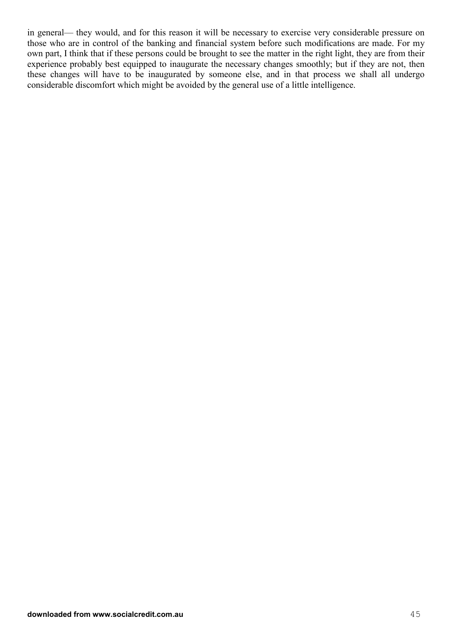in general— they would, and for this reason it will be necessary to exercise very considerable pressure on those who are in control of the banking and financial system before such modifications are made. For my own part, I think that if these persons could be brought to see the matter in the right light, they are from their experience probably best equipped to inaugurate the necessary changes smoothly; but if they are not, then these changes will have to be inaugurated by someone else, and in that process we shall all undergo considerable discomfort which might be avoided by the general use of a little intelligence.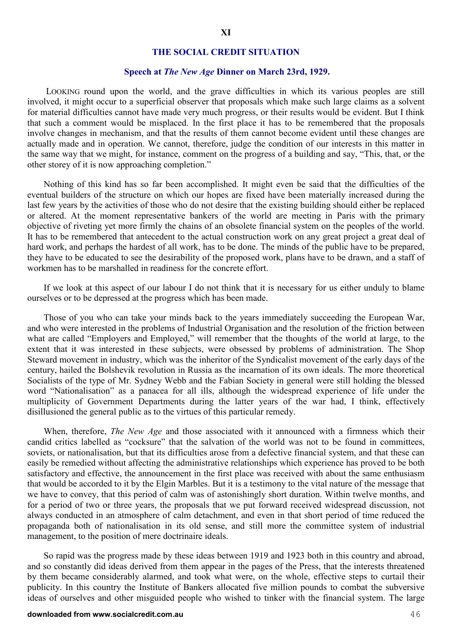#### **THE SOCIAL CREDIT SITUATION**

#### **Speech at** *The New Age* **Dinner on March 23rd, 1929.**

 LOOKING round upon the world, and the grave difficulties in which its various peoples are still involved, it might occur to a superficial observer that proposals which make such large claims as a solvent for material difficulties cannot have made very much progress, or their results would be evident. But I think that such a comment would be misplaced. In the first place it has to be remembered that the proposals involve changes in mechanism, and that the results of them cannot become evident until these changes are actually made and in operation. We cannot, therefore, judge the condition of our interests in this matter in the same way that we might, for instance, comment on the progress of a building and say, "This, that, or the other storey of it is now approaching completion."

Nothing of this kind has so far been accomplished. It might even be said that the difficulties of the eventual builders of the structure on which our hopes are fixed have been materially increased during the last few years by the activities of those who do not desire that the existing building should either be replaced or altered. At the moment representative bankers of the world are meeting in Paris with the primary objective of riveting yet more firmly the chains of an obsolete financial system on the peoples of the world. It has to be remembered that antecedent to the actual construction work on any great project a great deal of hard work, and perhaps the hardest of all work, has to be done. The minds of the public have to be prepared, they have to be educated to see the desirability of the proposed work, plans have to be drawn, and a staff of workmen has to be marshalled in readiness for the concrete effort.

If we look at this aspect of our labour I do not think that it is necessary for us either unduly to blame ourselves or to be depressed at the progress which has been made.

Those of you who can take your minds back to the years immediately succeeding the European War, and who were interested in the problems of Industrial Organisation and the resolution of the friction between what are called "Employers and Employed," will remember that the thoughts of the world at large, to the extent that it was interested in these subjects, were obsessed by problems of administration. The Shop Steward movement in industry, which was the inheritor of the Syndicalist movement of the early days of the century, hailed the Bolshevik revolution in Russia as the incarnation of its own ideals. The more theoretical Socialists of the type of Mr. Sydney Webb and the Fabian Society in general were still holding the blessed word "Nationalisation" as a panacea for all ills, although the widespread experience of life under the multiplicity of Government Departments during the latter years of the war had, I think, effectively disillusioned the general public as to the virtues of this particular remedy.

When, therefore, *The New Age* and those associated with it announced with a firmness which their candid critics labelled as "cocksure" that the salvation of the world was not to be found in committees, soviets, or nationalisation, but that its difficulties arose from a defective financial system, and that these can easily be remedied without affecting the administrative relationships which experience has proved to be both satisfactory and effective, the announcement in the first place was received with about the same enthusiasm that would be accorded to it by the Elgin Marbles. But it is a testimony to the vital nature of the message that we have to convey, that this period of calm was of astonishingly short duration. Within twelve months, and for a period of two or three years, the proposals that we put forward received widespread discussion, not always conducted in an atmosphere of calm detachment, and even in that short period of time reduced the propaganda both of nationalisation in its old sense, and still more the committee system of industrial management, to the position of mere doctrinaire ideals.

So rapid was the progress made by these ideas between 1919 and 1923 both in this country and abroad, and so constantly did ideas derived from them appear in the pages of the Press, that the interests threatened by them became considerably alarmed, and took what were, on the whole, effective steps to curtail their publicity. In this country the Institute of Bankers allocated five million pounds to combat the subversive ideas of ourselves and other misguided people who wished to tinker with the financial system. The large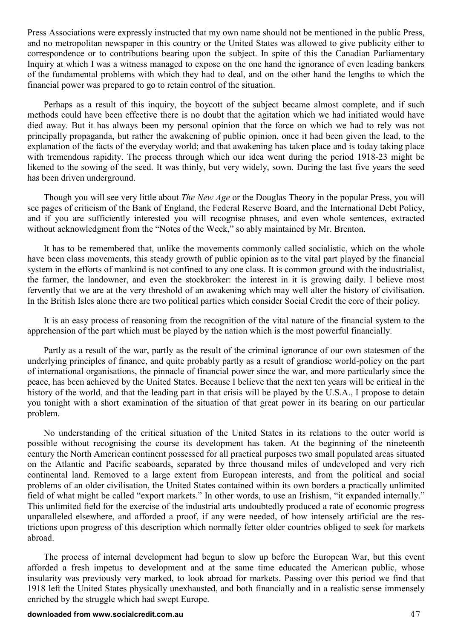Press Associations were expressly instructed that my own name should not be mentioned in the public Press, and no metropolitan newspaper in this country or the United States was allowed to give publicity either to correspondence or to contributions bearing upon the subject. In spite of this the Canadian Parliamentary Inquiry at which I was a witness managed to expose on the one hand the ignorance of even leading bankers of the fundamental problems with which they had to deal, and on the other hand the lengths to which the financial power was prepared to go to retain control of the situation.

Perhaps as a result of this inquiry, the boycott of the subject became almost complete, and if such methods could have been effective there is no doubt that the agitation which we had initiated would have died away. But it has always been my personal opinion that the force on which we had to rely was not principally propaganda, but rather the awakening of public opinion, once it had been given the lead, to the explanation of the facts of the everyday world; and that awakening has taken place and is today taking place with tremendous rapidity. The process through which our idea went during the period 1918-23 might be likened to the sowing of the seed. It was thinly, but very widely, sown. During the last five years the seed has been driven underground.

Though you will see very little about *The New Age* or the Douglas Theory in the popular Press, you will see pages of criticism of the Bank of England, the Federal Reserve Board, and the International Debt Policy, and if you are sufficiently interested you will recognise phrases, and even whole sentences, extracted without acknowledgment from the "Notes of the Week," so ably maintained by Mr. Brenton.

It has to be remembered that, unlike the movements commonly called socialistic, which on the whole have been class movements, this steady growth of public opinion as to the vital part played by the financial system in the efforts of mankind is not confined to any one class. It is common ground with the industrialist, the farmer, the landowner, and even the stockbroker: the interest in it is growing daily. I believe most fervently that we are at the very threshold of an awakening which may well alter the history of civilisation. In the British Isles alone there are two political parties which consider Social Credit the core of their policy.

It is an easy process of reasoning from the recognition of the vital nature of the financial system to the apprehension of the part which must be played by the nation which is the most powerful financially.

Partly as a result of the war, partly as the result of the criminal ignorance of our own statesmen of the underlying principles of finance, and quite probably partly as a result of grandiose world-policy on the part of international organisations, the pinnacle of financial power since the war, and more particularly since the peace, has been achieved by the United States. Because I believe that the next ten years will be critical in the history of the world, and that the leading part in that crisis will be played by the U.S.A., I propose to detain you tonight with a short examination of the situation of that great power in its bearing on our particular problem.

No understanding of the critical situation of the United States in its relations to the outer world is possible without recognising the course its development has taken. At the beginning of the nineteenth century the North American continent possessed for all practical purposes two small populated areas situated on the Atlantic and Pacific seaboards, separated by three thousand miles of undeveloped and very rich continental land. Removed to a large extent from European interests, and from the political and social problems of an older civilisation, the United States contained within its own borders a practically unlimited field of what might be called "export markets." In other words, to use an Irishism, "it expanded internally." This unlimited field for the exercise of the industrial arts undoubtedly produced a rate of economic progress unparalleled elsewhere, and afforded a proof, if any were needed, of how intensely artificial are the restrictions upon progress of this description which normally fetter older countries obliged to seek for markets abroad.

The process of internal development had begun to slow up before the European War, but this event afforded a fresh impetus to development and at the same time educated the American public, whose insularity was previously very marked, to look abroad for markets. Passing over this period we find that 1918 left the United States physically unexhausted, and both financially and in a realistic sense immensely enriched by the struggle which had swept Europe.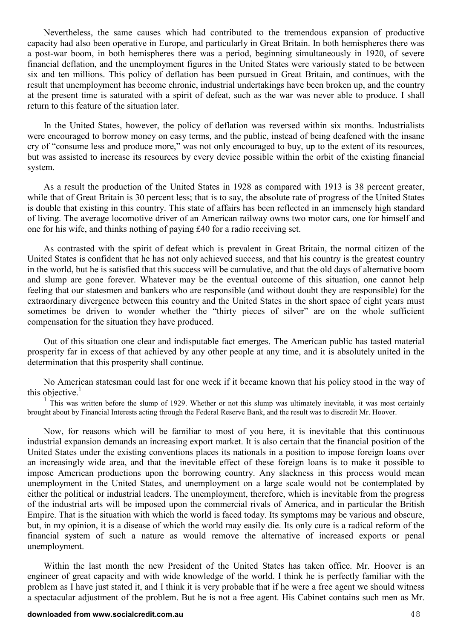Nevertheless, the same causes which had contributed to the tremendous expansion of productive capacity had also been operative in Europe, and particularly in Great Britain. In both hemispheres there was a post-war boom, in both hemispheres there was a period, beginning simultaneously in 1920, of severe financial deflation, and the unemployment figures in the United States were variously stated to be between six and ten millions. This policy of deflation has been pursued in Great Britain, and continues, with the result that unemployment has become chronic, industrial undertakings have been broken up, and the country at the present time is saturated with a spirit of defeat, such as the war was never able to produce. I shall return to this feature of the situation later.

In the United States, however, the policy of deflation was reversed within six months. Industrialists were encouraged to borrow money on easy terms, and the public, instead of being deafened with the insane cry of "consume less and produce more," was not only encouraged to buy, up to the extent of its resources, but was assisted to increase its resources by every device possible within the orbit of the existing financial system.

As a result the production of the United States in 1928 as compared with 1913 is 38 percent greater, while that of Great Britain is 30 percent less; that is to say, the absolute rate of progress of the United States is double that existing in this country. This state of affairs has been reflected in an immensely high standard of living. The average locomotive driver of an American railway owns two motor cars, one for himself and one for his wife, and thinks nothing of paying £40 for a radio receiving set.

As contrasted with the spirit of defeat which is prevalent in Great Britain, the normal citizen of the United States is confident that he has not only achieved success, and that his country is the greatest country in the world, but he is satisfied that this success will be cumulative, and that the old days of alternative boom and slump are gone forever. Whatever may be the eventual outcome of this situation, one cannot help feeling that our statesmen and bankers who are responsible (and without doubt they are responsible) for the extraordinary divergence between this country and the United States in the short space of eight years must sometimes be driven to wonder whether the "thirty pieces of silver" are on the whole sufficient compensation for the situation they have produced.

Out of this situation one clear and indisputable fact emerges. The American public has tasted material prosperity far in excess of that achieved by any other people at any time, and it is absolutely united in the determination that this prosperity shall continue.

No American statesman could last for one week if it became known that his policy stood in the way of this objective. $<sup>1</sup>$ </sup>

<sup>1</sup> This was written before the slump of 1929. Whether or not this slump was ultimately inevitable, it was most certainly brought about by Financial Interests acting through the Federal Reserve Bank, and the result was to discredit Mr. Hoover.

Now, for reasons which will be familiar to most of you here, it is inevitable that this continuous industrial expansion demands an increasing export market. It is also certain that the financial position of the United States under the existing conventions places its nationals in a position to impose foreign loans over an increasingly wide area, and that the inevitable effect of these foreign loans is to make it possible to impose American productions upon the borrowing country. Any slackness in this process would mean unemployment in the United States, and unemployment on a large scale would not be contemplated by either the political or industrial leaders. The unemployment, therefore, which is inevitable from the progress of the industrial arts will be imposed upon the commercial rivals of America, and in particular the British Empire. That is the situation with which the world is faced today. Its symptoms may be various and obscure, but, in my opinion, it is a disease of which the world may easily die. Its only cure is a radical reform of the financial system of such a nature as would remove the alternative of increased exports or penal unemployment.

Within the last month the new President of the United States has taken office. Mr. Hoover is an engineer of great capacity and with wide knowledge of the world. I think he is perfectly familiar with the problem as I have just stated it, and I think it is very probable that if he were a free agent we should witness a spectacular adjustment of the problem. But he is not a free agent. His Cabinet contains such men as Mr.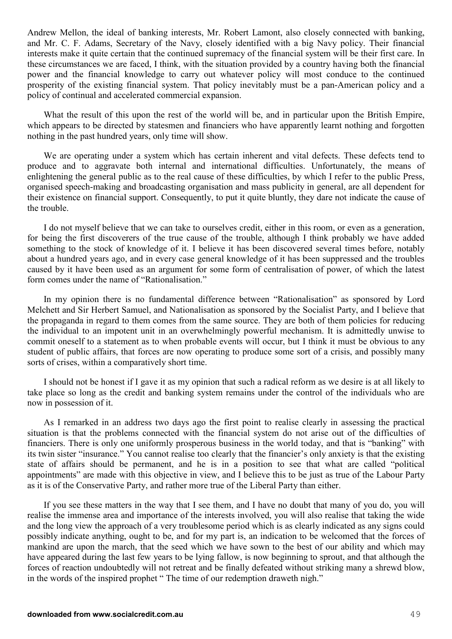Andrew Mellon, the ideal of banking interests, Mr. Robert Lamont, also closely connected with banking, and Mr. C. F. Adams, Secretary of the Navy, closely identified with a big Navy policy. Their financial interests make it quite certain that the continued supremacy of the financial system will be their first care. In these circumstances we are faced, I think, with the situation provided by a country having both the financial power and the financial knowledge to carry out whatever policy will most conduce to the continued prosperity of the existing financial system. That policy inevitably must be a pan-American policy and a policy of continual and accelerated commercial expansion.

What the result of this upon the rest of the world will be, and in particular upon the British Empire, which appears to be directed by statesmen and financiers who have apparently learnt nothing and forgotten nothing in the past hundred years, only time will show.

We are operating under a system which has certain inherent and vital defects. These defects tend to produce and to aggravate both internal and international difficulties. Unfortunately, the means of enlightening the general public as to the real cause of these difficulties, by which I refer to the public Press, organised speech-making and broadcasting organisation and mass publicity in general, are all dependent for their existence on financial support. Consequently, to put it quite bluntly, they dare not indicate the cause of the trouble.

I do not myself believe that we can take to ourselves credit, either in this room, or even as a generation, for being the first discoverers of the true cause of the trouble, although I think probably we have added something to the stock of knowledge of it. I believe it has been discovered several times before, notably about a hundred years ago, and in every case general knowledge of it has been suppressed and the troubles caused by it have been used as an argument for some form of centralisation of power, of which the latest form comes under the name of "Rationalisation."

In my opinion there is no fundamental difference between "Rationalisation" as sponsored by Lord Melchett and Sir Herbert Samuel, and Nationalisation as sponsored by the Socialist Party, and I believe that the propaganda in regard to them comes from the same source. They are both of them policies for reducing the individual to an impotent unit in an overwhelmingly powerful mechanism. It is admittedly unwise to commit oneself to a statement as to when probable events will occur, but I think it must be obvious to any student of public affairs, that forces are now operating to produce some sort of a crisis, and possibly many sorts of crises, within a comparatively short time.

I should not be honest if I gave it as my opinion that such a radical reform as we desire is at all likely to take place so long as the credit and banking system remains under the control of the individuals who are now in possession of it.

As I remarked in an address two days ago the first point to realise clearly in assessing the practical situation is that the problems connected with the financial system do not arise out of the difficulties of financiers. There is only one uniformly prosperous business in the world today, and that is "banking" with its twin sister "insurance." You cannot realise too clearly that the financier's only anxiety is that the existing state of affairs should be permanent, and he is in a position to see that what are called "political appointments" are made with this objective in view, and I believe this to be just as true of the Labour Party as it is of the Conservative Party, and rather more true of the Liberal Party than either.

If you see these matters in the way that I see them, and I have no doubt that many of you do, you will realise the immense area and importance of the interests involved, you will also realise that taking the wide and the long view the approach of a very troublesome period which is as clearly indicated as any signs could possibly indicate anything, ought to be, and for my part is, an indication to be welcomed that the forces of mankind are upon the march, that the seed which we have sown to the best of our ability and which may have appeared during the last few years to be lying fallow, is now beginning to sprout, and that although the forces of reaction undoubtedly will not retreat and be finally defeated without striking many a shrewd blow, in the words of the inspired prophet " The time of our redemption draweth nigh."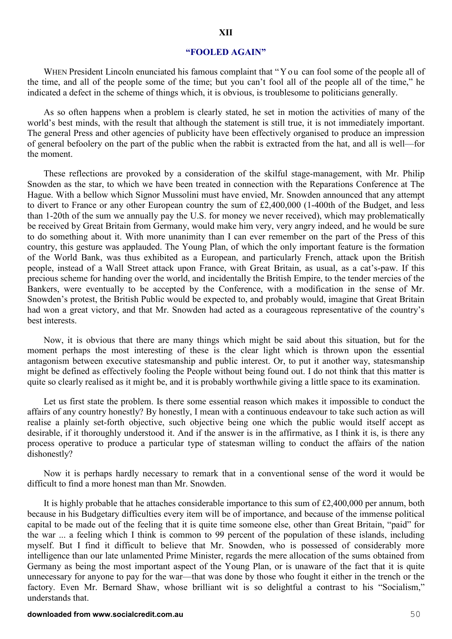#### **"FOOLED AGAIN"**

WHEN President Lincoln enunciated his famous complaint that "Y ou can fool some of the people all of the time, and all of the people some of the time; but you can't fool all of the people all of the time," he indicated a defect in the scheme of things which, it is obvious, is troublesome to politicians generally.

As so often happens when a problem is clearly stated, he set in motion the activities of many of the world's best minds, with the result that although the statement is still true, it is not immediately important. The general Press and other agencies of publicity have been effectively organised to produce an impression of general befoolery on the part of the public when the rabbit is extracted from the hat, and all is well—for the moment.

These reflections are provoked by a consideration of the skilful stage-management, with Mr. Philip Snowden as the star, to which we have been treated in connection with the Reparations Conference at The Hague. With a bellow which Signor Mussolini must have envied, Mr. Snowden announced that any attempt to divert to France or any other European country the sum of £2,400,000 (1-400th of the Budget, and less than 1-20th of the sum we annually pay the U.S. for money we never received), which may problematically be received by Great Britain from Germany, would make him very, very angry indeed, and he would be sure to do something about it. With more unanimity than I can ever remember on the part of the Press of this country, this gesture was applauded. The Young Plan, of which the only important feature is the formation of the World Bank, was thus exhibited as a European, and particularly French, attack upon the British people, instead of a Wall Street attack upon France, with Great Britain, as usual, as a cat's-paw. If this precious scheme for handing over the world, and incidentally the British Empire, to the tender mercies of the Bankers, were eventually to be accepted by the Conference, with a modification in the sense of Mr. Snowden's protest, the British Public would be expected to, and probably would, imagine that Great Britain had won a great victory, and that Mr. Snowden had acted as a courageous representative of the country's best interests.

Now, it is obvious that there are many things which might be said about this situation, but for the moment perhaps the most interesting of these is the clear light which is thrown upon the essential antagonism between executive statesmanship and public interest. Or, to put it another way, statesmanship might be defined as effectively fooling the People without being found out. I do not think that this matter is quite so clearly realised as it might be, and it is probably worthwhile giving a little space to its examination.

Let us first state the problem. Is there some essential reason which makes it impossible to conduct the affairs of any country honestly? By honestly, I mean with a continuous endeavour to take such action as will realise a plainly set-forth objective, such objective being one which the public would itself accept as desirable, if it thoroughly understood it. And if the answer is in the affirmative, as I think it is, is there any process operative to produce a particular type of statesman willing to conduct the affairs of the nation dishonestly?

Now it is perhaps hardly necessary to remark that in a conventional sense of the word it would be difficult to find a more honest man than Mr. Snowden.

It is highly probable that he attaches considerable importance to this sum of £2,400,000 per annum, both because in his Budgetary difficulties every item will be of importance, and because of the immense political capital to be made out of the feeling that it is quite time someone else, other than Great Britain, "paid" for the war ... a feeling which I think is common to 99 percent of the population of these islands, including myself. But I find it difficult to believe that Mr. Snowden, who is possessed of considerably more intelligence than our late unlamented Prime Minister, regards the mere allocation of the sums obtained from Germany as being the most important aspect of the Young Plan, or is unaware of the fact that it is quite unnecessary for anyone to pay for the war—that was done by those who fought it either in the trench or the factory. Even Mr. Bernard Shaw, whose brilliant wit is so delightful a contrast to his "Socialism," understands that.

#### **downloaded from www.socialcredit.com.au** 50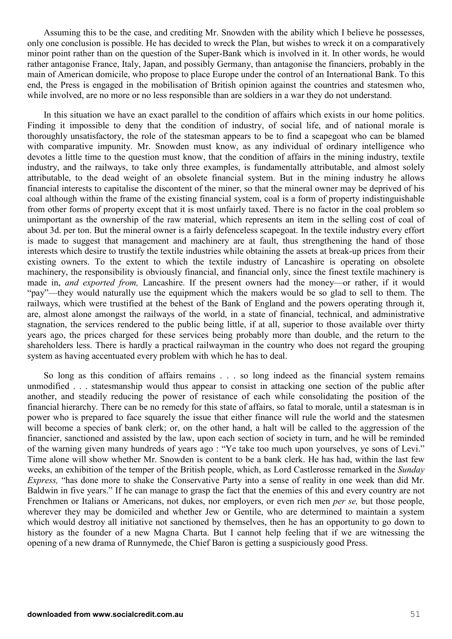Assuming this to be the case, and crediting Mr. Snowden with the ability which I believe he possesses, only one conclusion is possible. He has decided to wreck the Plan, but wishes to wreck it on a comparatively minor point rather than on the question of the Super-Bank which is involved in it. In other words, he would rather antagonise France, Italy, Japan, and possibly Germany, than antagonise the financiers, probably in the main of American domicile, who propose to place Europe under the control of an International Bank. To this end, the Press is engaged in the mobilisation of British opinion against the countries and statesmen who, while involved, are no more or no less responsible than are soldiers in a war they do not understand.

In this situation we have an exact parallel to the condition of affairs which exists in our home politics. Finding it impossible to deny that the condition of industry, of social life, and of national morale is thoroughly unsatisfactory, the role of the statesman appears to be to find a scapegoat who can be blamed with comparative impunity. Mr. Snowden must know, as any individual of ordinary intelligence who devotes a little time to the question must know, that the condition of affairs in the mining industry, textile industry, and the railways, to take only three examples, is fundamentally attributable, and almost solely attributable, to the dead weight of an obsolete financial system. But in the mining industry he allows financial interests to capitalise the discontent of the miner, so that the mineral owner may be deprived of his coal although within the frame of the existing financial system, coal is a form of property indistinguishable from other forms of property except that it is most unfairly taxed. There is no factor in the coal problem so unimportant as the ownership of the raw material, which represents an item in the selling cost of coal of about 3d. per ton. But the mineral owner is a fairly defenceless scapegoat. In the textile industry every effort is made to suggest that management and machinery are at fault, thus strengthening the hand of those interests which desire to trustify the textile industries while obtaining the assets at break-up prices from their existing owners. To the extent to which the textile industry of Lancashire is operating on obsolete machinery, the responsibility is obviously financial, and financial only, since the finest textile machinery is made in, *and exported from,* Lancashire. If the present owners had the money—or rather, if it would "pay"—they would naturally use the equipment which the makers would be so glad to sell to them. The railways, which were trustified at the behest of the Bank of England and the powers operating through it, are, almost alone amongst the railways of the world, in a state of financial, technical, and administrative stagnation, the services rendered to the public being little, if at all, superior to those available over thirty years ago, the prices charged for these services being probably more than double, and the return to the shareholders less. There is hardly a practical railwayman in the country who does not regard the grouping system as having accentuated every problem with which he has to deal.

So long as this condition of affairs remains . . . so long indeed as the financial system remains unmodified . . . statesmanship would thus appear to consist in attacking one section of the public after another, and steadily reducing the power of resistance of each while consolidating the position of the financial hierarchy. There can be no remedy for this state of affairs, so fatal to morale, until a statesman is in power who is prepared to face squarely the issue that either finance will rule the world and the statesmen will become a species of bank clerk; or, on the other hand, a halt will be called to the aggression of the financier, sanctioned and assisted by the law, upon each section of society in turn, and he will be reminded of the warning given many hundreds of years ago : "Ye take too much upon yourselves, ye sons of Levi." Time alone will show whether Mr. Snowden is content to be a bank clerk. He has had, within the last few weeks, an exhibition of the temper of the British people, which, as Lord Castlerosse remarked in the *Sunday Express,* "has done more to shake the Conservative Party into a sense of reality in one week than did Mr. Baldwin in five years." If he can manage to grasp the fact that the enemies of this and every country are not Frenchmen or Italians or Americans, not dukes, nor employers, or even rich men *per se,* but those people, wherever they may be domiciled and whether Jew or Gentile, who are determined to maintain a system which would destroy all initiative not sanctioned by themselves, then he has an opportunity to go down to history as the founder of a new Magna Charta. But I cannot help feeling that if we are witnessing the opening of a new drama of Runnymede, the Chief Baron is getting a suspiciously good Press.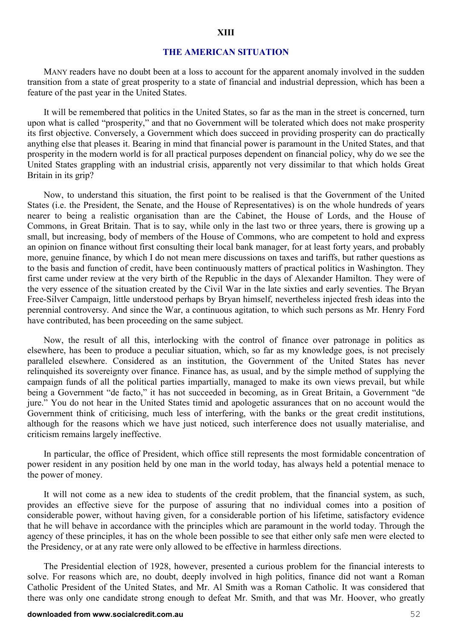#### **THE AMERICAN SITUATION**

MANY readers have no doubt been at a loss to account for the apparent anomaly involved in the sudden transition from a state of great prosperity to a state of financial and industrial depression, which has been a feature of the past year in the United States.

It will be remembered that politics in the United States, so far as the man in the street is concerned, turn upon what is called "prosperity," and that no Government will be tolerated which does not make prosperity its first objective. Conversely, a Government which does succeed in providing prosperity can do practically anything else that pleases it. Bearing in mind that financial power is paramount in the United States, and that prosperity in the modern world is for all practical purposes dependent on financial policy, why do we see the United States grappling with an industrial crisis, apparently not very dissimilar to that which holds Great Britain in its grip?

Now, to understand this situation, the first point to be realised is that the Government of the United States (i.e. the President, the Senate, and the House of Representatives) is on the whole hundreds of years nearer to being a realistic organisation than are the Cabinet, the House of Lords, and the House of Commons, in Great Britain. That is to say, while only in the last two or three years, there is growing up a small, but increasing, body of members of the House of Commons, who are competent to hold and express an opinion on finance without first consulting their local bank manager, for at least forty years, and probably more, genuine finance, by which I do not mean mere discussions on taxes and tariffs, but rather questions as to the basis and function of credit, have been continuously matters of practical politics in Washington. They first came under review at the very birth of the Republic in the days of Alexander Hamilton. They were of the very essence of the situation created by the Civil War in the late sixties and early seventies. The Bryan Free-Silver Campaign, little understood perhaps by Bryan himself, nevertheless injected fresh ideas into the perennial controversy. And since the War, a continuous agitation, to which such persons as Mr. Henry Ford have contributed, has been proceeding on the same subject.

Now, the result of all this, interlocking with the control of finance over patronage in politics as elsewhere, has been to produce a peculiar situation, which, so far as my knowledge goes, is not precisely paralleled elsewhere. Considered as an institution, the Government of the United States has never relinquished its sovereignty over finance. Finance has, as usual, and by the simple method of supplying the campaign funds of all the political parties impartially, managed to make its own views prevail, but while being a Government "de facto," it has not succeeded in becoming, as in Great Britain, a Government "de jure." You do not hear in the United States timid and apologetic assurances that on no account would the Government think of criticising, much less of interfering, with the banks or the great credit institutions, although for the reasons which we have just noticed, such interference does not usually materialise, and criticism remains largely ineffective.

In particular, the office of President, which office still represents the most formidable concentration of power resident in any position held by one man in the world today, has always held a potential menace to the power of money.

It will not come as a new idea to students of the credit problem, that the financial system, as such, provides an effective sieve for the purpose of assuring that no individual comes into a position of considerable power, without having given, for a considerable portion of his lifetime, satisfactory evidence that he will behave in accordance with the principles which are paramount in the world today. Through the agency of these principles, it has on the whole been possible to see that either only safe men were elected to the Presidency, or at any rate were only allowed to be effective in harmless directions.

The Presidential election of 1928, however, presented a curious problem for the financial interests to solve. For reasons which are, no doubt, deeply involved in high politics, finance did not want a Roman Catholic President of the United States, and Mr. Al Smith was a Roman Catholic. It was considered that there was only one candidate strong enough to defeat Mr. Smith, and that was Mr. Hoover, who greatly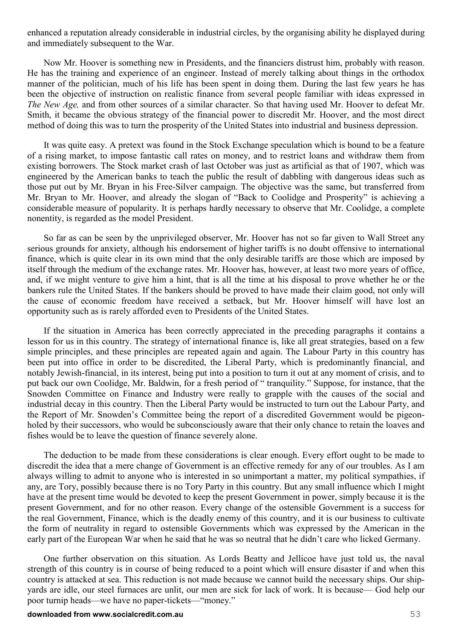enhanced a reputation already considerable in industrial circles, by the organising ability he displayed during and immediately subsequent to the War.

Now Mr. Hoover is something new in Presidents, and the financiers distrust him, probably with reason. He has the training and experience of an engineer. Instead of merely talking about things in the orthodox manner of the politician, much of his life has been spent in doing them. During the last few years he has been the objective of instruction on realistic finance from several people familiar with ideas expressed in *The New Age,* and from other sources of a similar character. So that having used Mr. Hoover to defeat Mr. Smith, it became the obvious strategy of the financial power to discredit Mr. Hoover, and the most direct method of doing this was to turn the prosperity of the United States into industrial and business depression.

It was quite easy. A pretext was found in the Stock Exchange speculation which is bound to be a feature of a rising market, to impose fantastic call rates on money, and to restrict loans and withdraw them from existing borrowers. The Stock market crash of last October was just as artificial as that of 1907, which was engineered by the American banks to teach the public the result of dabbling with dangerous ideas such as those put out by Mr. Bryan in his Free-Silver campaign. The objective was the same, but transferred from Mr. Bryan to Mr. Hoover, and already the slogan of "Back to Coolidge and Prosperity" is achieving a considerable measure of popularity. It is perhaps hardly necessary to observe that Mr. Coolidge, a complete nonentity, is regarded as the model President.

So far as can be seen by the unprivileged observer, Mr. Hoover has not so far given to Wall Street any serious grounds for anxiety, although his endorsement of higher tariffs is no doubt offensive to international finance, which is quite clear in its own mind that the only desirable tariffs are those which are imposed by itself through the medium of the exchange rates. Mr. Hoover has, however, at least two more years of office, and, if we might venture to give him a hint, that is all the time at his disposal to prove whether he or the bankers rule the United States. If the bankers should be proved to have made their claim good, not only will the cause of economic freedom have received a setback, but Mr. Hoover himself will have lost an opportunity such as is rarely afforded even to Presidents of the United States.

If the situation in America has been correctly appreciated in the preceding paragraphs it contains a lesson for us in this country. The strategy of international finance is, like all great strategies, based on a few simple principles, and these principles are repeated again and again. The Labour Party in this country has been put into office in order to be discredited, the Liberal Party, which is predominantly financial, and notably Jewish-financial, in its interest, being put into a position to turn it out at any moment of crisis, and to put back our own Coolidge, Mr. Baldwin, for a fresh period of " tranquility." Suppose, for instance, that the Snowden Committee on Finance and Industry were really to grapple with the causes of the social and industrial decay in this country. Then the Liberal Party would be instructed to turn out the Labour Party, and the Report of Mr. Snowden's Committee being the report of a discredited Government would be pigeonholed by their successors, who would be subconsciously aware that their only chance to retain the loaves and fishes would be to leave the question of finance severely alone.

The deduction to be made from these considerations is clear enough. Every effort ought to be made to discredit the idea that a mere change of Government is an effective remedy for any of our troubles. As I am always willing to admit to anyone who is interested in so unimportant a matter, my political sympathies, if any, are Tory, possibly because there is no Tory Party in this country. But any small influence which I might have at the present time would be devoted to keep the present Government in power, simply because it is the present Government, and for no other reason. Every change of the ostensible Government is a success for the real Government, Finance, which is the deadly enemy of this country, and it is our business to cultivate the form of neutrality in regard to ostensible Governments which was expressed by the American in the early part of the European War when he said that he was so neutral that he didn't care who licked Germany.

One further observation on this situation. As Lords Beatty and Jellicoe have just told us, the naval strength of this country is in course of being reduced to a point which will ensure disaster if and when this country is attacked at sea. This reduction is not made because we cannot build the necessary ships. Our shipyards are idle, our steel furnaces are unlit, our men are sick for lack of work. It is because— God help our poor turnip heads—we have no paper-tickets—"money."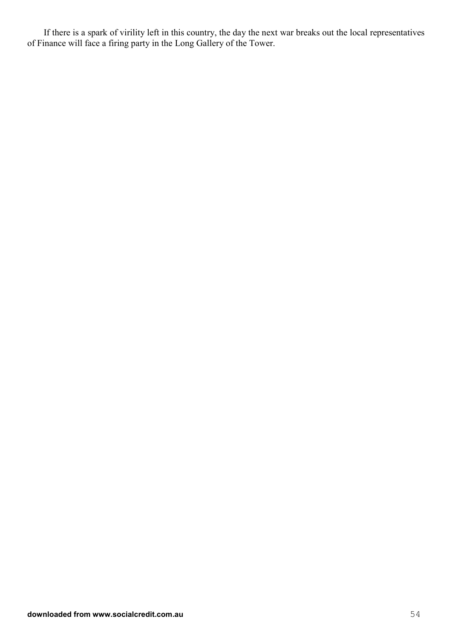If there is a spark of virility left in this country, the day the next war breaks out the local representatives of Finance will face a firing party in the Long Gallery of the Tower.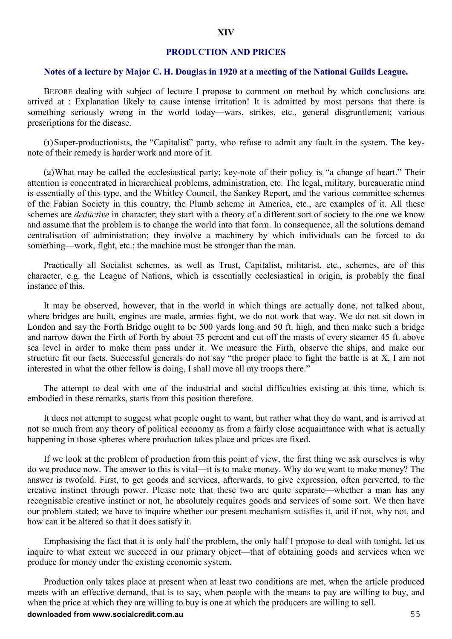#### **PRODUCTION AND PRICES**

#### **Notes of a lecture by Major C. H. Douglas in 1920 at a meeting of the National Guilds League.**

BEFORE dealing with subject of lecture I propose to comment on method by which conclusions are arrived at : Explanation likely to cause intense irritation! It is admitted by most persons that there is something seriously wrong in the world today—wars, strikes, etc., general disgruntlement; various prescriptions for the disease.

(1)Super-productionists, the "Capitalist" party, who refuse to admit any fault in the system. The keynote of their remedy is harder work and more of it.

(2)What may be called the ecclesiastical party; key-note of their policy is "a change of heart." Their attention is concentrated in hierarchical problems, administration, etc. The legal, military, bureaucratic mind is essentially of this type, and the Whitley Council, the Sankey Report, and the various committee schemes of the Fabian Society in this country, the Plumb scheme in America, etc., are examples of it. All these schemes are *deductive* in character; they start with a theory of a different sort of society to the one we know and assume that the problem is to change the world into that form. In consequence, all the solutions demand centralisation of administration; they involve a machinery by which individuals can be forced to do something—work, fight, etc.; the machine must be stronger than the man.

Practically all Socialist schemes, as well as Trust, Capitalist, militarist, etc., schemes, are of this character, e.g. the League of Nations, which is essentially ecclesiastical in origin, is probably the final instance of this.

It may be observed, however, that in the world in which things are actually done, not talked about, where bridges are built, engines are made, armies fight, we do not work that way. We do not sit down in London and say the Forth Bridge ought to be 500 yards long and 50 ft. high, and then make such a bridge and narrow down the Firth of Forth by about 75 percent and cut off the masts of every steamer 45 ft. above sea level in order to make them pass under it. We measure the Firth, observe the ships, and make our structure fit our facts. Successful generals do not say "the proper place to fight the battle is at X, I am not interested in what the other fellow is doing, I shall move all my troops there."

The attempt to deal with one of the industrial and social difficulties existing at this time, which is embodied in these remarks, starts from this position therefore.

It does not attempt to suggest what people ought to want, but rather what they do want, and is arrived at not so much from any theory of political economy as from a fairly close acquaintance with what is actually happening in those spheres where production takes place and prices are fixed.

If we look at the problem of production from this point of view, the first thing we ask ourselves is why do we produce now. The answer to this is vital—it is to make money. Why do we want to make money? The answer is twofold. First, to get goods and services, afterwards, to give expression, often perverted, to the creative instinct through power. Please note that these two are quite separate—whether a man has any recognisable creative instinct or not, he absolutely requires goods and services of some sort. We then have our problem stated; we have to inquire whether our present mechanism satisfies it, and if not, why not, and how can it be altered so that it does satisfy it.

Emphasising the fact that it is only half the problem, the only half I propose to deal with tonight, let us inquire to what extent we succeed in our primary object—that of obtaining goods and services when we produce for money under the existing economic system.

**downloaded from www.socialcredit.com.au** 55 Production only takes place at present when at least two conditions are met, when the article produced meets with an effective demand, that is to say, when people with the means to pay are willing to buy, and when the price at which they are willing to buy is one at which the producers are willing to sell.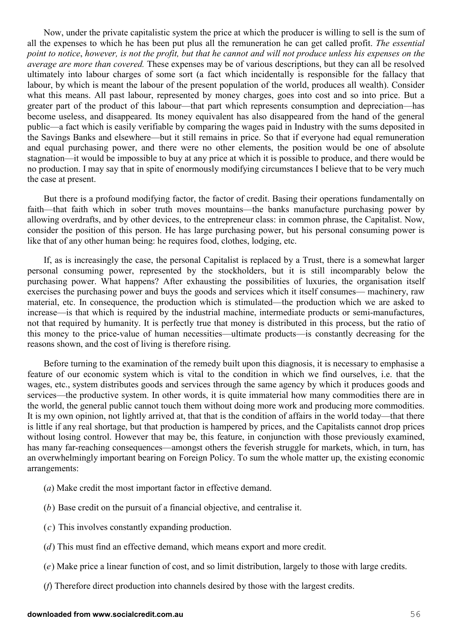Now, under the private capitalistic system the price at which the producer is willing to sell is the sum of all the expenses to which he has been put plus all the remuneration he can get called profit. *The essential point to notice*, *however, is not the profit, but that he cannot and will not produce unless his expenses on the average are more than covered.* These expenses may be of various descriptions, but they can all be resolved ultimately into labour charges of some sort (a fact which incidentally is responsible for the fallacy that labour, by which is meant the labour of the present population of the world, produces all wealth). Consider what this means. All past labour, represented by money charges, goes into cost and so into price. But a greater part of the product of this labour—that part which represents consumption and depreciation—has become useless, and disappeared. Its money equivalent has also disappeared from the hand of the general public—a fact which is easily verifiable by comparing the wages paid in Industry with the sums deposited in the Savings Banks and elsewhere—but it still remains in price. So that if everyone had equal remuneration and equal purchasing power, and there were no other elements, the position would be one of absolute stagnation—it would be impossible to buy at any price at which it is possible to produce, and there would be no production. I may say that in spite of enormously modifying circumstances I believe that to be very much the case at present.

But there is a profound modifying factor, the factor of credit. Basing their operations fundamentally on faith—that faith which in sober truth moves mountains—the banks manufacture purchasing power by allowing overdrafts, and by other devices, to the entrepreneur class: in common phrase, the Capitalist. Now, consider the position of this person. He has large purchasing power, but his personal consuming power is like that of any other human being: he requires food, clothes, lodging, etc.

If, as is increasingly the case, the personal Capitalist is replaced by a Trust, there is a somewhat larger personal consuming power, represented by the stockholders, but it is still incomparably below the purchasing power. What happens? After exhausting the possibilities of luxuries, the organisation itself exercises the purchasing power and buys the goods and services which it itself consumes— machinery, raw material, etc. In consequence, the production which is stimulated—the production which we are asked to increase—is that which is required by the industrial machine, intermediate products or semi-manufactures, not that required by humanity. It is perfectly true that money is distributed in this process, but the ratio of this money to the price-value of human necessities—ultimate products—is constantly decreasing for the reasons shown, and the cost of living is therefore rising.

Before turning to the examination of the remedy built upon this diagnosis, it is necessary to emphasise a feature of our economic system which is vital to the condition in which we find ourselves, i.e. that the wages, etc., system distributes goods and services through the same agency by which it produces goods and services—the productive system. In other words, it is quite immaterial how many commodities there are in the world, the general public cannot touch them without doing more work and producing more commodities. It is my own opinion, not lightly arrived at, that that is the condition of affairs in the world today—that there is little if any real shortage, but that production is hampered by prices, and the Capitalists cannot drop prices without losing control. However that may be, this feature, in conjunction with those previously examined, has many far-reaching consequences—amongst others the feverish struggle for markets, which, in turn, has an overwhelmingly important bearing on Foreign Policy. To sum the whole matter up, the existing economic arrangements:

- (*a*) Make credit the most important factor in effective demand.
- (*b*) Base credit on the pursuit of a financial objective, and centralise it.
- (*c*) This involves constantly expanding production.
- (*d*) This must find an effective demand, which means export and more credit.
- (*e*) Make price a linear function of cost, and so limit distribution, largely to those with large credits.
- (*f*) Therefore direct production into channels desired by those with the largest credits.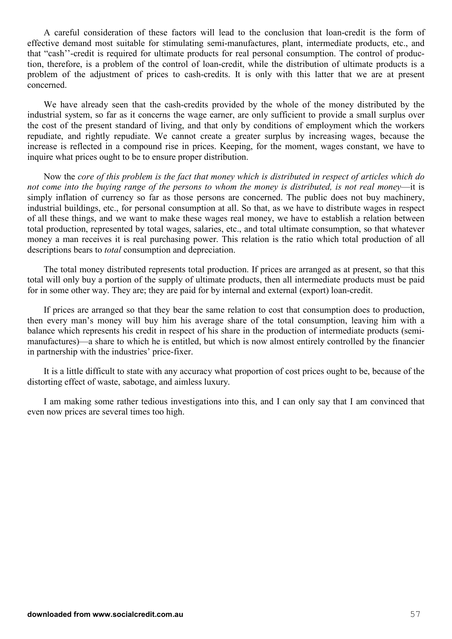A careful consideration of these factors will lead to the conclusion that loan-credit is the form of effective demand most suitable for stimulating semi-manufactures, plant, intermediate products, etc., and that "cash''-credit is required for ultimate products for real personal consumption. The control of production, therefore, is a problem of the control of loan-credit, while the distribution of ultimate products is a problem of the adjustment of prices to cash-credits. It is only with this latter that we are at present concerned.

We have already seen that the cash-credits provided by the whole of the money distributed by the industrial system, so far as it concerns the wage earner, are only sufficient to provide a small surplus over the cost of the present standard of living, and that only by conditions of employment which the workers repudiate, and rightly repudiate. We cannot create a greater surplus by increasing wages, because the increase is reflected in a compound rise in prices. Keeping, for the moment, wages constant, we have to inquire what prices ought to be to ensure proper distribution.

Now the *core of this problem is the fact that money which is distributed in respect of articles which do not come into the buying range of the persons to whom the money is distributed, is not real money*—it is simply inflation of currency so far as those persons are concerned. The public does not buy machinery, industrial buildings, etc., for personal consumption at all. So that, as we have to distribute wages in respect of all these things, and we want to make these wages real money, we have to establish a relation between total production, represented by total wages, salaries, etc., and total ultimate consumption, so that whatever money a man receives it is real purchasing power. This relation is the ratio which total production of all descriptions bears to *total* consumption and depreciation.

The total money distributed represents total production. If prices are arranged as at present, so that this total will only buy a portion of the supply of ultimate products, then all intermediate products must be paid for in some other way. They are; they are paid for by internal and external (export) loan-credit.

If prices are arranged so that they bear the same relation to cost that consumption does to production, then every man's money will buy him his average share of the total consumption, leaving him with a balance which represents his credit in respect of his share in the production of intermediate products (semimanufactures)—a share to which he is entitled, but which is now almost entirely controlled by the financier in partnership with the industries' price-fixer.

It is a little difficult to state with any accuracy what proportion of cost prices ought to be, because of the distorting effect of waste, sabotage, and aimless luxury.

I am making some rather tedious investigations into this, and I can only say that I am convinced that even now prices are several times too high.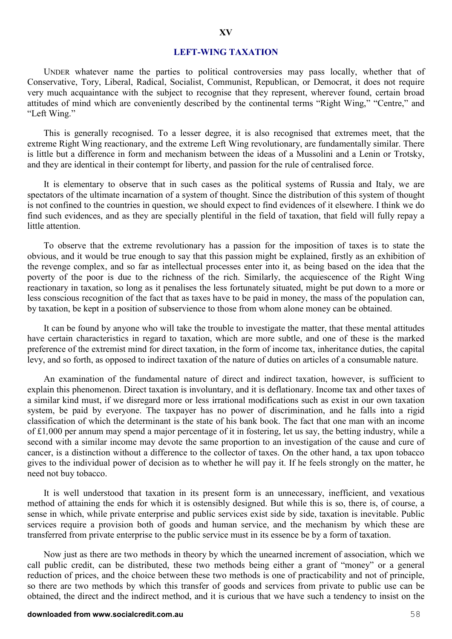## **XV**

#### **LEFT-WING TAXATION**

UNDER whatever name the parties to political controversies may pass locally, whether that of Conservative, Tory, Liberal, Radical, Socialist, Communist, Republican, or Democrat, it does not require very much acquaintance with the subject to recognise that they represent, wherever found, certain broad attitudes of mind which are conveniently described by the continental terms "Right Wing," "Centre," and "Left Wing."

This is generally recognised. To a lesser degree, it is also recognised that extremes meet, that the extreme Right Wing reactionary, and the extreme Left Wing revolutionary, are fundamentally similar. There is little but a difference in form and mechanism between the ideas of a Mussolini and a Lenin or Trotsky, and they are identical in their contempt for liberty, and passion for the rule of centralised force.

It is elementary to observe that in such cases as the political systems of Russia and Italy, we are spectators of the ultimate incarnation of a system of thought. Since the distribution of this system of thought is not confined to the countries in question, we should expect to find evidences of it elsewhere. I think we do find such evidences, and as they are specially plentiful in the field of taxation, that field will fully repay a little attention.

To observe that the extreme revolutionary has a passion for the imposition of taxes is to state the obvious, and it would be true enough to say that this passion might be explained, firstly as an exhibition of the revenge complex, and so far as intellectual processes enter into it, as being based on the idea that the poverty of the poor is due to the richness of the rich. Similarly, the acquiescence of the Right Wing reactionary in taxation, so long as it penalises the less fortunately situated, might be put down to a more or less conscious recognition of the fact that as taxes have to be paid in money, the mass of the population can, by taxation, be kept in a position of subservience to those from whom alone money can be obtained.

It can be found by anyone who will take the trouble to investigate the matter, that these mental attitudes have certain characteristics in regard to taxation, which are more subtle, and one of these is the marked preference of the extremist mind for direct taxation, in the form of income tax, inheritance duties, the capital levy, and so forth, as opposed to indirect taxation of the nature of duties on articles of a consumable nature.

An examination of the fundamental nature of direct and indirect taxation, however, is sufficient to explain this phenomenon. Direct taxation is involuntary, and it is deflationary. Income tax and other taxes of a similar kind must, if we disregard more or less irrational modifications such as exist in our own taxation system, be paid by everyone. The taxpayer has no power of discrimination, and he falls into a rigid classification of which the determinant is the state of his bank book. The fact that one man with an income of £1*,*000 per annum may spend a major percentage of it in fostering, let us say, the betting industry, while a second with a similar income may devote the same proportion to an investigation of the cause and cure of cancer, is a distinction without a difference to the collector of taxes. On the other hand, a tax upon tobacco gives to the individual power of decision as to whether he will pay it. If he feels strongly on the matter, he need not buy tobacco.

It is well understood that taxation in its present form is an unnecessary, inefficient, and vexatious method of attaining the ends for which it is ostensibly designed. But while this is so, there is, of course, a sense in which, while private enterprise and public services exist side by side, taxation is inevitable. Public services require a provision both of goods and human service, and the mechanism by which these are transferred from private enterprise to the public service must in its essence be by a form of taxation.

Now just as there are two methods in theory by which the unearned increment of association, which we call public credit, can be distributed, these two methods being either a grant of "money" or a general reduction of prices, and the choice between these two methods is one of practicability and not of principle, so there are two methods by which this transfer of goods and services from private to public use can be obtained, the direct and the indirect method, and it is curious that we have such a tendency to insist on the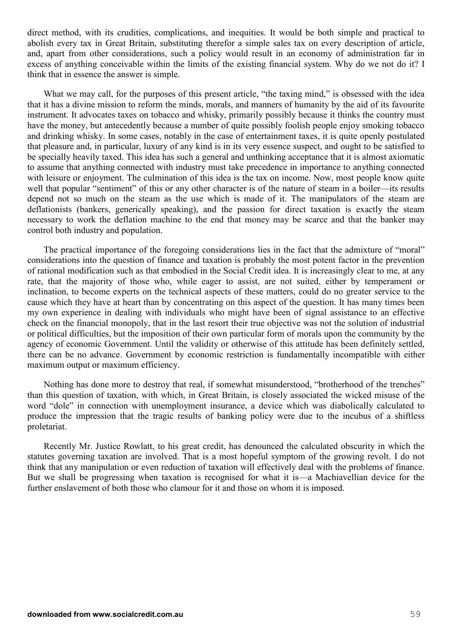direct method, with its crudities, complications, and inequities. It would be both simple and practical to abolish every tax in Great Britain, substituting therefor a simple sales tax on every description of article, and, apart from other considerations, such a policy would result in an economy of administration far in excess of anything conceivable within the limits of the existing financial system. Why do we not do it? I think that in essence the answer is simple.

What we may call, for the purposes of this present article, "the taxing mind," is obsessed with the idea that it has a divine mission to reform the minds, morals, and manners of humanity by the aid of its favourite instrument. It advocates taxes on tobacco and whisky, primarily possibly because it thinks the country must have the money, but antecedently because a number of quite possibly foolish people enjoy smoking tobacco and drinking whisky. In some cases, notably in the case of entertainment taxes, it is quite openly postulated that pleasure and, in particular, luxury of any kind is in its very essence suspect, and ought to be satisfied to be specially heavily taxed. This idea has such a general and unthinking acceptance that it is almost axiomatic to assume that anything connected with industry must take precedence in importance to anything connected with leisure or enjoyment. The culmination of this idea is the tax on income. Now, most people know quite well that popular "sentiment" of this or any other character is of the nature of steam in a boiler—its results depend not so much on the steam as the use which is made of it. The manipulators of the steam are deflationists (bankers, generically speaking), and the passion for direct taxation is exactly the steam necessary to work the deflation machine to the end that money may be scarce and that the banker may control both industry and population.

The practical importance of the foregoing considerations lies in the fact that the admixture of "moral" considerations into the question of finance and taxation is probably the most potent factor in the prevention of rational modification such as that embodied in the Social Credit idea. It is increasingly clear to me, at any rate, that the majority of those who, while eager to assist, are not suited, either by temperament or inclination, to become experts on the technical aspects of these matters, could do no greater service to the cause which they have at heart than by concentrating on this aspect of the question. It has many times been my own experience in dealing with individuals who might have been of signal assistance to an effective check on the financial monopoly, that in the last resort their true objective was not the solution of industrial or political difficulties, but the imposition of their own particular form of morals upon the community by the agency of economic Government. Until the validity or otherwise of this attitude has been definitely settled, there can be no advance. Government by economic restriction is fundamentally incompatible with either maximum output or maximum efficiency.

Nothing has done more to destroy that real, if somewhat misunderstood, "brotherhood of the trenches" than this question of taxation, with which, in Great Britain, is closely associated the wicked misuse of the word "dole" in connection with unemployment insurance, a device which was diabolically calculated to produce the impression that the tragic results of banking policy were due to the incubus of a shiftless proletariat.

Recently Mr. Justice Rowlatt, to his great credit, has denounced the calculated obscurity in which the statutes governing taxation are involved. That is a most hopeful symptom of the growing revolt. I do not think that any manipulation or even reduction of taxation will effectively deal with the problems of finance. But we shall be progressing when taxation is recognised for what it is—a Machiavellian device for the further enslavement of both those who clamour for it and those on whom it is imposed.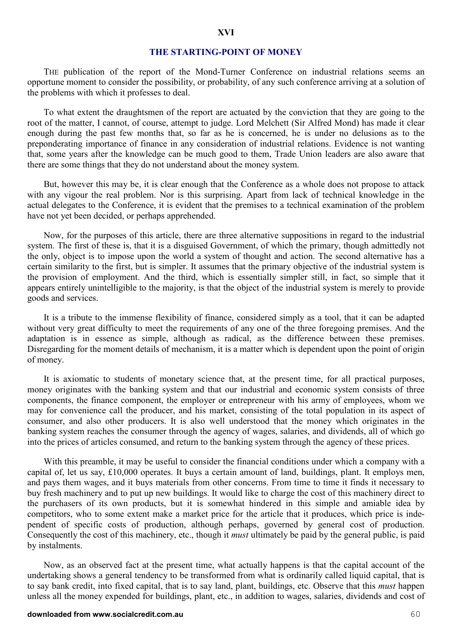#### **THE STARTING-POINT OF MONEY**

THE publication of the report of the Mond-Turner Conference on industrial relations seems an opportune moment to consider the possibility, or probability, of any such conference arriving at a solution of the problems with which it professes to deal.

To what extent the draughtsmen of the report are actuated by the conviction that they are going to the root of the matter, I cannot, of course, attempt to judge. Lord Melchett (Sir Alfred Mond) has made it clear enough during the past few months that, so far as he is concerned, he is under no delusions as to the preponderating importance of finance in any consideration of industrial relations. Evidence is not wanting that, some years after the knowledge can be much good to them, Trade Union leaders are also aware that there are some things that they do not understand about the money system.

But, however this may be, it is clear enough that the Conference as a whole does not propose to attack with any vigour the real problem. Nor is this surprising. Apart from lack of technical knowledge in the actual delegates to the Conference, it is evident that the premises to a technical examination of the problem have not yet been decided, or perhaps apprehended.

Now, for the purposes of this article, there are three alternative suppositions in regard to the industrial system. The first of these is, that it is a disguised Government, of which the primary, though admittedly not the only, object is to impose upon the world a system of thought and action. The second alternative has a certain similarity to the first, but is simpler. It assumes that the primary objective of the industrial system is the provision of employment. And the third, which is essentially simpler still, in fact, so simple that it appears entirely unintelligible to the majority, is that the object of the industrial system is merely to provide goods and services.

It is a tribute to the immense flexibility of finance, considered simply as a tool, that it can be adapted without very great difficulty to meet the requirements of any one of the three foregoing premises. And the adaptation is in essence as simple, although as radical, as the difference between these premises. Disregarding for the moment details of mechanism, it is a matter which is dependent upon the point of origin of money.

It is axiomatic to students of monetary science that, at the present time, for all practical purposes, money originates with the banking system and that our industrial and economic system consists of three components, the finance component, the employer or entrepreneur with his army of employees, whom we may for convenience call the producer, and his market, consisting of the total population in its aspect of consumer, and also other producers. It is also well understood that the money which originates in the banking system reaches the consumer through the agency of wages, salaries, and dividends, all of which go into the prices of articles consumed, and return to the banking system through the agency of these prices.

With this preamble, it may be useful to consider the financial conditions under which a company with a capital of, let us say, £10,000 operates. It buys a certain amount of land, buildings, plant. It employs men, and pays them wages, and it buys materials from other concerns. From time to time it finds it necessary to buy fresh machinery and to put up new buildings. It would like to charge the cost of this machinery direct to the purchasers of its own products, but it is somewhat hindered in this simple and amiable idea by competitors, who to some extent make a market price for the article that it produces, which price is independent of specific costs of production, although perhaps, governed by general cost of production. Consequently the cost of this machinery, etc., though it *must* ultimately be paid by the general public, is paid by instalments.

Now, as an observed fact at the present time, what actually happens is that the capital account of the undertaking shows a general tendency to be transformed from what is ordinarily called liquid capital, that is to say bank credit, into fixed capital, that is to say land, plant, buildings, etc. Observe that this *must* happen unless all the money expended for buildings, plant, etc., in addition to wages, salaries, dividends and cost of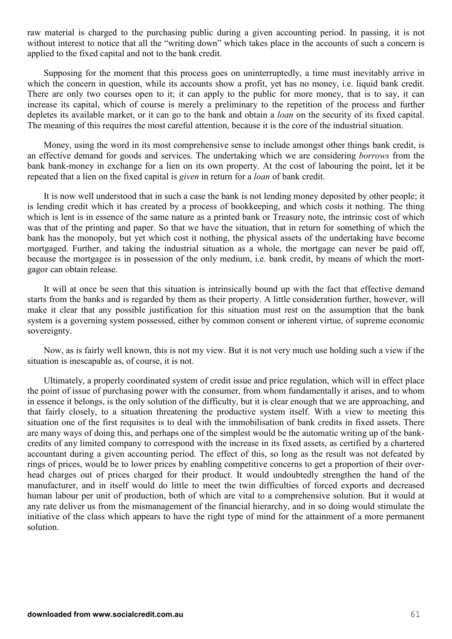raw material is charged to the purchasing public during a given accounting period. In passing, it is not without interest to notice that all the "writing down" which takes place in the accounts of such a concern is applied to the fixed capital and not to the bank credit.

Supposing for the moment that this process goes on uninterruptedly, a time must inevitably arrive in which the concern in question, while its accounts show a profit, yet has no money, i.e. liquid bank credit. There are only two courses open to it; it can apply to the public for more money, that is to say, it can increase its capital, which of course is merely a preliminary to the repetition of the process and further depletes its available market, or it can go to the bank and obtain a *loan* on the security of its fixed capital. The meaning of this requires the most careful attention, because it is the core of the industrial situation.

Money, using the word in its most comprehensive sense to include amongst other things bank credit, is an effective demand for goods and services. The undertaking which we are considering *borrows* from the bank bank-money in exchange for a lien on its own property. At the cost of labouring the point, let it be repeated that a lien on the fixed capital is *given* in return for a *loan* of bank credit.

It is now well understood that in such a case the bank is not lending money deposited by other people; it is lending credit which it has created by a process of bookkeeping, and which costs it nothing. The thing which is lent is in essence of the same nature as a printed bank or Treasury note, the intrinsic cost of which was that of the printing and paper. So that we have the situation, that in return for something of which the bank has the monopoly, but yet which cost it nothing, the physical assets of the undertaking have become mortgaged. Further, and taking the industrial situation as a whole, the mortgage can never be paid off, because the mortgagee is in possession of the only medium, i.e. bank credit, by means of which the mortgagor can obtain release.

It will at once be seen that this situation is intrinsically bound up with the fact that effective demand starts from the banks and is regarded by them as their property. A little consideration further, however, will make it clear that any possible justification for this situation must rest on the assumption that the bank system is a governing system possessed, either by common consent or inherent virtue, of supreme economic sovereignty.

Now, as is fairly well known, this is not my view. But it is not very much use holding such a view if the situation is inescapable as, of course, it is not.

Ultimately, a properly coordinated system of credit issue and price regulation, which will in effect place the point of issue of purchasing power with the consumer, from whom fundamentally it arises, and to whom in essence it belongs, is the only solution of the difficulty, but it is clear enough that we are approaching, and that fairly closely, to a situation threatening the productive system itself. With a view to meeting this situation one of the first requisites is to deal with the immobilisation of bank credits in fixed assets. There are many ways of doing this, and perhaps one of the simplest would be the automatic writing up of the bankcredits of any limited company to correspond with the increase in its fixed assets, as certified by a chartered accountant during a given accounting period. The effect of this, so long as the result was not defeated by rings of prices, would be to lower prices by enabling competitive concerns to get a proportion of their overhead charges out of prices charged for their product. It would undoubtedly strengthen the hand of the manufacturer, and in itself would do little to meet the twin difficulties of forced exports and decreased human labour per unit of production, both of which are vital to a comprehensive solution. But it would at any rate deliver us from the mismanagement of the financial hierarchy, and in so doing would stimulate the initiative of the class which appears to have the right type of mind for the attainment of a more permanent solution.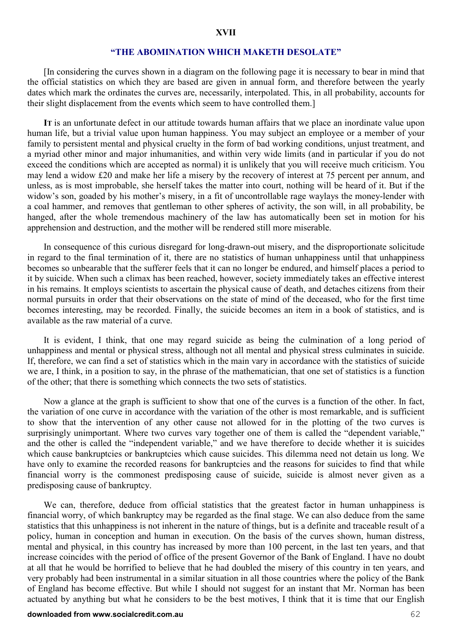#### **"THE ABOMINATION WHICH MAKETH DESOLATE"**

[In considering the curves shown in a diagram on the following page it is necessary to bear in mind that the official statistics on which they are based are given in annual form, and therefore between the yearly dates which mark the ordinates the curves are, necessarily, interpolated. This, in all probability, accounts for their slight displacement from the events which seem to have controlled them.]

**IT** is an unfortunate defect in our attitude towards human affairs that we place an inordinate value upon human life, but a trivial value upon human happiness. You may subject an employee or a member of your family to persistent mental and physical cruelty in the form of bad working conditions, unjust treatment, and a myriad other minor and major inhumanities, and within very wide limits (and in particular if you do not exceed the conditions which are accepted as normal) it is unlikely that you will receive much criticism. You may lend a widow £20 and make her life a misery by the recovery of interest at 75 percent per annum, and unless, as is most improbable, she herself takes the matter into court, nothing will be heard of it. But if the widow's son, goaded by his mother's misery, in a fit of uncontrollable rage waylays the money-lender with a coal hammer, and removes that gentleman to other spheres of activity, the son will, in all probability, be hanged, after the whole tremendous machinery of the law has automatically been set in motion for his apprehension and destruction, and the mother will be rendered still more miserable.

In consequence of this curious disregard for long-drawn-out misery, and the disproportionate solicitude in regard to the final termination of it, there are no statistics of human unhappiness until that unhappiness becomes so unbearable that the sufferer feels that it can no longer be endured, and himself places a period to it by suicide. When such a climax has been reached, however, society immediately takes an effective interest in his remains. It employs scientists to ascertain the physical cause of death, and detaches citizens from their normal pursuits in order that their observations on the state of mind of the deceased, who for the first time becomes interesting, may be recorded. Finally, the suicide becomes an item in a book of statistics, and is available as the raw material of a curve.

It is evident, I think, that one may regard suicide as being the culmination of a long period of unhappiness and mental or physical stress, although not all mental and physical stress culminates in suicide. If, therefore, we can find a set of statistics which in the main vary in accordance with the statistics of suicide we are, I think, in a position to say, in the phrase of the mathematician, that one set of statistics is a function of the other; that there is something which connects the two sets of statistics.

Now a glance at the graph is sufficient to show that one of the curves is a function of the other. In fact, the variation of one curve in accordance with the variation of the other is most remarkable, and is sufficient to show that the intervention of any other cause not allowed for in the plotting of the two curves is surprisingly unimportant. Where two curves vary together one of them is called the "dependent variable," and the other is called the "independent variable," and we have therefore to decide whether it is suicides which cause bankruptcies or bankruptcies which cause suicides. This dilemma need not detain us long. We have only to examine the recorded reasons for bankruptcies and the reasons for suicides to find that while financial worry is the commonest predisposing cause of suicide, suicide is almost never given as a predisposing cause of bankruptcy.

We can, therefore, deduce from official statistics that the greatest factor in human unhappiness is financial worry, of which bankruptcy may be regarded as the final stage. We can also deduce from the same statistics that this unhappiness is not inherent in the nature of things, but is a definite and traceable result of a policy, human in conception and human in execution. On the basis of the curves shown, human distress, mental and physical, in this country has increased by more than 100 percent, in the last ten years, and that increase coincides with the period of office of the present Governor of the Bank of England. I have no doubt at all that he would be horrified to believe that he had doubled the misery of this country in ten years, and very probably had been instrumental in a similar situation in all those countries where the policy of the Bank of England has become effective. But while I should not suggest for an instant that Mr. Norman has been actuated by anything but what he considers to be the best motives, I think that it is time that our English

#### **downloaded from www.socialcredit.com.au** 62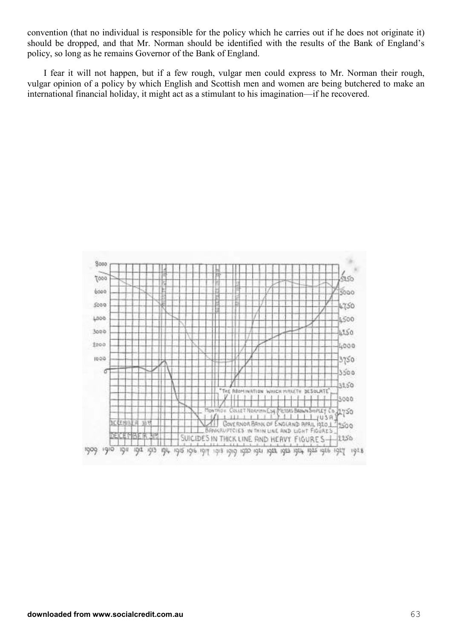convention (that no individual is responsible for the policy which he carries out if he does not originate it) should be dropped, and that Mr. Norman should be identified with the results of the Bank of England's policy, so long as he remains Governor of the Bank of England.

I fear it will not happen, but if a few rough, vulgar men could express to Mr. Norman their rough, vulgar opinion of a policy by which English and Scottish men and women are being butchered to make an international financial holiday, it might act as a stimulant to his imagination—if he recovered.

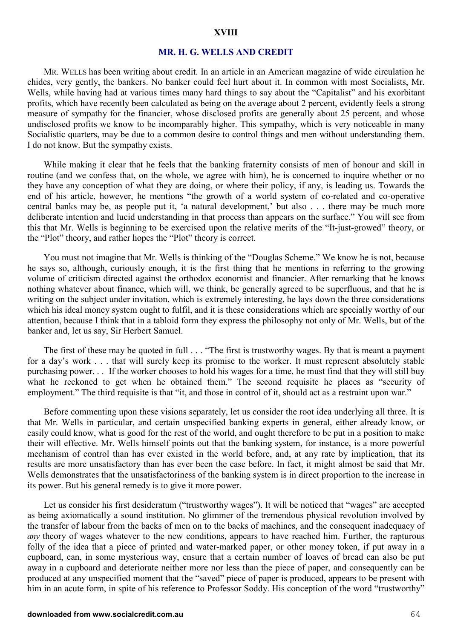#### **XVIII**

#### **MR. H. G. WELLS AND CREDIT**

MR. WELLS has been writing about credit. In an article in an American magazine of wide circulation he chides, very gently, the bankers. No banker could feel hurt about it. In common with most Socialists, Mr. Wells, while having had at various times many hard things to say about the "Capitalist" and his exorbitant profits, which have recently been calculated as being on the average about 2 percent, evidently feels a strong measure of sympathy for the financier, whose disclosed profits are generally about 25 percent, and whose undisclosed profits we know to be incomparably higher. This sympathy, which is very noticeable in many Socialistic quarters, may be due to a common desire to control things and men without understanding them. I do not know. But the sympathy exists.

While making it clear that he feels that the banking fraternity consists of men of honour and skill in routine (and we confess that, on the whole, we agree with him), he is concerned to inquire whether or no they have any conception of what they are doing, or where their policy, if any, is leading us. Towards the end of his article, however, he mentions "the growth of a world system of co-related and co-operative central banks may be, as people put it, 'a natural development,' but also . . . there may be much more deliberate intention and lucid understanding in that process than appears on the surface." You will see from this that Mr. Wells is beginning to be exercised upon the relative merits of the "It-just-growed" theory, or the "Plot" theory, and rather hopes the "Plot" theory is correct.

You must not imagine that Mr. Wells is thinking of the "Douglas Scheme." We know he is not, because he says so, although, curiously enough, it is the first thing that he mentions in referring to the growing volume of criticism directed against the orthodox economist and financier. After remarking that he knows nothing whatever about finance, which will, we think, be generally agreed to be superfluous, and that he is writing on the subject under invitation, which is extremely interesting, he lays down the three considerations which his ideal money system ought to fulfil, and it is these considerations which are specially worthy of our attention, because I think that in a tabloid form they express the philosophy not only of Mr. Wells, but of the banker and, let us say, Sir Herbert Samuel.

The first of these may be quoted in full . . . "The first is trustworthy wages. By that is meant a payment for a day's work . . . that will surely keep its promise to the worker. It must represent absolutely stable purchasing power. . . If the worker chooses to hold his wages for a time, he must find that they will still buy what he reckoned to get when he obtained them." The second requisite he places as "security of employment." The third requisite is that "it, and those in control of it, should act as a restraint upon war."

Before commenting upon these visions separately, let us consider the root idea underlying all three. It is that Mr. Wells in particular, and certain unspecified banking experts in general, either already know, or easily could know, what is good for the rest of the world, and ought therefore to be put in a position to make their will effective. Mr. Wells himself points out that the banking system, for instance, is a more powerful mechanism of control than has ever existed in the world before, and, at any rate by implication, that its results are more unsatisfactory than has ever been the case before. In fact, it might almost be said that Mr. Wells demonstrates that the unsatisfactoriness of the banking system is in direct proportion to the increase in its power. But his general remedy is to give it more power.

Let us consider his first desideratum ("trustworthy wages"). It will be noticed that "wages" are accepted as being axiomatically a sound institution. No glimmer of the tremendous physical revolution involved by the transfer of labour from the backs of men on to the backs of machines, and the consequent inadequacy of *any* theory of wages whatever to the new conditions, appears to have reached him. Further, the rapturous folly of the idea that a piece of printed and water-marked paper, or other money token, if put away in a cupboard, can, in some mysterious way, ensure that a certain number of loaves of bread can also be put away in a cupboard and deteriorate neither more nor less than the piece of paper, and consequently can be produced at any unspecified moment that the "saved" piece of paper is produced, appears to be present with him in an acute form, in spite of his reference to Professor Soddy. His conception of the word "trustworthy"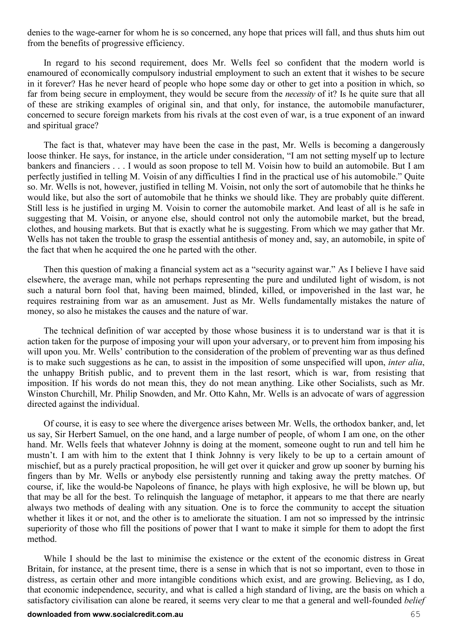denies to the wage-earner for whom he is so concerned, any hope that prices will fall, and thus shuts him out from the benefits of progressive efficiency.

In regard to his second requirement, does Mr. Wells feel so confident that the modern world is enamoured of economically compulsory industrial employment to such an extent that it wishes to be secure in it forever? Has he never heard of people who hope some day or other to get into a position in which, so far from being secure in employment, they would be secure from the *necessity* of it? Is he quite sure that all of these are striking examples of original sin, and that only, for instance, the automobile manufacturer, concerned to secure foreign markets from his rivals at the cost even of war, is a true exponent of an inward and spiritual grace?

The fact is that, whatever may have been the case in the past, Mr. Wells is becoming a dangerously loose thinker. He says, for instance, in the article under consideration, "I am not setting myself up to lecture bankers and financiers . . . I would as soon propose to tell M. Voisin how to build an automobile. But I am perfectly justified in telling M. Voisin of any difficulties I find in the practical use of his automobile." Quite so. Mr. Wells is not, however, justified in telling M. Voisin, not only the sort of automobile that he thinks he would like, but also the sort of automobile that he thinks we should like. They are probably quite different. Still less is he justified in urging M. Voisin to corner the automobile market. And least of all is he safe in suggesting that M. Voisin, or anyone else, should control not only the automobile market, but the bread, clothes, and housing markets. But that is exactly what he is suggesting. From which we may gather that Mr. Wells has not taken the trouble to grasp the essential antithesis of money and, say, an automobile, in spite of the fact that when he acquired the one he parted with the other.

Then this question of making a financial system act as a "security against war." As I believe I have said elsewhere, the average man, while not perhaps representing the pure and undiluted light of wisdom, is not such a natural born fool that, having been maimed, blinded, killed, or impoverished in the last war, he requires restraining from war as an amusement. Just as Mr. Wells fundamentally mistakes the nature of money, so also he mistakes the causes and the nature of war.

The technical definition of war accepted by those whose business it is to understand war is that it is action taken for the purpose of imposing your will upon your adversary, or to prevent him from imposing his will upon you. Mr. Wells' contribution to the consideration of the problem of preventing war as thus defined is to make such suggestions as he can, to assist in the imposition of some unspecified will upon, *inter alia*, the unhappy British public, and to prevent them in the last resort, which is war, from resisting that imposition. If his words do not mean this, they do not mean anything. Like other Socialists, such as Mr. Winston Churchill, Mr. Philip Snowden, and Mr. Otto Kahn, Mr. Wells is an advocate of wars of aggression directed against the individual.

Of course, it is easy to see where the divergence arises between Mr. Wells, the orthodox banker, and, let us say, Sir Herbert Samuel, on the one hand, and a large number of people, of whom I am one, on the other hand. Mr. Wells feels that whatever Johnny is doing at the moment, someone ought to run and tell him he mustn't. I am with him to the extent that I think Johnny is very likely to be up to a certain amount of mischief, but as a purely practical proposition, he will get over it quicker and grow up sooner by burning his fingers than by Mr. Wells or anybody else persistently running and taking away the pretty matches. Of course, if, like the would-be Napoleons of finance, he plays with high explosive, he will be blown up, but that may be all for the best. To relinquish the language of metaphor, it appears to me that there are nearly always two methods of dealing with any situation. One is to force the community to accept the situation whether it likes it or not, and the other is to ameliorate the situation. I am not so impressed by the intrinsic superiority of those who fill the positions of power that I want to make it simple for them to adopt the first method.

While I should be the last to minimise the existence or the extent of the economic distress in Great Britain, for instance, at the present time, there is a sense in which that is not so important, even to those in distress, as certain other and more intangible conditions which exist, and are growing. Believing, as I do, that economic independence, security, and what is called a high standard of living, are the basis on which a satisfactory civilisation can alone be reared, it seems very clear to me that a general and well-founded *belief*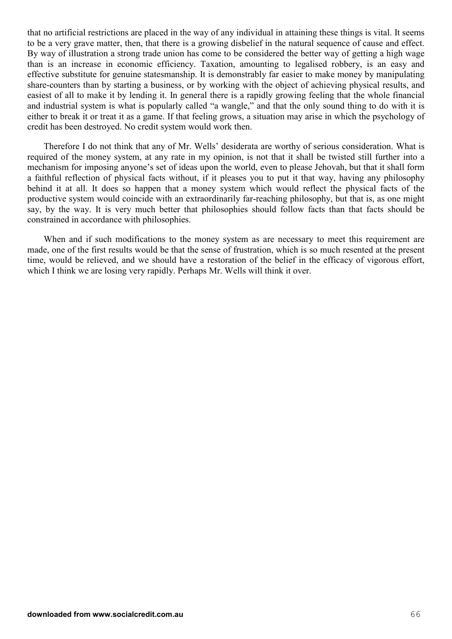that no artificial restrictions are placed in the way of any individual in attaining these things is vital. It seems to be a very grave matter, then, that there is a growing disbelief in the natural sequence of cause and effect. By way of illustration a strong trade union has come to be considered the better way of getting a high wage than is an increase in economic efficiency. Taxation, amounting to legalised robbery, is an easy and effective substitute for genuine statesmanship. It is demonstrably far easier to make money by manipulating share-counters than by starting a business, or by working with the object of achieving physical results, and easiest of all to make it by lending it. In general there is a rapidly growing feeling that the whole financial and industrial system is what is popularly called "a wangle," and that the only sound thing to do with it is either to break it or treat it as a game. If that feeling grows, a situation may arise in which the psychology of credit has been destroyed. No credit system would work then.

Therefore I do not think that any of Mr. Wells' desiderata are worthy of serious consideration. What is required of the money system, at any rate in my opinion, is not that it shall be twisted still further into a mechanism for imposing anyone's set of ideas upon the world, even to please Jehovah, but that it shall form a faithful reflection of physical facts without, if it pleases you to put it that way, having any philosophy behind it at all. It does so happen that a money system which would reflect the physical facts of the productive system would coincide with an extraordinarily far-reaching philosophy, but that is, as one might say, by the way. It is very much better that philosophies should follow facts than that facts should be constrained in accordance with philosophies.

When and if such modifications to the money system as are necessary to meet this requirement are made, one of the first results would be that the sense of frustration, which is so much resented at the present time, would be relieved, and we should have a restoration of the belief in the efficacy of vigorous effort, which I think we are losing very rapidly. Perhaps Mr. Wells will think it over.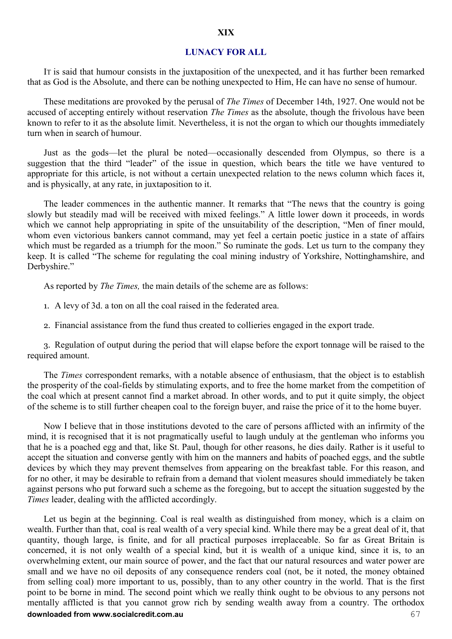#### **LUNACY FOR ALL**

IT is said that humour consists in the juxtaposition of the unexpected, and it has further been remarked that as God is the Absolute, and there can be nothing unexpected to Him, He can have no sense of humour.

These meditations are provoked by the perusal of *The Times* of December 14th, 1927. One would not be accused of accepting entirely without reservation *The Times* as the absolute, though the frivolous have been known to refer to it as the absolute limit. Nevertheless, it is not the organ to which our thoughts immediately turn when in search of humour.

Just as the gods—let the plural be noted—occasionally descended from Olympus, so there is a suggestion that the third "leader" of the issue in question, which bears the title we have ventured to appropriate for this article, is not without a certain unexpected relation to the news column which faces it, and is physically, at any rate, in juxtaposition to it.

The leader commences in the authentic manner. It remarks that "The news that the country is going slowly but steadily mad will be received with mixed feelings." A little lower down it proceeds, in words which we cannot help appropriating in spite of the unsuitability of the description, "Men of finer mould, whom even victorious bankers cannot command, may yet feel a certain poetic justice in a state of affairs which must be regarded as a triumph for the moon." So ruminate the gods. Let us turn to the company they keep. It is called "The scheme for regulating the coal mining industry of Yorkshire, Nottinghamshire, and Derbyshire."

As reported by *The Times,* the main details of the scheme are as follows:

- 1. A levy of 3d. a ton on all the coal raised in the federated area.
- 2. Financial assistance from the fund thus created to collieries engaged in the export trade.

3. Regulation of output during the period that will elapse before the export tonnage will be raised to the required amount.

The *Times* correspondent remarks, with a notable absence of enthusiasm, that the object is to establish the prosperity of the coal-fields by stimulating exports, and to free the home market from the competition of the coal which at present cannot find a market abroad. In other words, and to put it quite simply, the object of the scheme is to still further cheapen coal to the foreign buyer, and raise the price of it to the home buyer.

Now I believe that in those institutions devoted to the care of persons afflicted with an infirmity of the mind, it is recognised that it is not pragmatically useful to laugh unduly at the gentleman who informs you that he is a poached egg and that, like St. Paul, though for other reasons, he dies daily. Rather is it useful to accept the situation and converse gently with him on the manners and habits of poached eggs, and the subtle devices by which they may prevent themselves from appearing on the breakfast table. For this reason, and for no other, it may be desirable to refrain from a demand that violent measures should immediately be taken against persons who put forward such a scheme as the foregoing, but to accept the situation suggested by the *Times* leader, dealing with the afflicted accordingly.

**downloaded from www.socialcredit.com.au** 67 Let us begin at the beginning. Coal is real wealth as distinguished from money, which is a claim on wealth. Further than that, coal is real wealth of a very special kind. While there may be a great deal of it, that quantity, though large, is finite, and for all practical purposes irreplaceable. So far as Great Britain is concerned, it is not only wealth of a special kind, but it is wealth of a unique kind, since it is, to an overwhelming extent, our main source of power, and the fact that our natural resources and water power are small and we have no oil deposits of any consequence renders coal (not, be it noted, the money obtained from selling coal) more important to us, possibly, than to any other country in the world. That is the first point to be borne in mind. The second point which we really think ought to be obvious to any persons not mentally afflicted is that you cannot grow rich by sending wealth away from a country. The orthodox